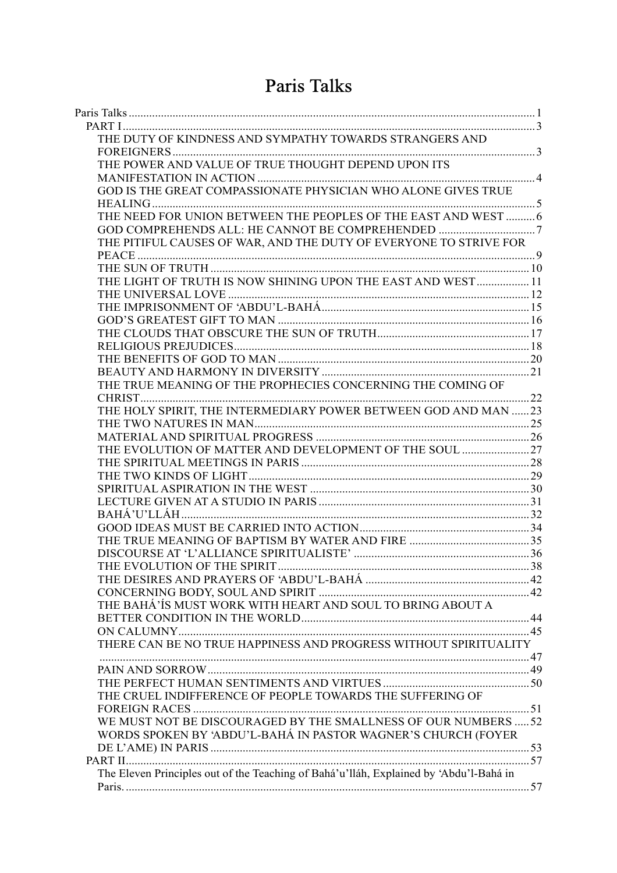# Paris Talks

| THE DUTY OF KINDNESS AND SYMPATHY TOWARDS STRANGERS AND                                |  |
|----------------------------------------------------------------------------------------|--|
|                                                                                        |  |
| THE POWER AND VALUE OF TRUE THOUGHT DEPEND UPON ITS                                    |  |
|                                                                                        |  |
| GOD IS THE GREAT COMPASSIONATE PHYSICIAN WHO ALONE GIVES TRUE                          |  |
|                                                                                        |  |
| THE NEED FOR UNION BETWEEN THE PEOPLES OF THE EAST AND WEST  6                         |  |
|                                                                                        |  |
| THE PITIFUL CAUSES OF WAR, AND THE DUTY OF EVERYONE TO STRIVE FOR                      |  |
|                                                                                        |  |
|                                                                                        |  |
| THE LIGHT OF TRUTH IS NOW SHINING UPON THE EAST AND WEST 11                            |  |
|                                                                                        |  |
|                                                                                        |  |
|                                                                                        |  |
|                                                                                        |  |
|                                                                                        |  |
|                                                                                        |  |
|                                                                                        |  |
| THE TRUE MEANING OF THE PROPHECIES CONCERNING THE COMING OF                            |  |
|                                                                                        |  |
| THE HOLY SPIRIT, THE INTERMEDIARY POWER BETWEEN GOD AND MAN 23                         |  |
|                                                                                        |  |
|                                                                                        |  |
|                                                                                        |  |
|                                                                                        |  |
|                                                                                        |  |
|                                                                                        |  |
|                                                                                        |  |
|                                                                                        |  |
|                                                                                        |  |
|                                                                                        |  |
|                                                                                        |  |
| THE EVOLUTION OF THE SPIRIT.                                                           |  |
|                                                                                        |  |
| THE BAHÁ'ÍS MUST WORK WITH HEART AND SOUL TO BRING ABOUT A                             |  |
|                                                                                        |  |
|                                                                                        |  |
| THERE CAN BE NO TRUE HAPPINESS AND PROGRESS WITHOUT SPIRITUALITY                       |  |
|                                                                                        |  |
|                                                                                        |  |
|                                                                                        |  |
| THE CRUEL INDIFFERENCE OF PEOPLE TOWARDS THE SUFFERING OF                              |  |
|                                                                                        |  |
| WE MUST NOT BE DISCOURAGED BY THE SMALLNESS OF OUR NUMBERS  52                         |  |
| WORDS SPOKEN BY 'ABDU'L-BAHÁ IN PASTOR WAGNER'S CHURCH (FOYER                          |  |
|                                                                                        |  |
|                                                                                        |  |
| The Eleven Principles out of the Teaching of Bahá'u'lláh, Explained by 'Abdu'l-Bahá in |  |
|                                                                                        |  |
|                                                                                        |  |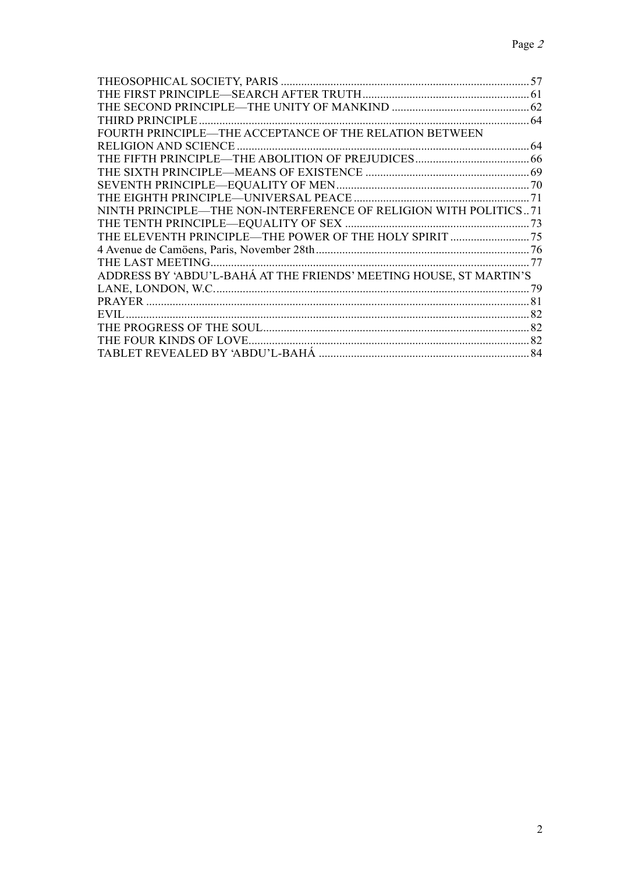|                                                                    | 57   |
|--------------------------------------------------------------------|------|
|                                                                    | 61   |
|                                                                    |      |
| THIRD PRINCIPLE                                                    |      |
| FOURTH PRINCIPLE—THE ACCEPTANCE OF THE RELATION BETWEEN            |      |
| <b>RELIGION AND SCIENCE.</b>                                       | 64   |
|                                                                    |      |
|                                                                    |      |
|                                                                    |      |
|                                                                    |      |
| NINTH PRINCIPLE—THE NON-INTERFERENCE OF RELIGION WITH POLITICS71   |      |
|                                                                    |      |
|                                                                    |      |
|                                                                    |      |
| THE LAST MEETING.                                                  | - 77 |
| ADDRESS BY 'ABDU'L-BAHÁ AT THE FRIENDS' MEETING HOUSE, ST MARTIN'S |      |
|                                                                    |      |
|                                                                    | -81  |
| EVIL.                                                              |      |
|                                                                    | 82   |
|                                                                    |      |
|                                                                    | .84  |
|                                                                    |      |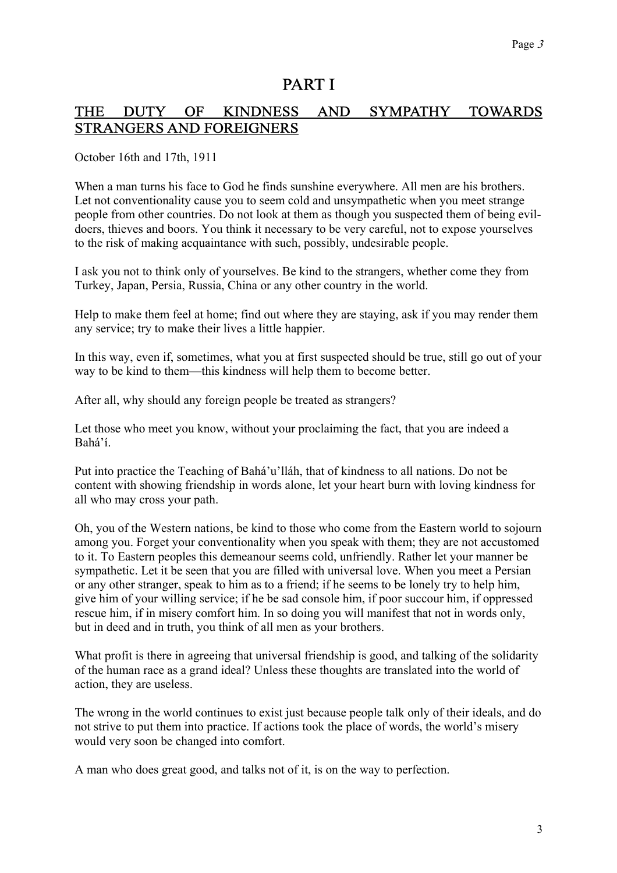### PART I

#### THE DUTY OF KINDNESS AND SYMPATHY TOWARDS STRANGERS AND FOREIGNERS

October 16th and 17th, 1911

When a man turns his face to God he finds sunshine everywhere. All men are his brothers. Let not conventionality cause you to seem cold and unsympathetic when you meet strange people from other countries. Do not look at them as though you suspected them of being evildoers, thieves and boors. You think it necessary to be very careful, not to expose yourselves to the risk of making acquaintance with such, possibly, undesirable people.

I ask you not to think only of yourselves. Be kind to the strangers, whether come they from Turkey, Japan, Persia, Russia, China or any other country in the world.

Help to make them feel at home; find out where they are staying, ask if you may render them any service; try to make their lives a little happier.

In this way, even if, sometimes, what you at first suspected should be true, still go out of your way to be kind to them—this kindness will help them to become better.

After all, why should any foreign people be treated as strangers?

Let those who meet you know, without your proclaiming the fact, that you are indeed a Bahá'í.

Put into practice the Teaching of Bahá'u'lláh, that of kindness to all nations. Do not be content with showing friendship in words alone, let your heart burn with loving kindness for all who may cross your path.

Oh, you of the Western nations, be kind to those who come from the Eastern world to sojourn among you. Forget your conventionality when you speak with them; they are not accustomed to it. To Eastern peoples this demeanour seems cold, unfriendly. Rather let your manner be sympathetic. Let it be seen that you are filled with universal love. When you meet a Persian or any other stranger, speak to him as to a friend; if he seems to be lonely try to help him, give him of your willing service; if he be sad console him, if poor succour him, if oppressed rescue him, if in misery comfort him. In so doing you will manifest that not in words only, but in deed and in truth, you think of all men as your brothers.

What profit is there in agreeing that universal friendship is good, and talking of the solidarity of the human race as a grand ideal? Unless these thoughts are translated into the world of action, they are useless.

The wrong in the world continues to exist just because people talk only of their ideals, and do not strive to put them into practice. If actions took the place of words, the world's misery would very soon be changed into comfort.

A man who does great good, and talks not of it, is on the way to perfection.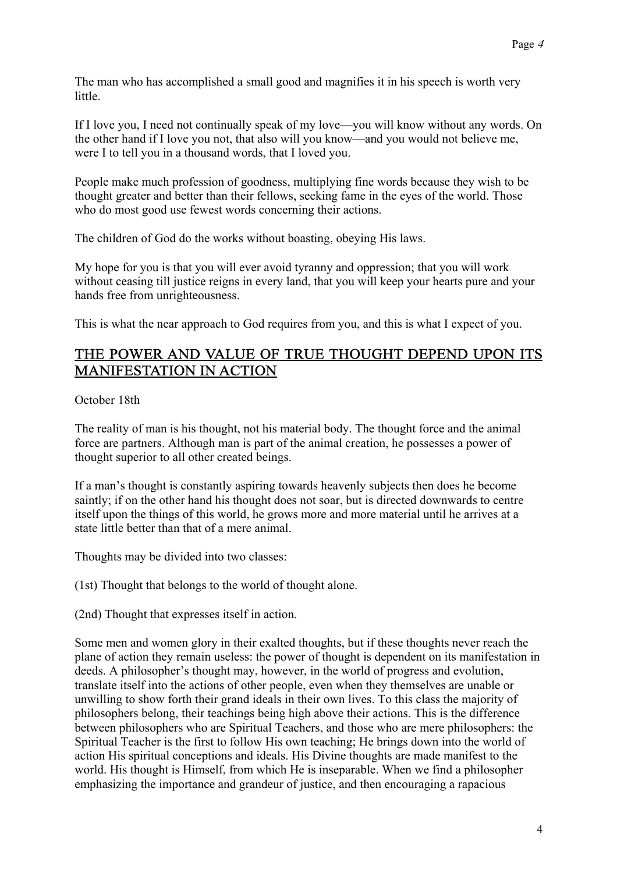The man who has accomplished a small good and magnifies it in his speech is worth very little.

If I love you, I need not continually speak of my love—you will know without any words. On the other hand if I love you not, that also will you know—and you would not believe me, were I to tell you in a thousand words, that I loved you.

People make much profession of goodness, multiplying fine words because they wish to be thought greater and better than their fellows, seeking fame in the eyes of the world. Those who do most good use fewest words concerning their actions.

The children of God do the works without boasting, obeying His laws.

My hope for you is that you will ever avoid tyranny and oppression; that you will work without ceasing till justice reigns in every land, that you will keep your hearts pure and your hands free from unrighteousness.

This is what the near approach to God requires from you, and this is what I expect of you.

#### THE POWER AND VALUE OF TRUE THOUGHT DEPEND UPON ITS MANIFESTATION IN ACTION

#### October 18th

The reality of man is his thought, not his material body. The thought force and the animal force are partners. Although man is part of the animal creation, he possesses a power of thought superior to all other created beings.

If a man's thought is constantly aspiring towards heavenly subjects then does he become saintly; if on the other hand his thought does not soar, but is directed downwards to centre itself upon the things of this world, he grows more and more material until he arrives at a state little better than that of a mere animal.

Thoughts may be divided into two classes:

(1st) Thought that belongs to the world of thought alone.

(2nd) Thought that expresses itself in action.

Some men and women glory in their exalted thoughts, but if these thoughts never reach the plane of action they remain useless: the power of thought is dependent on its manifestation in deeds. A philosopher's thought may, however, in the world of progress and evolution, translate itself into the actions of other people, even when they themselves are unable or unwilling to show forth their grand ideals in their own lives. To this class the majority of philosophers belong, their teachings being high above their actions. This is the difference between philosophers who are Spiritual Teachers, and those who are mere philosophers: the Spiritual Teacher is the first to follow His own teaching; He brings down into the world of action His spiritual conceptions and ideals. His Divine thoughts are made manifest to the world. His thought is Himself, from which He is inseparable. When we find a philosopher emphasizing the importance and grandeur of justice, and then encouraging a rapacious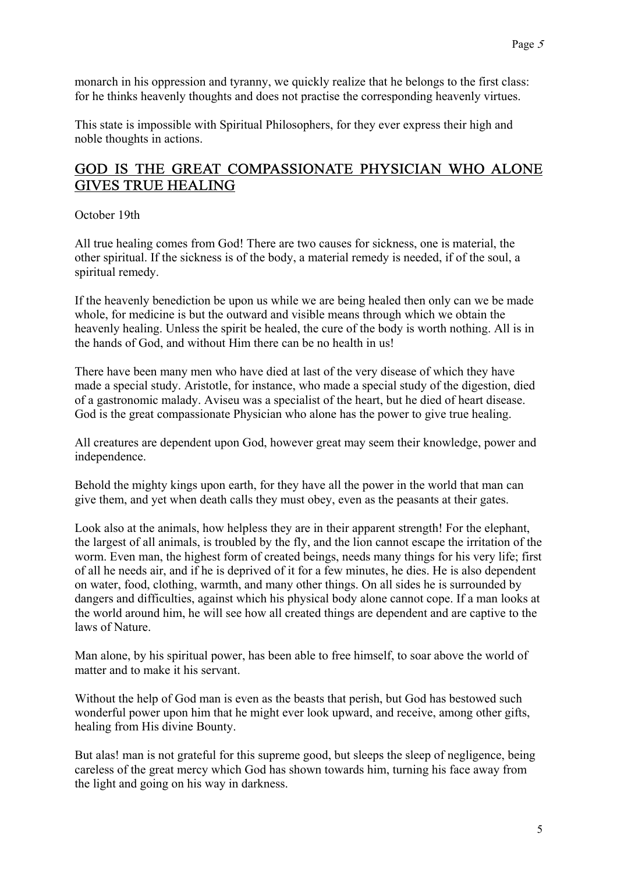monarch in his oppression and tyranny, we quickly realize that he belongs to the first class: for he thinks heavenly thoughts and does not practise the corresponding heavenly virtues.

This state is impossible with Spiritual Philosophers, for they ever express their high and noble thoughts in actions.

### GOD IS THE GREAT COMPASSIONATE PHYSICIAN WHO ALONE GIVES TRUE HEALING

October 19th

All true healing comes from God! There are two causes for sickness, one is material, the other spiritual. If the sickness is of the body, a material remedy is needed, if of the soul, a spiritual remedy.

If the heavenly benediction be upon us while we are being healed then only can we be made whole, for medicine is but the outward and visible means through which we obtain the heavenly healing. Unless the spirit be healed, the cure of the body is worth nothing. All is in the hands of God, and without Him there can be no health in us!

There have been many men who have died at last of the very disease of which they have made a special study. Aristotle, for instance, who made a special study of the digestion, died of a gastronomic malady. Aviseu was a specialist of the heart, but he died of heart disease. God is the great compassionate Physician who alone has the power to give true healing.

All creatures are dependent upon God, however great may seem their knowledge, power and independence.

Behold the mighty kings upon earth, for they have all the power in the world that man can give them, and yet when death calls they must obey, even as the peasants at their gates.

Look also at the animals, how helpless they are in their apparent strength! For the elephant, the largest of all animals, is troubled by the fly, and the lion cannot escape the irritation of the worm. Even man, the highest form of created beings, needs many things for his very life; first of all he needs air, and if he is deprived of it for a few minutes, he dies. He is also dependent on water, food, clothing, warmth, and many other things. On all sides he is surrounded by dangers and difficulties, against which his physical body alone cannot cope. If a man looks at the world around him, he will see how all created things are dependent and are captive to the laws of Nature.

Man alone, by his spiritual power, has been able to free himself, to soar above the world of matter and to make it his servant.

Without the help of God man is even as the beasts that perish, but God has bestowed such wonderful power upon him that he might ever look upward, and receive, among other gifts, healing from His divine Bounty.

But alas! man is not grateful for this supreme good, but sleeps the sleep of negligence, being careless of the great mercy which God has shown towards him, turning his face away from the light and going on his way in darkness.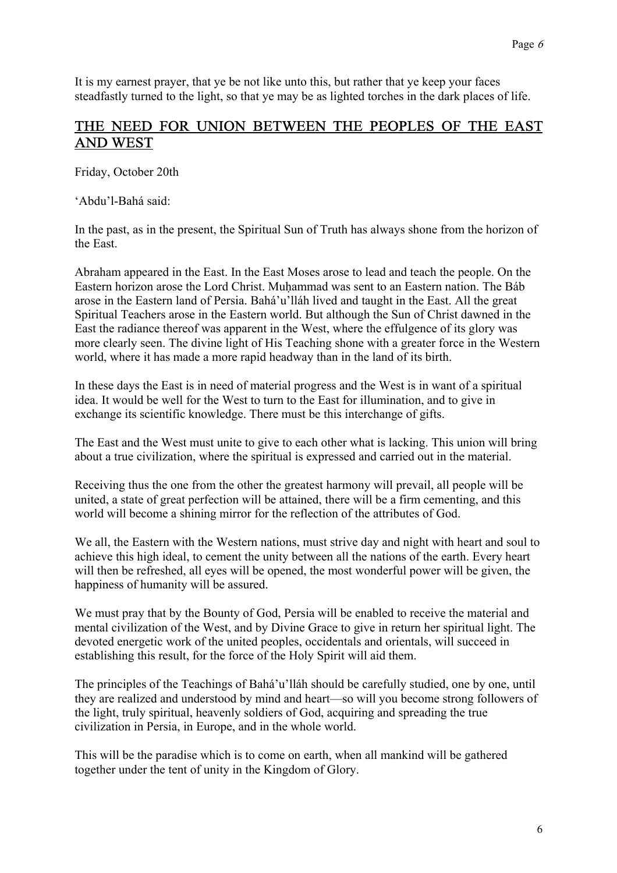It is my earnest prayer, that ye be not like unto this, but rather that ye keep your faces steadfastly turned to the light, so that ye may be as lighted torches in the dark places of life.

#### THE NEED FOR UNION BETWEEN THE PEOPLES OF THE EAST AND WEST

Friday, October 20th

'Abdu'l-Bahá said:

In the past, as in the present, the Spiritual Sun of Truth has always shone from the horizon of the East.

Abraham appeared in the East. In the East Moses arose to lead and teach the people. On the Eastern horizon arose the Lord Christ. Muḥammad was sent to an Eastern nation. The Báb arose in the Eastern land of Persia. Bahá'u'lláh lived and taught in the East. All the great Spiritual Teachers arose in the Eastern world. But although the Sun of Christ dawned in the East the radiance thereof was apparent in the West, where the effulgence of its glory was more clearly seen. The divine light of His Teaching shone with a greater force in the Western world, where it has made a more rapid headway than in the land of its birth.

In these days the East is in need of material progress and the West is in want of a spiritual idea. It would be well for the West to turn to the East for illumination, and to give in exchange its scientific knowledge. There must be this interchange of gifts.

The East and the West must unite to give to each other what is lacking. This union will bring about a true civilization, where the spiritual is expressed and carried out in the material.

Receiving thus the one from the other the greatest harmony will prevail, all people will be united, a state of great perfection will be attained, there will be a firm cementing, and this world will become a shining mirror for the reflection of the attributes of God.

We all, the Eastern with the Western nations, must strive day and night with heart and soul to achieve this high ideal, to cement the unity between all the nations of the earth. Every heart will then be refreshed, all eyes will be opened, the most wonderful power will be given, the happiness of humanity will be assured.

We must pray that by the Bounty of God, Persia will be enabled to receive the material and mental civilization of the West, and by Divine Grace to give in return her spiritual light. The devoted energetic work of the united peoples, occidentals and orientals, will succeed in establishing this result, for the force of the Holy Spirit will aid them.

The principles of the Teachings of Bahá'u'lláh should be carefully studied, one by one, until they are realized and understood by mind and heart—so will you become strong followers of the light, truly spiritual, heavenly soldiers of God, acquiring and spreading the true civilization in Persia, in Europe, and in the whole world.

This will be the paradise which is to come on earth, when all mankind will be gathered together under the tent of unity in the Kingdom of Glory.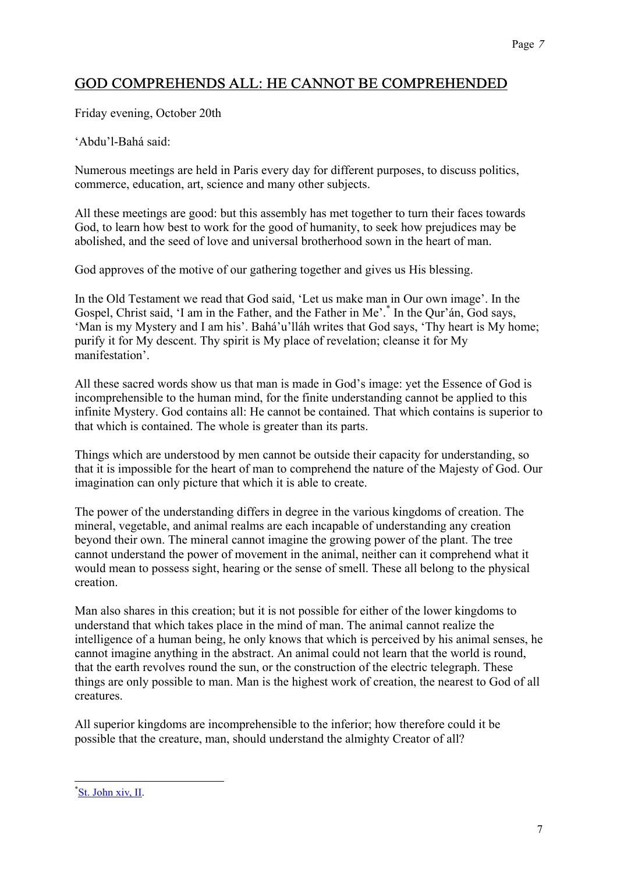# GOD COMPREHENDS ALL: HE CANNOT BE COMPREHENDED

Friday evening, October 20th

'Abdu'l-Bahá said:

Numerous meetings are held in Paris every day for different purposes, to discuss politics, commerce, education, art, science and many other subjects.

All these meetings are good: but this assembly has met together to turn their faces towards God, to learn how best to work for the good of humanity, to seek how prejudices may be abolished, and the seed of love and universal brotherhood sown in the heart of man.

God approves of the motive of our gathering together and gives us His blessing.

In the Old Testament we read that God said, 'Let us make man in Our own image'. In the Gospel, Christ said, 'I am in the Father, and the Father in Me'.\* In the Qur'án, God says, 'Man is my Mystery and I am his'. Bahá'u'lláh writes that God says, 'Thy heart is My home; purify it for My descent. Thy spirit is My place of revelation; cleanse it for My manifestation'.

All these sacred words show us that man is made in God's image: yet the Essence of God is incomprehensible to the human mind, for the finite understanding cannot be applied to this infinite Mystery. God contains all: He cannot be contained. That which contains is superior to that which is contained. The whole is greater than its parts.

Things which are understood by men cannot be outside their capacity for understanding, so that it is impossible for the heart of man to comprehend the nature of the Majesty of God. Our imagination can only picture that which it is able to create.

The power of the understanding differs in degree in the various kingdoms of creation. The mineral, vegetable, and animal realms are each incapable of understanding any creation beyond their own. The mineral cannot imagine the growing power of the plant. The tree cannot understand the power of movement in the animal, neither can it comprehend what it would mean to possess sight, hearing or the sense of smell. These all belong to the physical creation.

Man also shares in this creation; but it is not possible for either of the lower kingdoms to understand that which takes place in the mind of man. The animal cannot realize the intelligence of a human being, he only knows that which is perceived by his animal senses, he cannot imagine anything in the abstract. An animal could not learn that the world is round, that the earth revolves round the sun, or the construction of the electric telegraph. These things are only possible to man. Man is the highest work of creation, the nearest to God of all creatures.

All superior kingdoms are incomprehensible to the inferior; how therefore could it be possible that the creature, man, should understand the almighty Creator of all?

 <sup>\*</sup> St. John xiv, II.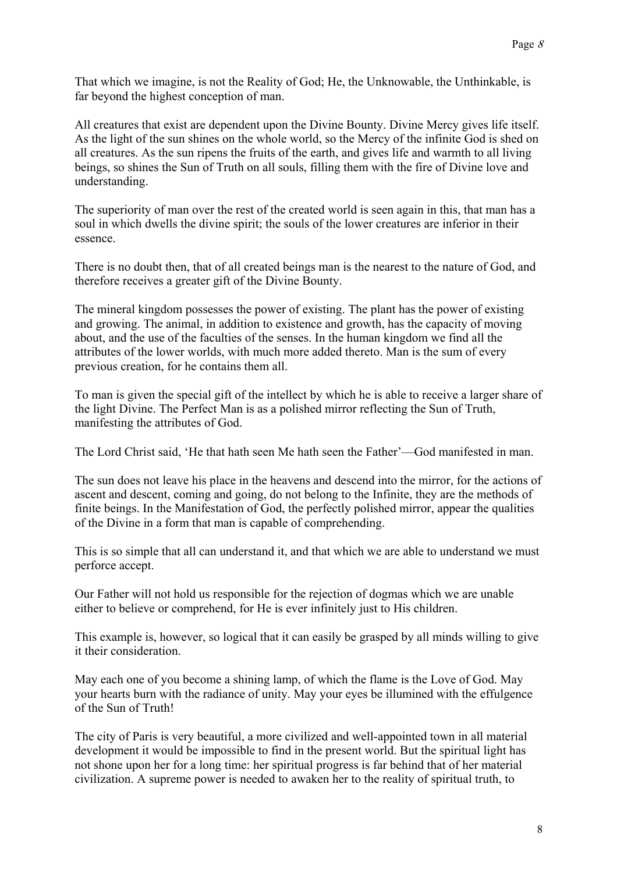That which we imagine, is not the Reality of God; He, the Unknowable, the Unthinkable, is far beyond the highest conception of man.

All creatures that exist are dependent upon the Divine Bounty. Divine Mercy gives life itself. As the light of the sun shines on the whole world, so the Mercy of the infinite God is shed on all creatures. As the sun ripens the fruits of the earth, and gives life and warmth to all living beings, so shines the Sun of Truth on all souls, filling them with the fire of Divine love and understanding.

The superiority of man over the rest of the created world is seen again in this, that man has a soul in which dwells the divine spirit; the souls of the lower creatures are inferior in their essence.

There is no doubt then, that of all created beings man is the nearest to the nature of God, and therefore receives a greater gift of the Divine Bounty.

The mineral kingdom possesses the power of existing. The plant has the power of existing and growing. The animal, in addition to existence and growth, has the capacity of moving about, and the use of the faculties of the senses. In the human kingdom we find all the attributes of the lower worlds, with much more added thereto. Man is the sum of every previous creation, for he contains them all.

To man is given the special gift of the intellect by which he is able to receive a larger share of the light Divine. The Perfect Man is as a polished mirror reflecting the Sun of Truth, manifesting the attributes of God.

The Lord Christ said, 'He that hath seen Me hath seen the Father'—God manifested in man.

The sun does not leave his place in the heavens and descend into the mirror, for the actions of ascent and descent, coming and going, do not belong to the Infinite, they are the methods of finite beings. In the Manifestation of God, the perfectly polished mirror, appear the qualities of the Divine in a form that man is capable of comprehending.

This is so simple that all can understand it, and that which we are able to understand we must perforce accept.

Our Father will not hold us responsible for the rejection of dogmas which we are unable either to believe or comprehend, for He is ever infinitely just to His children.

This example is, however, so logical that it can easily be grasped by all minds willing to give it their consideration.

May each one of you become a shining lamp, of which the flame is the Love of God. May your hearts burn with the radiance of unity. May your eyes be illumined with the effulgence of the Sun of Truth!

The city of Paris is very beautiful, a more civilized and well-appointed town in all material development it would be impossible to find in the present world. But the spiritual light has not shone upon her for a long time: her spiritual progress is far behind that of her material civilization. A supreme power is needed to awaken her to the reality of spiritual truth, to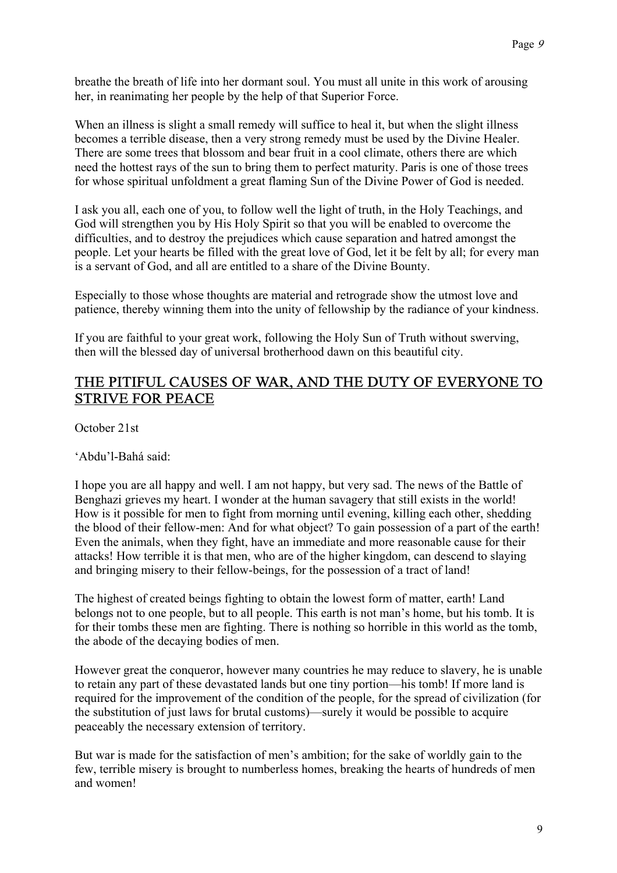breathe the breath of life into her dormant soul. You must all unite in this work of arousing her, in reanimating her people by the help of that Superior Force.

When an illness is slight a small remedy will suffice to heal it, but when the slight illness becomes a terrible disease, then a very strong remedy must be used by the Divine Healer. There are some trees that blossom and bear fruit in a cool climate, others there are which need the hottest rays of the sun to bring them to perfect maturity. Paris is one of those trees for whose spiritual unfoldment a great flaming Sun of the Divine Power of God is needed.

I ask you all, each one of you, to follow well the light of truth, in the Holy Teachings, and God will strengthen you by His Holy Spirit so that you will be enabled to overcome the difficulties, and to destroy the prejudices which cause separation and hatred amongst the people. Let your hearts be filled with the great love of God, let it be felt by all; for every man is a servant of God, and all are entitled to a share of the Divine Bounty.

Especially to those whose thoughts are material and retrograde show the utmost love and patience, thereby winning them into the unity of fellowship by the radiance of your kindness.

If you are faithful to your great work, following the Holy Sun of Truth without swerving, then will the blessed day of universal brotherhood dawn on this beautiful city.

#### THE PITIFUL CAUSES OF WAR, AND THE DUTY OF EVERYONE TO STRIVE FOR PEACE

October 21st

'Abdu'l-Bahá said:

I hope you are all happy and well. I am not happy, but very sad. The news of the Battle of Benghazi grieves my heart. I wonder at the human savagery that still exists in the world! How is it possible for men to fight from morning until evening, killing each other, shedding the blood of their fellow-men: And for what object? To gain possession of a part of the earth! Even the animals, when they fight, have an immediate and more reasonable cause for their attacks! How terrible it is that men, who are of the higher kingdom, can descend to slaying and bringing misery to their fellow-beings, for the possession of a tract of land!

The highest of created beings fighting to obtain the lowest form of matter, earth! Land belongs not to one people, but to all people. This earth is not man's home, but his tomb. It is for their tombs these men are fighting. There is nothing so horrible in this world as the tomb, the abode of the decaying bodies of men.

However great the conqueror, however many countries he may reduce to slavery, he is unable to retain any part of these devastated lands but one tiny portion—his tomb! If more land is required for the improvement of the condition of the people, for the spread of civilization (for the substitution of just laws for brutal customs)—surely it would be possible to acquire peaceably the necessary extension of territory.

But war is made for the satisfaction of men's ambition; for the sake of worldly gain to the few, terrible misery is brought to numberless homes, breaking the hearts of hundreds of men and women!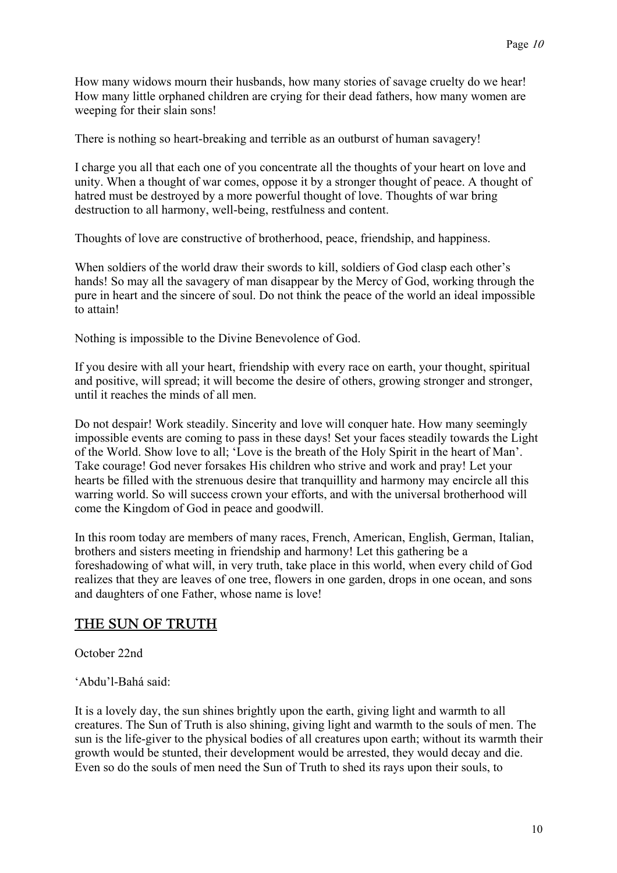How many widows mourn their husbands, how many stories of savage cruelty do we hear! How many little orphaned children are crying for their dead fathers, how many women are weeping for their slain sons!

There is nothing so heart-breaking and terrible as an outburst of human savagery!

I charge you all that each one of you concentrate all the thoughts of your heart on love and unity. When a thought of war comes, oppose it by a stronger thought of peace. A thought of hatred must be destroyed by a more powerful thought of love. Thoughts of war bring destruction to all harmony, well-being, restfulness and content.

Thoughts of love are constructive of brotherhood, peace, friendship, and happiness.

When soldiers of the world draw their swords to kill, soldiers of God clasp each other's hands! So may all the savagery of man disappear by the Mercy of God, working through the pure in heart and the sincere of soul. Do not think the peace of the world an ideal impossible to attain!

Nothing is impossible to the Divine Benevolence of God.

If you desire with all your heart, friendship with every race on earth, your thought, spiritual and positive, will spread; it will become the desire of others, growing stronger and stronger, until it reaches the minds of all men.

Do not despair! Work steadily. Sincerity and love will conquer hate. How many seemingly impossible events are coming to pass in these days! Set your faces steadily towards the Light of the World. Show love to all; 'Love is the breath of the Holy Spirit in the heart of Man'. Take courage! God never forsakes His children who strive and work and pray! Let your hearts be filled with the strenuous desire that tranquillity and harmony may encircle all this warring world. So will success crown your efforts, and with the universal brotherhood will come the Kingdom of God in peace and goodwill.

In this room today are members of many races, French, American, English, German, Italian, brothers and sisters meeting in friendship and harmony! Let this gathering be a foreshadowing of what will, in very truth, take place in this world, when every child of God realizes that they are leaves of one tree, flowers in one garden, drops in one ocean, and sons and daughters of one Father, whose name is love!

#### THE SUN OF TRUTH

October 22nd

'Abdu'l-Bahá said:

It is a lovely day, the sun shines brightly upon the earth, giving light and warmth to all creatures. The Sun of Truth is also shining, giving light and warmth to the souls of men. The sun is the life-giver to the physical bodies of all creatures upon earth; without its warmth their growth would be stunted, their development would be arrested, they would decay and die. Even so do the souls of men need the Sun of Truth to shed its rays upon their souls, to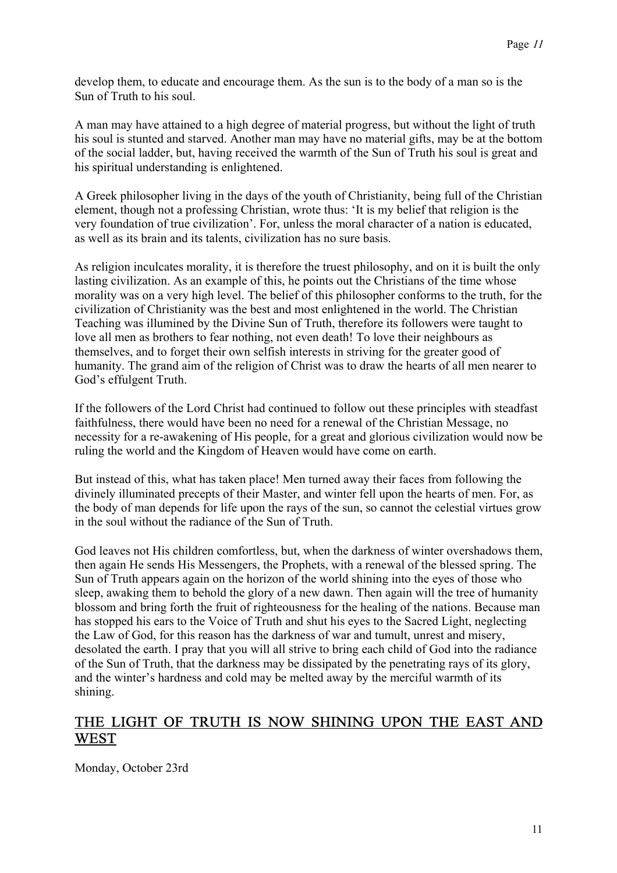develop them, to educate and encourage them. As the sun is to the body of a man so is the Sun of Truth to his soul.

A man may have attained to a high degree of material progress, but without the light of truth his soul is stunted and starved. Another man may have no material gifts, may be at the bottom of the social ladder, but, having received the warmth of the Sun of Truth his soul is great and his spiritual understanding is enlightened.

A Greek philosopher living in the days of the youth of Christianity, being full of the Christian element, though not a professing Christian, wrote thus: 'It is my belief that religion is the very foundation of true civilization'. For, unless the moral character of a nation is educated, as well as its brain and its talents, civilization has no sure basis.

As religion inculcates morality, it is therefore the truest philosophy, and on it is built the only lasting civilization. As an example of this, he points out the Christians of the time whose morality was on a very high level. The belief of this philosopher conforms to the truth, for the civilization of Christianity was the best and most enlightened in the world. The Christian Teaching was illumined by the Divine Sun of Truth, therefore its followers were taught to love all men as brothers to fear nothing, not even death! To love their neighbours as themselves, and to forget their own selfish interests in striving for the greater good of humanity. The grand aim of the religion of Christ was to draw the hearts of all men nearer to God's effulgent Truth.

If the followers of the Lord Christ had continued to follow out these principles with steadfast faithfulness, there would have been no need for a renewal of the Christian Message, no necessity for a re-awakening of His people, for a great and glorious civilization would now be ruling the world and the Kingdom of Heaven would have come on earth.

But instead of this, what has taken place! Men turned away their faces from following the divinely illuminated precepts of their Master, and winter fell upon the hearts of men. For, as the body of man depends for life upon the rays of the sun, so cannot the celestial virtues grow in the soul without the radiance of the Sun of Truth.

God leaves not His children comfortless, but, when the darkness of winter overshadows them, then again He sends His Messengers, the Prophets, with a renewal of the blessed spring. The Sun of Truth appears again on the horizon of the world shining into the eyes of those who sleep, awaking them to behold the glory of a new dawn. Then again will the tree of humanity blossom and bring forth the fruit of righteousness for the healing of the nations. Because man has stopped his ears to the Voice of Truth and shut his eyes to the Sacred Light, neglecting the Law of God, for this reason has the darkness of war and tumult, unrest and misery, desolated the earth. I pray that you will all strive to bring each child of God into the radiance of the Sun of Truth, that the darkness may be dissipated by the penetrating rays of its glory, and the winter's hardness and cold may be melted away by the merciful warmth of its shining.

#### THE LIGHT OF TRUTH IS NOW SHINING UPON THE EAST AND WEST

Monday, October 23rd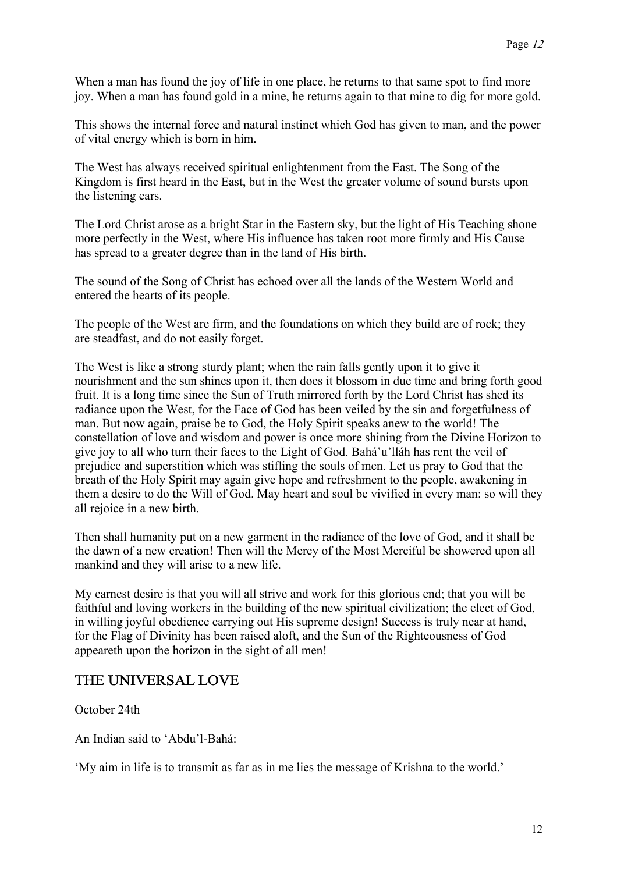When a man has found the joy of life in one place, he returns to that same spot to find more joy. When a man has found gold in a mine, he returns again to that mine to dig for more gold.

This shows the internal force and natural instinct which God has given to man, and the power of vital energy which is born in him.

The West has always received spiritual enlightenment from the East. The Song of the Kingdom is first heard in the East, but in the West the greater volume of sound bursts upon the listening ears.

The Lord Christ arose as a bright Star in the Eastern sky, but the light of His Teaching shone more perfectly in the West, where His influence has taken root more firmly and His Cause has spread to a greater degree than in the land of His birth.

The sound of the Song of Christ has echoed over all the lands of the Western World and entered the hearts of its people.

The people of the West are firm, and the foundations on which they build are of rock; they are steadfast, and do not easily forget.

The West is like a strong sturdy plant; when the rain falls gently upon it to give it nourishment and the sun shines upon it, then does it blossom in due time and bring forth good fruit. It is a long time since the Sun of Truth mirrored forth by the Lord Christ has shed its radiance upon the West, for the Face of God has been veiled by the sin and forgetfulness of man. But now again, praise be to God, the Holy Spirit speaks anew to the world! The constellation of love and wisdom and power is once more shining from the Divine Horizon to give joy to all who turn their faces to the Light of God. Bahá'u'lláh has rent the veil of prejudice and superstition which was stifling the souls of men. Let us pray to God that the breath of the Holy Spirit may again give hope and refreshment to the people, awakening in them a desire to do the Will of God. May heart and soul be vivified in every man: so will they all rejoice in a new birth.

Then shall humanity put on a new garment in the radiance of the love of God, and it shall be the dawn of a new creation! Then will the Mercy of the Most Merciful be showered upon all mankind and they will arise to a new life.

My earnest desire is that you will all strive and work for this glorious end; that you will be faithful and loving workers in the building of the new spiritual civilization; the elect of God, in willing joyful obedience carrying out His supreme design! Success is truly near at hand, for the Flag of Divinity has been raised aloft, and the Sun of the Righteousness of God appeareth upon the horizon in the sight of all men!

### THE UNIVERSAL LOVE

October 24th

An Indian said to 'Abdu'l-Bahá:

'My aim in life is to transmit as far as in me lies the message of Krishna to the world.'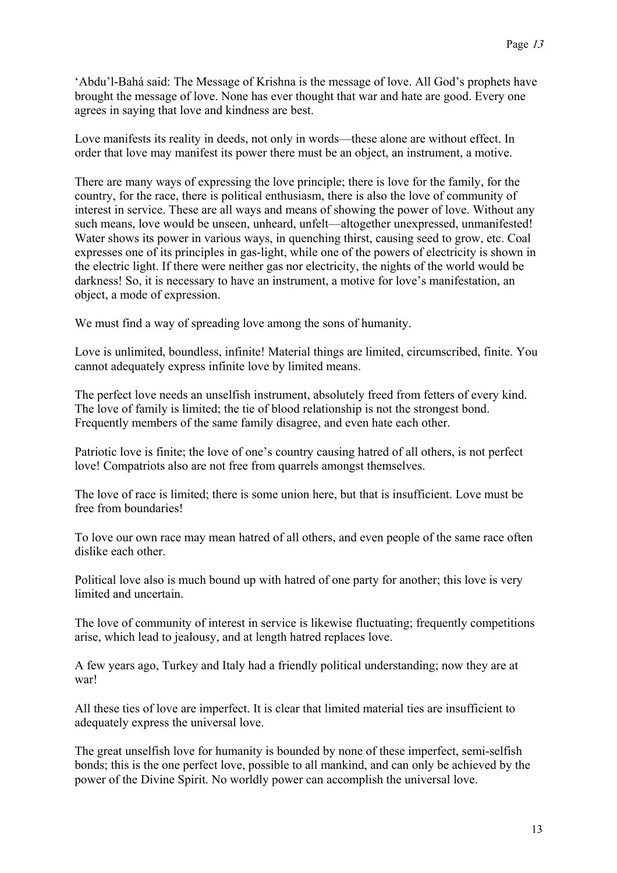'Abdu'l-Bahá said: The Message of Krishna is the message of love. All God's prophets have brought the message of love. None has ever thought that war and hate are good. Every one agrees in saying that love and kindness are best.

Love manifests its reality in deeds, not only in words—these alone are without effect. In order that love may manifest its power there must be an object, an instrument, a motive.

There are many ways of expressing the love principle; there is love for the family, for the country, for the race, there is political enthusiasm, there is also the love of community of interest in service. These are all ways and means of showing the power of love. Without any such means, love would be unseen, unheard, unfelt—altogether unexpressed, unmanifested! Water shows its power in various ways, in quenching thirst, causing seed to grow, etc. Coal expresses one of its principles in gas-light, while one of the powers of electricity is shown in the electric light. If there were neither gas nor electricity, the nights of the world would be darkness! So, it is necessary to have an instrument, a motive for love's manifestation, an object, a mode of expression.

We must find a way of spreading love among the sons of humanity.

Love is unlimited, boundless, infinite! Material things are limited, circumscribed, finite. You cannot adequately express infinite love by limited means.

The perfect love needs an unselfish instrument, absolutely freed from fetters of every kind. The love of family is limited; the tie of blood relationship is not the strongest bond. Frequently members of the same family disagree, and even hate each other.

Patriotic love is finite; the love of one's country causing hatred of all others, is not perfect love! Compatriots also are not free from quarrels amongst themselves.

The love of race is limited; there is some union here, but that is insufficient. Love must be free from boundaries!

To love our own race may mean hatred of all others, and even people of the same race often dislike each other.

Political love also is much bound up with hatred of one party for another; this love is very limited and uncertain.

The love of community of interest in service is likewise fluctuating; frequently competitions arise, which lead to jealousy, and at length hatred replaces love.

A few years ago, Turkey and Italy had a friendly political understanding; now they are at war!

All these ties of love are imperfect. It is clear that limited material ties are insufficient to adequately express the universal love.

The great unselfish love for humanity is bounded by none of these imperfect, semi-selfish bonds; this is the one perfect love, possible to all mankind, and can only be achieved by the power of the Divine Spirit. No worldly power can accomplish the universal love.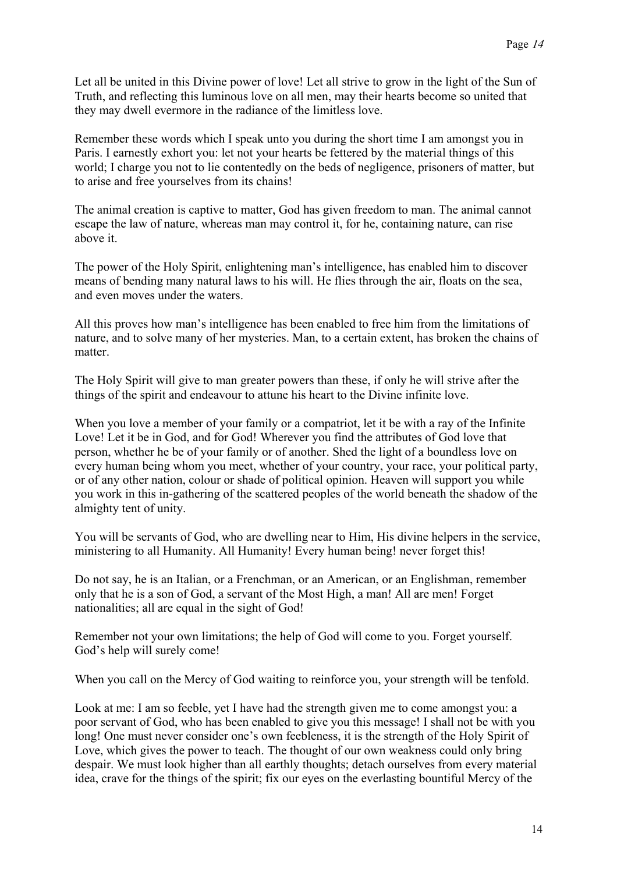Let all be united in this Divine power of love! Let all strive to grow in the light of the Sun of Truth, and reflecting this luminous love on all men, may their hearts become so united that they may dwell evermore in the radiance of the limitless love.

Remember these words which I speak unto you during the short time I am amongst you in Paris. I earnestly exhort you: let not your hearts be fettered by the material things of this world; I charge you not to lie contentedly on the beds of negligence, prisoners of matter, but to arise and free yourselves from its chains!

The animal creation is captive to matter, God has given freedom to man. The animal cannot escape the law of nature, whereas man may control it, for he, containing nature, can rise above it.

The power of the Holy Spirit, enlightening man's intelligence, has enabled him to discover means of bending many natural laws to his will. He flies through the air, floats on the sea, and even moves under the waters.

All this proves how man's intelligence has been enabled to free him from the limitations of nature, and to solve many of her mysteries. Man, to a certain extent, has broken the chains of matter.

The Holy Spirit will give to man greater powers than these, if only he will strive after the things of the spirit and endeavour to attune his heart to the Divine infinite love.

When you love a member of your family or a compatriot, let it be with a ray of the Infinite Love! Let it be in God, and for God! Wherever you find the attributes of God love that person, whether he be of your family or of another. Shed the light of a boundless love on every human being whom you meet, whether of your country, your race, your political party, or of any other nation, colour or shade of political opinion. Heaven will support you while you work in this in-gathering of the scattered peoples of the world beneath the shadow of the almighty tent of unity.

You will be servants of God, who are dwelling near to Him, His divine helpers in the service, ministering to all Humanity. All Humanity! Every human being! never forget this!

Do not say, he is an Italian, or a Frenchman, or an American, or an Englishman, remember only that he is a son of God, a servant of the Most High, a man! All are men! Forget nationalities; all are equal in the sight of God!

Remember not your own limitations; the help of God will come to you. Forget yourself. God's help will surely come!

When you call on the Mercy of God waiting to reinforce you, your strength will be tenfold.

Look at me: I am so feeble, yet I have had the strength given me to come amongst you: a poor servant of God, who has been enabled to give you this message! I shall not be with you long! One must never consider one's own feebleness, it is the strength of the Holy Spirit of Love, which gives the power to teach. The thought of our own weakness could only bring despair. We must look higher than all earthly thoughts; detach ourselves from every material idea, crave for the things of the spirit; fix our eyes on the everlasting bountiful Mercy of the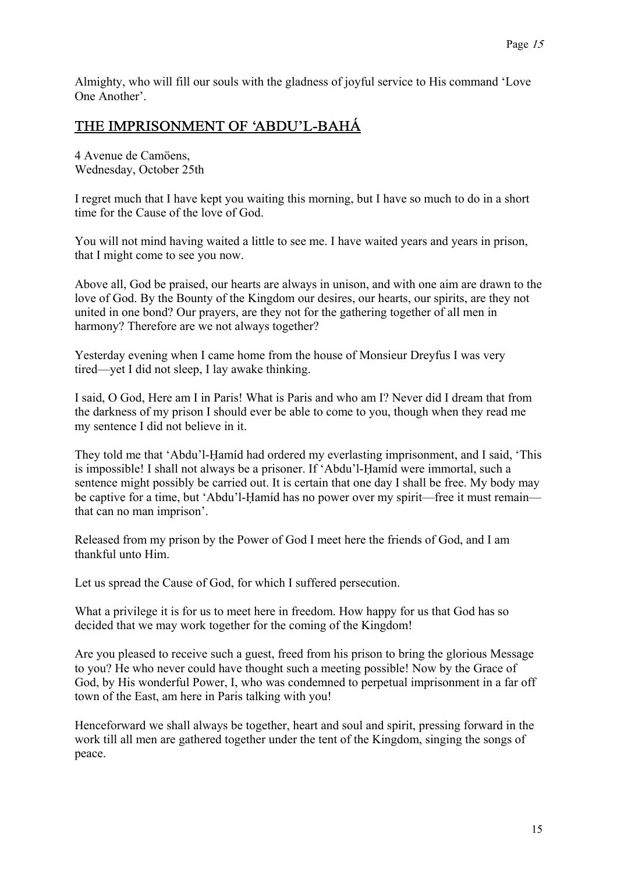Almighty, who will fill our souls with the gladness of joyful service to His command 'Love One Another'.

#### THE IMPRISONMENT OF 'ABDU'L-BAHÁ

4 Avenue de Camöens, Wednesday, October 25th

I regret much that I have kept you waiting this morning, but I have so much to do in a short time for the Cause of the love of God.

You will not mind having waited a little to see me. I have waited years and years in prison, that I might come to see you now.

Above all, God be praised, our hearts are always in unison, and with one aim are drawn to the love of God. By the Bounty of the Kingdom our desires, our hearts, our spirits, are they not united in one bond? Our prayers, are they not for the gathering together of all men in harmony? Therefore are we not always together?

Yesterday evening when I came home from the house of Monsieur Dreyfus I was very tired—yet I did not sleep, I lay awake thinking.

I said, O God, Here am I in Paris! What is Paris and who am I? Never did I dream that from the darkness of my prison I should ever be able to come to you, though when they read me my sentence I did not believe in it.

They told me that 'Abdu'l-Ḥamíd had ordered my everlasting imprisonment, and I said, 'This is impossible! I shall not always be a prisoner. If 'Abdu'l-Ḥamíd were immortal, such a sentence might possibly be carried out. It is certain that one day I shall be free. My body may be captive for a time, but 'Abdu'l-Ḥamíd has no power over my spirit—free it must remain that can no man imprison'.

Released from my prison by the Power of God I meet here the friends of God, and I am thankful unto Him.

Let us spread the Cause of God, for which I suffered persecution.

What a privilege it is for us to meet here in freedom. How happy for us that God has so decided that we may work together for the coming of the Kingdom!

Are you pleased to receive such a guest, freed from his prison to bring the glorious Message to you? He who never could have thought such a meeting possible! Now by the Grace of God, by His wonderful Power, I, who was condemned to perpetual imprisonment in a far off town of the East, am here in Paris talking with you!

Henceforward we shall always be together, heart and soul and spirit, pressing forward in the work till all men are gathered together under the tent of the Kingdom, singing the songs of peace.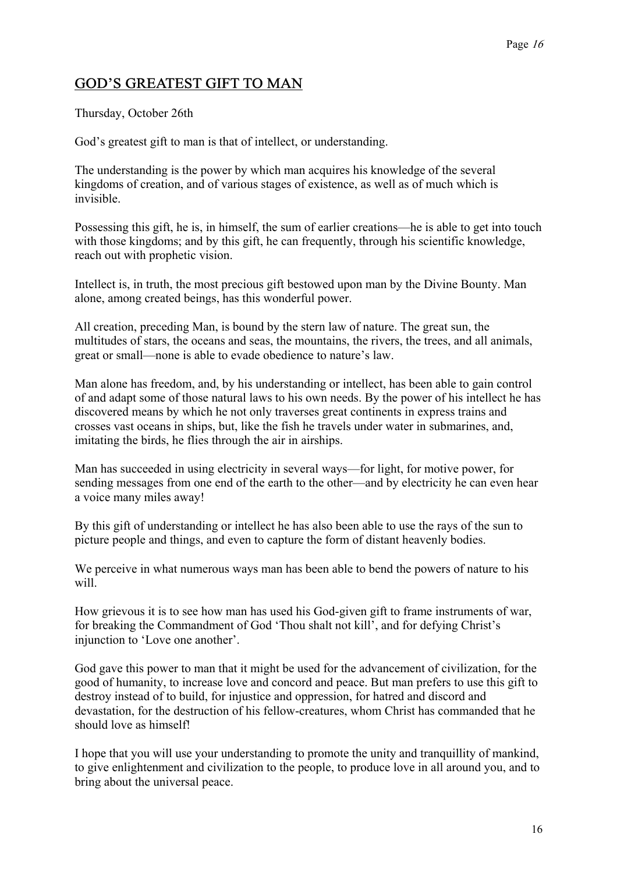# GOD'S GREATEST GIFT TO MAN

Thursday, October 26th

God's greatest gift to man is that of intellect, or understanding.

The understanding is the power by which man acquires his knowledge of the several kingdoms of creation, and of various stages of existence, as well as of much which is invisible.

Possessing this gift, he is, in himself, the sum of earlier creations—he is able to get into touch with those kingdoms; and by this gift, he can frequently, through his scientific knowledge, reach out with prophetic vision.

Intellect is, in truth, the most precious gift bestowed upon man by the Divine Bounty. Man alone, among created beings, has this wonderful power.

All creation, preceding Man, is bound by the stern law of nature. The great sun, the multitudes of stars, the oceans and seas, the mountains, the rivers, the trees, and all animals, great or small—none is able to evade obedience to nature's law.

Man alone has freedom, and, by his understanding or intellect, has been able to gain control of and adapt some of those natural laws to his own needs. By the power of his intellect he has discovered means by which he not only traverses great continents in express trains and crosses vast oceans in ships, but, like the fish he travels under water in submarines, and, imitating the birds, he flies through the air in airships.

Man has succeeded in using electricity in several ways—for light, for motive power, for sending messages from one end of the earth to the other—and by electricity he can even hear a voice many miles away!

By this gift of understanding or intellect he has also been able to use the rays of the sun to picture people and things, and even to capture the form of distant heavenly bodies.

We perceive in what numerous ways man has been able to bend the powers of nature to his will.

How grievous it is to see how man has used his God-given gift to frame instruments of war, for breaking the Commandment of God 'Thou shalt not kill', and for defying Christ's injunction to 'Love one another'.

God gave this power to man that it might be used for the advancement of civilization, for the good of humanity, to increase love and concord and peace. But man prefers to use this gift to destroy instead of to build, for injustice and oppression, for hatred and discord and devastation, for the destruction of his fellow-creatures, whom Christ has commanded that he should love as himself!

I hope that you will use your understanding to promote the unity and tranquillity of mankind, to give enlightenment and civilization to the people, to produce love in all around you, and to bring about the universal peace.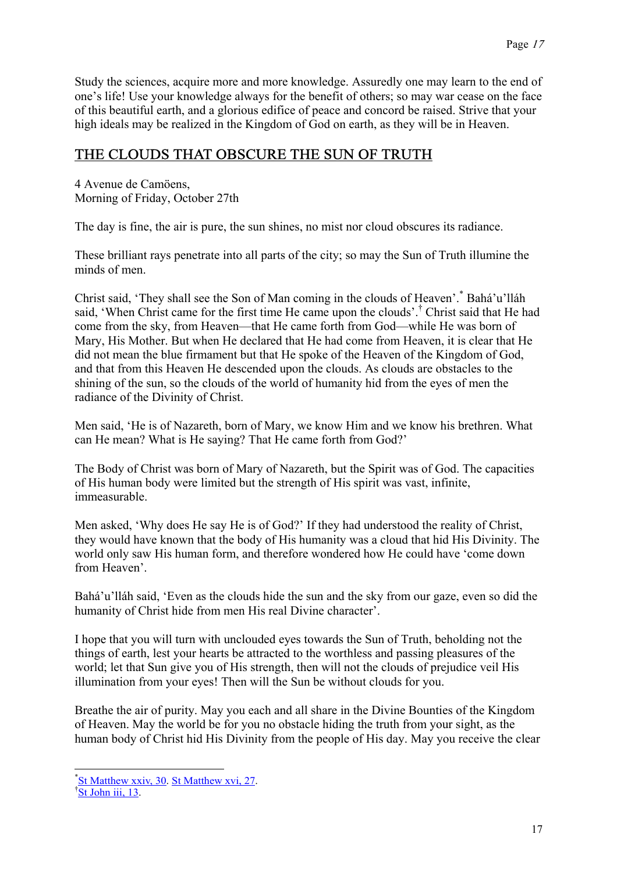Study the sciences, acquire more and more knowledge. Assuredly one may learn to the end of one's life! Use your knowledge always for the benefit of others; so may war cease on the face of this beautiful earth, and a glorious edifice of peace and concord be raised. Strive that your high ideals may be realized in the Kingdom of God on earth, as they will be in Heaven.

#### THE CLOUDS THAT OBSCURE THE SUN OF TRUTH

4 Avenue de Camöens, Morning of Friday, October 27th

The day is fine, the air is pure, the sun shines, no mist nor cloud obscures its radiance.

These brilliant rays penetrate into all parts of the city; so may the Sun of Truth illumine the minds of men.

Christ said, 'They shall see the Son of Man coming in the clouds of Heaven'.\* Bahá'u'lláh said, 'When Christ came for the first time He came upon the clouds'.<sup>†</sup> Christ said that He had come from the sky, from Heaven—that He came forth from God—while He was born of Mary, His Mother. But when He declared that He had come from Heaven, it is clear that He did not mean the blue firmament but that He spoke of the Heaven of the Kingdom of God, and that from this Heaven He descended upon the clouds. As clouds are obstacles to the shining of the sun, so the clouds of the world of humanity hid from the eyes of men the radiance of the Divinity of Christ.

Men said, 'He is of Nazareth, born of Mary, we know Him and we know his brethren. What can He mean? What is He saying? That He came forth from God?'

The Body of Christ was born of Mary of Nazareth, but the Spirit was of God. The capacities of His human body were limited but the strength of His spirit was vast, infinite, immeasurable.

Men asked, 'Why does He say He is of God?' If they had understood the reality of Christ, they would have known that the body of His humanity was a cloud that hid His Divinity. The world only saw His human form, and therefore wondered how He could have 'come down from Heaven'.

Bahá'u'lláh said, 'Even as the clouds hide the sun and the sky from our gaze, even so did the humanity of Christ hide from men His real Divine character'.

I hope that you will turn with unclouded eyes towards the Sun of Truth, beholding not the things of earth, lest your hearts be attracted to the worthless and passing pleasures of the world; let that Sun give you of His strength, then will not the clouds of prejudice veil His illumination from your eyes! Then will the Sun be without clouds for you.

Breathe the air of purity. May you each and all share in the Divine Bounties of the Kingdom of Heaven. May the world be for you no obstacle hiding the truth from your sight, as the human body of Christ hid His Divinity from the people of His day. May you receive the clear

 <sup>\*</sup> St Matthew xxiv, 30. St Matthew xvi, 27. †

<sup>&</sup>lt;sup>1</sup>St John iii, 13.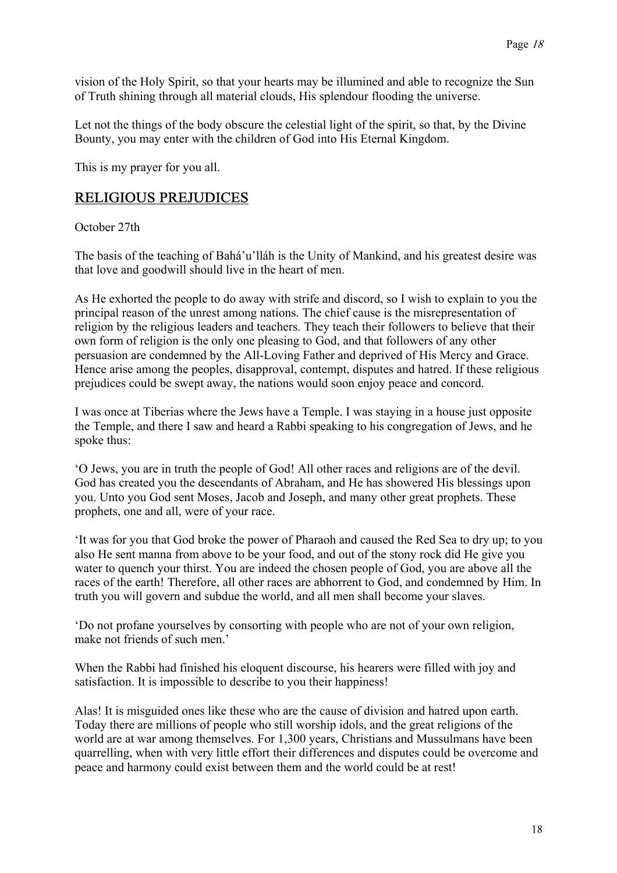vision of the Holy Spirit, so that your hearts may be illumined and able to recognize the Sun of Truth shining through all material clouds, His splendour flooding the universe.

Let not the things of the body obscure the celestial light of the spirit, so that, by the Divine Bounty, you may enter with the children of God into His Eternal Kingdom.

This is my prayer for you all.

#### RELIGIOUS PREJUDICES

#### October 27th

The basis of the teaching of Bahá'u'lláh is the Unity of Mankind, and his greatest desire was that love and goodwill should live in the heart of men.

As He exhorted the people to do away with strife and discord, so I wish to explain to you the principal reason of the unrest among nations. The chief cause is the misrepresentation of religion by the religious leaders and teachers. They teach their followers to believe that their own form of religion is the only one pleasing to God, and that followers of any other persuasion are condemned by the All-Loving Father and deprived of His Mercy and Grace. Hence arise among the peoples, disapproval, contempt, disputes and hatred. If these religious prejudices could be swept away, the nations would soon enjoy peace and concord.

I was once at Tiberias where the Jews have a Temple. I was staying in a house just opposite the Temple, and there I saw and heard a Rabbi speaking to his congregation of Jews, and he spoke thus:

'O Jews, you are in truth the people of God! All other races and religions are of the devil. God has created you the descendants of Abraham, and He has showered His blessings upon you. Unto you God sent Moses, Jacob and Joseph, and many other great prophets. These prophets, one and all, were of your race.

'It was for you that God broke the power of Pharaoh and caused the Red Sea to dry up; to you also He sent manna from above to be your food, and out of the stony rock did He give you water to quench your thirst. You are indeed the chosen people of God, you are above all the races of the earth! Therefore, all other races are abhorrent to God, and condemned by Him. In truth you will govern and subdue the world, and all men shall become your slaves.

'Do not profane yourselves by consorting with people who are not of your own religion, make not friends of such men.'

When the Rabbi had finished his eloquent discourse, his hearers were filled with joy and satisfaction. It is impossible to describe to you their happiness!

Alas! It is misguided ones like these who are the cause of division and hatred upon earth. Today there are millions of people who still worship idols, and the great religions of the world are at war among themselves. For 1,300 years, Christians and Mussulmans have been quarrelling, when with very little effort their differences and disputes could be overcome and peace and harmony could exist between them and the world could be at rest!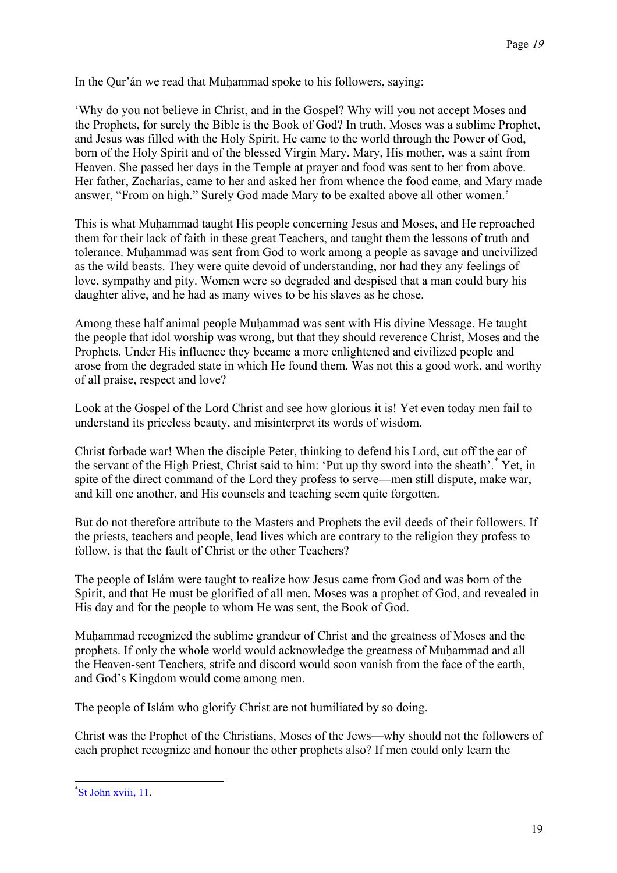In the Qur'án we read that Muḥammad spoke to his followers, saying:

'Why do you not believe in Christ, and in the Gospel? Why will you not accept Moses and the Prophets, for surely the Bible is the Book of God? In truth, Moses was a sublime Prophet, and Jesus was filled with the Holy Spirit. He came to the world through the Power of God, born of the Holy Spirit and of the blessed Virgin Mary. Mary, His mother, was a saint from Heaven. She passed her days in the Temple at prayer and food was sent to her from above. Her father, Zacharias, came to her and asked her from whence the food came, and Mary made answer, "From on high." Surely God made Mary to be exalted above all other women.'

This is what Muhammad taught His people concerning Jesus and Moses, and He reproached them for their lack of faith in these great Teachers, and taught them the lessons of truth and tolerance. Muhammad was sent from God to work among a people as savage and uncivilized as the wild beasts. They were quite devoid of understanding, nor had they any feelings of love, sympathy and pity. Women were so degraded and despised that a man could bury his daughter alive, and he had as many wives to be his slaves as he chose.

Among these half animal people Muhammad was sent with His divine Message. He taught the people that idol worship was wrong, but that they should reverence Christ, Moses and the Prophets. Under His influence they became a more enlightened and civilized people and arose from the degraded state in which He found them. Was not this a good work, and worthy of all praise, respect and love?

Look at the Gospel of the Lord Christ and see how glorious it is! Yet even today men fail to understand its priceless beauty, and misinterpret its words of wisdom.

Christ forbade war! When the disciple Peter, thinking to defend his Lord, cut off the ear of the servant of the High Priest, Christ said to him: 'Put up thy sword into the sheath'.\* Yet, in spite of the direct command of the Lord they profess to serve—men still dispute, make war, and kill one another, and His counsels and teaching seem quite forgotten.

But do not therefore attribute to the Masters and Prophets the evil deeds of their followers. If the priests, teachers and people, lead lives which are contrary to the religion they profess to follow, is that the fault of Christ or the other Teachers?

The people of Islám were taught to realize how Jesus came from God and was born of the Spirit, and that He must be glorified of all men. Moses was a prophet of God, and revealed in His day and for the people to whom He was sent, the Book of God.

Muhammad recognized the sublime grandeur of Christ and the greatness of Moses and the prophets. If only the whole world would acknowledge the greatness of Muḥammad and all the Heaven-sent Teachers, strife and discord would soon vanish from the face of the earth, and God's Kingdom would come among men.

The people of Islám who glorify Christ are not humiliated by so doing.

Christ was the Prophet of the Christians, Moses of the Jews—why should not the followers of each prophet recognize and honour the other prophets also? If men could only learn the

 <sup>\*</sup> St John xviii, 11.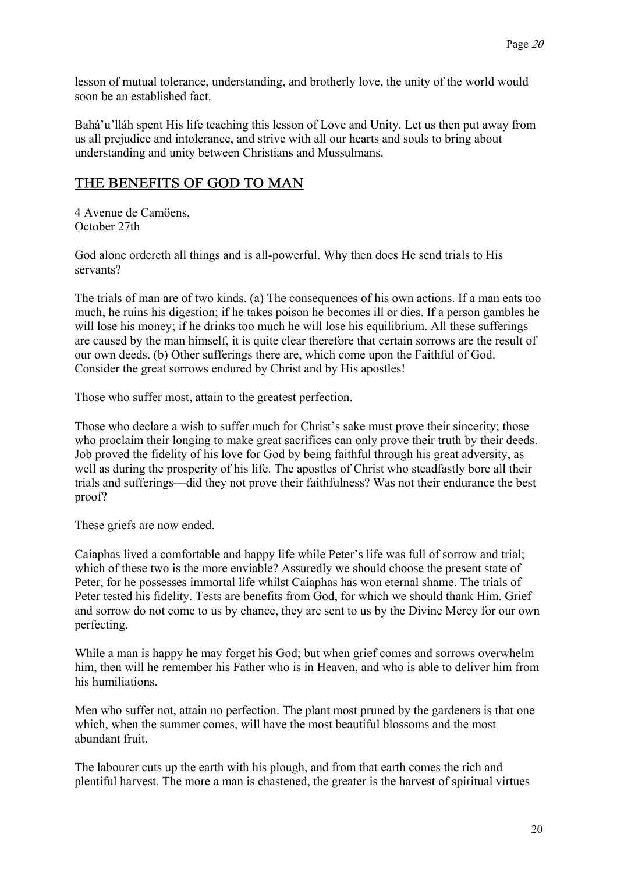lesson of mutual tolerance, understanding, and brotherly love, the unity of the world would soon be an established fact.

Bahá'u'lláh spent His life teaching this lesson of Love and Unity. Let us then put away from us all prejudice and intolerance, and strive with all our hearts and souls to bring about understanding and unity between Christians and Mussulmans.

#### THE BENEFITS OF GOD TO MAN

4 Avenue de Camöens, October 27th

God alone ordereth all things and is all-powerful. Why then does He send trials to His servants?

The trials of man are of two kinds. (a) The consequences of his own actions. If a man eats too much, he ruins his digestion; if he takes poison he becomes ill or dies. If a person gambles he will lose his money; if he drinks too much he will lose his equilibrium. All these sufferings are caused by the man himself, it is quite clear therefore that certain sorrows are the result of our own deeds. (b) Other sufferings there are, which come upon the Faithful of God. Consider the great sorrows endured by Christ and by His apostles!

Those who suffer most, attain to the greatest perfection.

Those who declare a wish to suffer much for Christ's sake must prove their sincerity; those who proclaim their longing to make great sacrifices can only prove their truth by their deeds. Job proved the fidelity of his love for God by being faithful through his great adversity, as well as during the prosperity of his life. The apostles of Christ who steadfastly bore all their trials and sufferings—did they not prove their faithfulness? Was not their endurance the best proof?

These griefs are now ended.

Caiaphas lived a comfortable and happy life while Peter's life was full of sorrow and trial; which of these two is the more enviable? Assuredly we should choose the present state of Peter, for he possesses immortal life whilst Caiaphas has won eternal shame. The trials of Peter tested his fidelity. Tests are benefits from God, for which we should thank Him. Grief and sorrow do not come to us by chance, they are sent to us by the Divine Mercy for our own perfecting.

While a man is happy he may forget his God; but when grief comes and sorrows overwhelm him, then will he remember his Father who is in Heaven, and who is able to deliver him from his humiliations.

Men who suffer not, attain no perfection. The plant most pruned by the gardeners is that one which, when the summer comes, will have the most beautiful blossoms and the most abundant fruit.

The labourer cuts up the earth with his plough, and from that earth comes the rich and plentiful harvest. The more a man is chastened, the greater is the harvest of spiritual virtues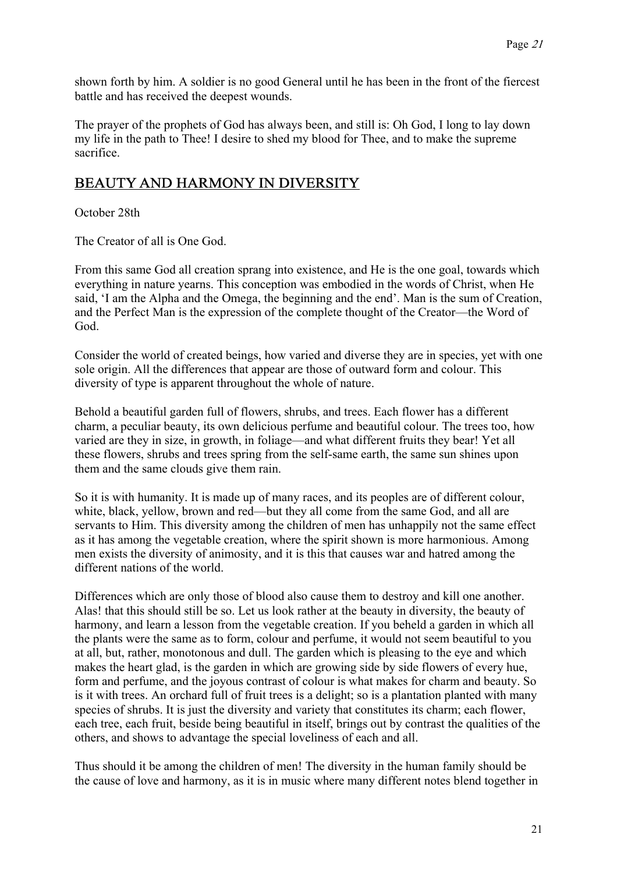shown forth by him. A soldier is no good General until he has been in the front of the fiercest battle and has received the deepest wounds.

The prayer of the prophets of God has always been, and still is: Oh God, I long to lay down my life in the path to Thee! I desire to shed my blood for Thee, and to make the supreme sacrifice.

#### BEAUTY AND HARMONY IN DIVERSITY

October 28th

The Creator of all is One God.

From this same God all creation sprang into existence, and He is the one goal, towards which everything in nature yearns. This conception was embodied in the words of Christ, when He said, 'I am the Alpha and the Omega, the beginning and the end'. Man is the sum of Creation, and the Perfect Man is the expression of the complete thought of the Creator—the Word of God.

Consider the world of created beings, how varied and diverse they are in species, yet with one sole origin. All the differences that appear are those of outward form and colour. This diversity of type is apparent throughout the whole of nature.

Behold a beautiful garden full of flowers, shrubs, and trees. Each flower has a different charm, a peculiar beauty, its own delicious perfume and beautiful colour. The trees too, how varied are they in size, in growth, in foliage—and what different fruits they bear! Yet all these flowers, shrubs and trees spring from the self-same earth, the same sun shines upon them and the same clouds give them rain.

So it is with humanity. It is made up of many races, and its peoples are of different colour, white, black, yellow, brown and red—but they all come from the same God, and all are servants to Him. This diversity among the children of men has unhappily not the same effect as it has among the vegetable creation, where the spirit shown is more harmonious. Among men exists the diversity of animosity, and it is this that causes war and hatred among the different nations of the world.

Differences which are only those of blood also cause them to destroy and kill one another. Alas! that this should still be so. Let us look rather at the beauty in diversity, the beauty of harmony, and learn a lesson from the vegetable creation. If you beheld a garden in which all the plants were the same as to form, colour and perfume, it would not seem beautiful to you at all, but, rather, monotonous and dull. The garden which is pleasing to the eye and which makes the heart glad, is the garden in which are growing side by side flowers of every hue, form and perfume, and the joyous contrast of colour is what makes for charm and beauty. So is it with trees. An orchard full of fruit trees is a delight; so is a plantation planted with many species of shrubs. It is just the diversity and variety that constitutes its charm; each flower, each tree, each fruit, beside being beautiful in itself, brings out by contrast the qualities of the others, and shows to advantage the special loveliness of each and all.

Thus should it be among the children of men! The diversity in the human family should be the cause of love and harmony, as it is in music where many different notes blend together in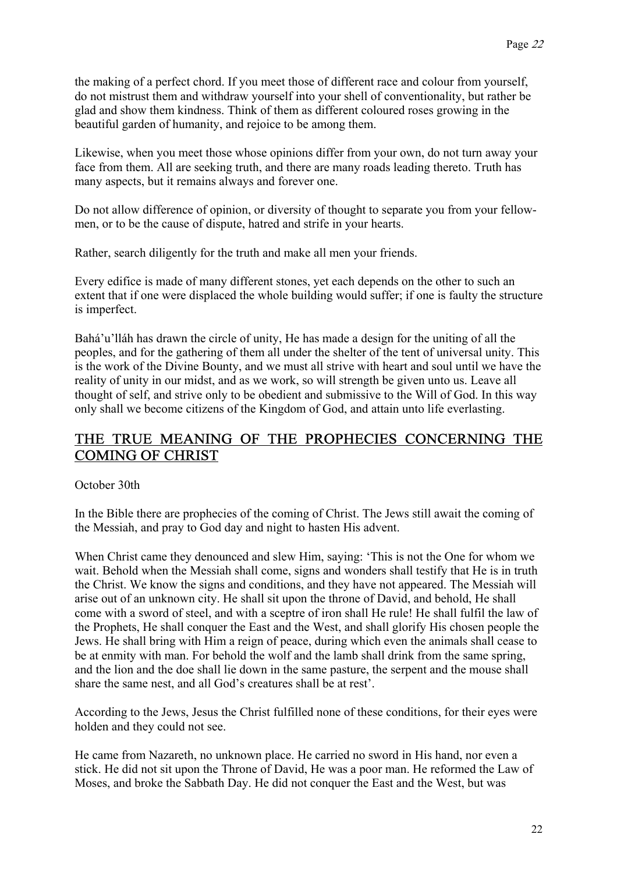the making of a perfect chord. If you meet those of different race and colour from yourself, do not mistrust them and withdraw yourself into your shell of conventionality, but rather be glad and show them kindness. Think of them as different coloured roses growing in the beautiful garden of humanity, and rejoice to be among them.

Likewise, when you meet those whose opinions differ from your own, do not turn away your face from them. All are seeking truth, and there are many roads leading thereto. Truth has many aspects, but it remains always and forever one.

Do not allow difference of opinion, or diversity of thought to separate you from your fellowmen, or to be the cause of dispute, hatred and strife in your hearts.

Rather, search diligently for the truth and make all men your friends.

Every edifice is made of many different stones, yet each depends on the other to such an extent that if one were displaced the whole building would suffer; if one is faulty the structure is imperfect.

Bahá'u'lláh has drawn the circle of unity, He has made a design for the uniting of all the peoples, and for the gathering of them all under the shelter of the tent of universal unity. This is the work of the Divine Bounty, and we must all strive with heart and soul until we have the reality of unity in our midst, and as we work, so will strength be given unto us. Leave all thought of self, and strive only to be obedient and submissive to the Will of God. In this way only shall we become citizens of the Kingdom of God, and attain unto life everlasting.

#### THE TRUE MEANING OF THE PROPHECIES CONCERNING THE COMING OF CHRIST

October 30th

In the Bible there are prophecies of the coming of Christ. The Jews still await the coming of the Messiah, and pray to God day and night to hasten His advent.

When Christ came they denounced and slew Him, saying: 'This is not the One for whom we wait. Behold when the Messiah shall come, signs and wonders shall testify that He is in truth the Christ. We know the signs and conditions, and they have not appeared. The Messiah will arise out of an unknown city. He shall sit upon the throne of David, and behold, He shall come with a sword of steel, and with a sceptre of iron shall He rule! He shall fulfil the law of the Prophets, He shall conquer the East and the West, and shall glorify His chosen people the Jews. He shall bring with Him a reign of peace, during which even the animals shall cease to be at enmity with man. For behold the wolf and the lamb shall drink from the same spring, and the lion and the doe shall lie down in the same pasture, the serpent and the mouse shall share the same nest, and all God's creatures shall be at rest'.

According to the Jews, Jesus the Christ fulfilled none of these conditions, for their eyes were holden and they could not see.

He came from Nazareth, no unknown place. He carried no sword in His hand, nor even a stick. He did not sit upon the Throne of David, He was a poor man. He reformed the Law of Moses, and broke the Sabbath Day. He did not conquer the East and the West, but was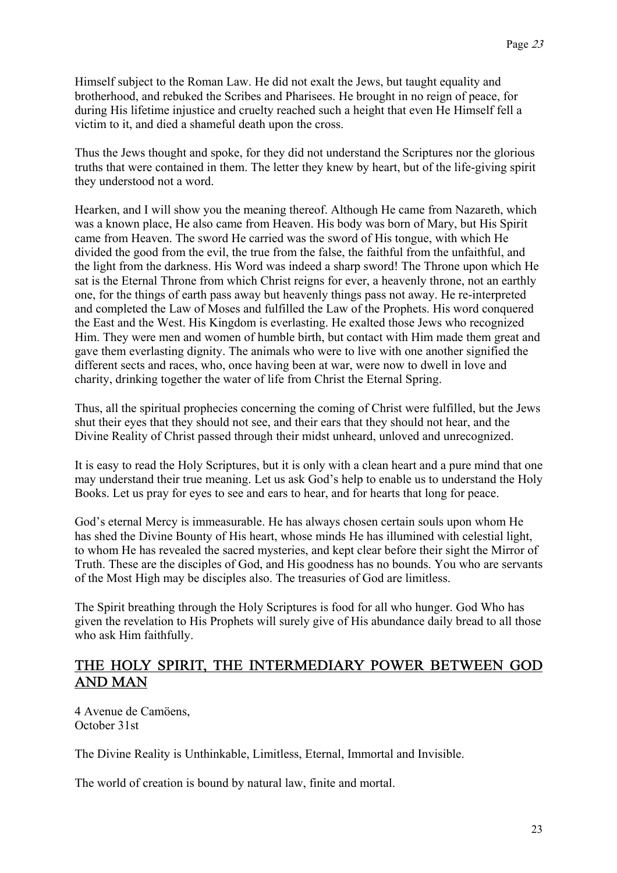Himself subject to the Roman Law. He did not exalt the Jews, but taught equality and brotherhood, and rebuked the Scribes and Pharisees. He brought in no reign of peace, for during His lifetime injustice and cruelty reached such a height that even He Himself fell a victim to it, and died a shameful death upon the cross.

Thus the Jews thought and spoke, for they did not understand the Scriptures nor the glorious truths that were contained in them. The letter they knew by heart, but of the life-giving spirit they understood not a word.

Hearken, and I will show you the meaning thereof. Although He came from Nazareth, which was a known place, He also came from Heaven. His body was born of Mary, but His Spirit came from Heaven. The sword He carried was the sword of His tongue, with which He divided the good from the evil, the true from the false, the faithful from the unfaithful, and the light from the darkness. His Word was indeed a sharp sword! The Throne upon which He sat is the Eternal Throne from which Christ reigns for ever, a heavenly throne, not an earthly one, for the things of earth pass away but heavenly things pass not away. He re-interpreted and completed the Law of Moses and fulfilled the Law of the Prophets. His word conquered the East and the West. His Kingdom is everlasting. He exalted those Jews who recognized Him. They were men and women of humble birth, but contact with Him made them great and gave them everlasting dignity. The animals who were to live with one another signified the different sects and races, who, once having been at war, were now to dwell in love and charity, drinking together the water of life from Christ the Eternal Spring.

Thus, all the spiritual prophecies concerning the coming of Christ were fulfilled, but the Jews shut their eyes that they should not see, and their ears that they should not hear, and the Divine Reality of Christ passed through their midst unheard, unloved and unrecognized.

It is easy to read the Holy Scriptures, but it is only with a clean heart and a pure mind that one may understand their true meaning. Let us ask God's help to enable us to understand the Holy Books. Let us pray for eyes to see and ears to hear, and for hearts that long for peace.

God's eternal Mercy is immeasurable. He has always chosen certain souls upon whom He has shed the Divine Bounty of His heart, whose minds He has illumined with celestial light, to whom He has revealed the sacred mysteries, and kept clear before their sight the Mirror of Truth. These are the disciples of God, and His goodness has no bounds. You who are servants of the Most High may be disciples also. The treasuries of God are limitless.

The Spirit breathing through the Holy Scriptures is food for all who hunger. God Who has given the revelation to His Prophets will surely give of His abundance daily bread to all those who ask Him faithfully.

#### THE HOLY SPIRIT, THE INTERMEDIARY POWER BETWEEN GOD AND MAN

4 Avenue de Camöens, October 31st

The Divine Reality is Unthinkable, Limitless, Eternal, Immortal and Invisible.

The world of creation is bound by natural law, finite and mortal.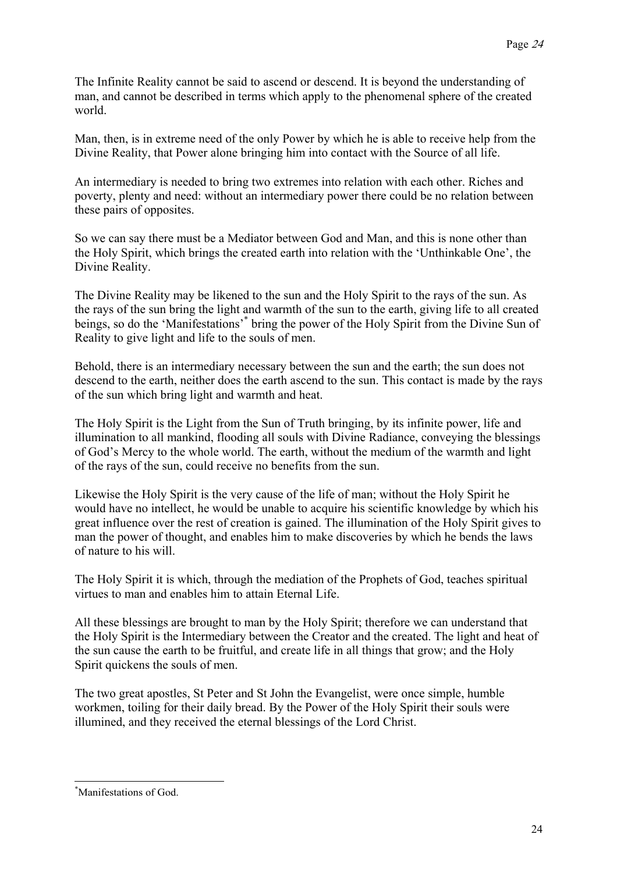The Infinite Reality cannot be said to ascend or descend. It is beyond the understanding of man, and cannot be described in terms which apply to the phenomenal sphere of the created world.

Man, then, is in extreme need of the only Power by which he is able to receive help from the Divine Reality, that Power alone bringing him into contact with the Source of all life.

An intermediary is needed to bring two extremes into relation with each other. Riches and poverty, plenty and need: without an intermediary power there could be no relation between these pairs of opposites.

So we can say there must be a Mediator between God and Man, and this is none other than the Holy Spirit, which brings the created earth into relation with the 'Unthinkable One', the Divine Reality.

The Divine Reality may be likened to the sun and the Holy Spirit to the rays of the sun. As the rays of the sun bring the light and warmth of the sun to the earth, giving life to all created beings, so do the 'Manifestations'<sup>\*</sup> bring the power of the Holy Spirit from the Divine Sun of Reality to give light and life to the souls of men.

Behold, there is an intermediary necessary between the sun and the earth; the sun does not descend to the earth, neither does the earth ascend to the sun. This contact is made by the rays of the sun which bring light and warmth and heat.

The Holy Spirit is the Light from the Sun of Truth bringing, by its infinite power, life and illumination to all mankind, flooding all souls with Divine Radiance, conveying the blessings of God's Mercy to the whole world. The earth, without the medium of the warmth and light of the rays of the sun, could receive no benefits from the sun.

Likewise the Holy Spirit is the very cause of the life of man; without the Holy Spirit he would have no intellect, he would be unable to acquire his scientific knowledge by which his great influence over the rest of creation is gained. The illumination of the Holy Spirit gives to man the power of thought, and enables him to make discoveries by which he bends the laws of nature to his will.

The Holy Spirit it is which, through the mediation of the Prophets of God, teaches spiritual virtues to man and enables him to attain Eternal Life.

All these blessings are brought to man by the Holy Spirit; therefore we can understand that the Holy Spirit is the Intermediary between the Creator and the created. The light and heat of the sun cause the earth to be fruitful, and create life in all things that grow; and the Holy Spirit quickens the souls of men.

The two great apostles, St Peter and St John the Evangelist, were once simple, humble workmen, toiling for their daily bread. By the Power of the Holy Spirit their souls were illumined, and they received the eternal blessings of the Lord Christ.

 <sup>\*</sup> Manifestations of God.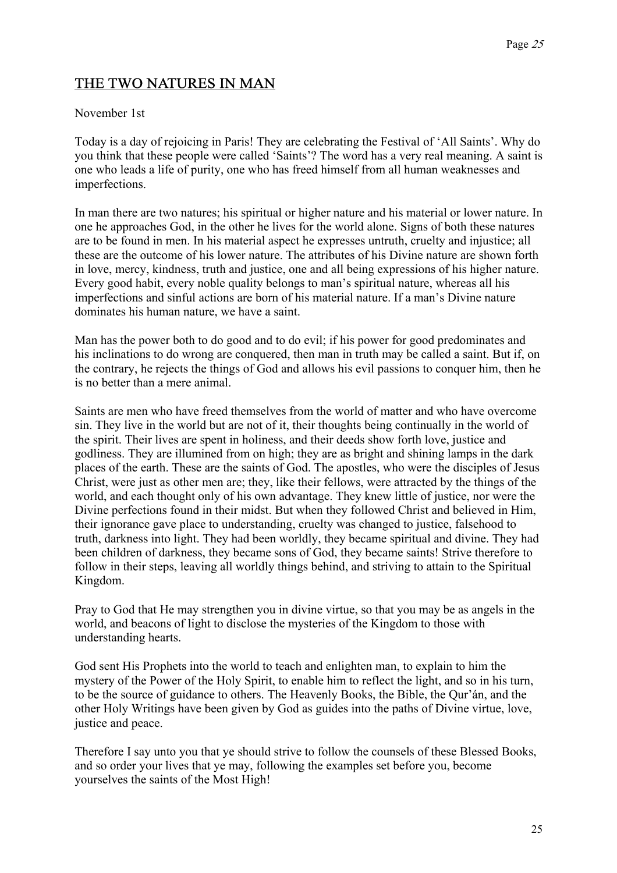# THE TWO NATURES IN MAN

#### November 1st

Today is a day of rejoicing in Paris! They are celebrating the Festival of 'All Saints'. Why do you think that these people were called 'Saints'? The word has a very real meaning. A saint is one who leads a life of purity, one who has freed himself from all human weaknesses and imperfections.

In man there are two natures; his spiritual or higher nature and his material or lower nature. In one he approaches God, in the other he lives for the world alone. Signs of both these natures are to be found in men. In his material aspect he expresses untruth, cruelty and injustice; all these are the outcome of his lower nature. The attributes of his Divine nature are shown forth in love, mercy, kindness, truth and justice, one and all being expressions of his higher nature. Every good habit, every noble quality belongs to man's spiritual nature, whereas all his imperfections and sinful actions are born of his material nature. If a man's Divine nature dominates his human nature, we have a saint.

Man has the power both to do good and to do evil; if his power for good predominates and his inclinations to do wrong are conquered, then man in truth may be called a saint. But if, on the contrary, he rejects the things of God and allows his evil passions to conquer him, then he is no better than a mere animal.

Saints are men who have freed themselves from the world of matter and who have overcome sin. They live in the world but are not of it, their thoughts being continually in the world of the spirit. Their lives are spent in holiness, and their deeds show forth love, justice and godliness. They are illumined from on high; they are as bright and shining lamps in the dark places of the earth. These are the saints of God. The apostles, who were the disciples of Jesus Christ, were just as other men are; they, like their fellows, were attracted by the things of the world, and each thought only of his own advantage. They knew little of justice, nor were the Divine perfections found in their midst. But when they followed Christ and believed in Him, their ignorance gave place to understanding, cruelty was changed to justice, falsehood to truth, darkness into light. They had been worldly, they became spiritual and divine. They had been children of darkness, they became sons of God, they became saints! Strive therefore to follow in their steps, leaving all worldly things behind, and striving to attain to the Spiritual Kingdom.

Pray to God that He may strengthen you in divine virtue, so that you may be as angels in the world, and beacons of light to disclose the mysteries of the Kingdom to those with understanding hearts.

God sent His Prophets into the world to teach and enlighten man, to explain to him the mystery of the Power of the Holy Spirit, to enable him to reflect the light, and so in his turn, to be the source of guidance to others. The Heavenly Books, the Bible, the Qur'án, and the other Holy Writings have been given by God as guides into the paths of Divine virtue, love, justice and peace.

Therefore I say unto you that ye should strive to follow the counsels of these Blessed Books, and so order your lives that ye may, following the examples set before you, become yourselves the saints of the Most High!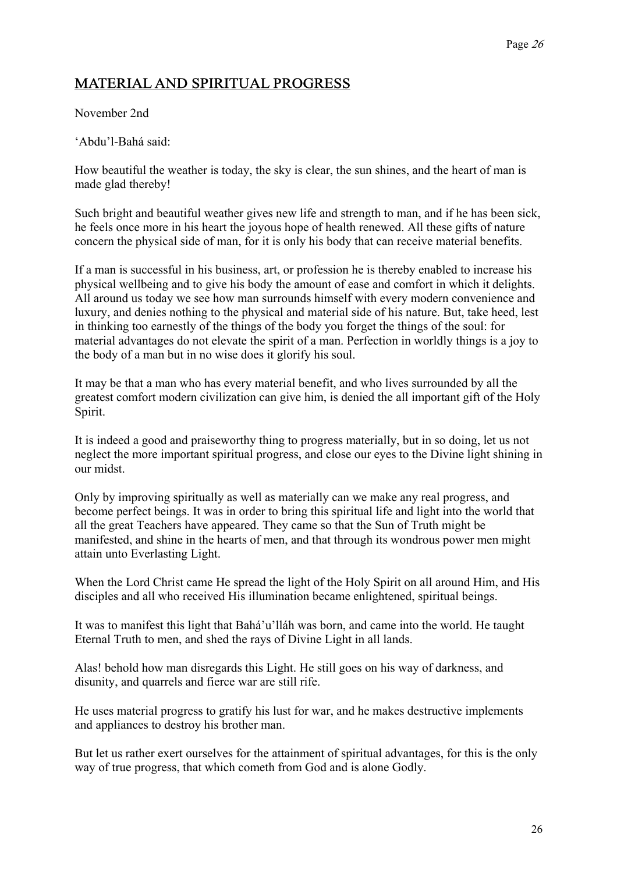# MATERIAL AND SPIRITUAL PROGRESS

November 2nd

'Abdu'l-Bahá said:

How beautiful the weather is today, the sky is clear, the sun shines, and the heart of man is made glad thereby!

Such bright and beautiful weather gives new life and strength to man, and if he has been sick, he feels once more in his heart the joyous hope of health renewed. All these gifts of nature concern the physical side of man, for it is only his body that can receive material benefits.

If a man is successful in his business, art, or profession he is thereby enabled to increase his physical wellbeing and to give his body the amount of ease and comfort in which it delights. All around us today we see how man surrounds himself with every modern convenience and luxury, and denies nothing to the physical and material side of his nature. But, take heed, lest in thinking too earnestly of the things of the body you forget the things of the soul: for material advantages do not elevate the spirit of a man. Perfection in worldly things is a joy to the body of a man but in no wise does it glorify his soul.

It may be that a man who has every material benefit, and who lives surrounded by all the greatest comfort modern civilization can give him, is denied the all important gift of the Holy Spirit.

It is indeed a good and praiseworthy thing to progress materially, but in so doing, let us not neglect the more important spiritual progress, and close our eyes to the Divine light shining in our midst.

Only by improving spiritually as well as materially can we make any real progress, and become perfect beings. It was in order to bring this spiritual life and light into the world that all the great Teachers have appeared. They came so that the Sun of Truth might be manifested, and shine in the hearts of men, and that through its wondrous power men might attain unto Everlasting Light.

When the Lord Christ came He spread the light of the Holy Spirit on all around Him, and His disciples and all who received His illumination became enlightened, spiritual beings.

It was to manifest this light that Bahá'u'lláh was born, and came into the world. He taught Eternal Truth to men, and shed the rays of Divine Light in all lands.

Alas! behold how man disregards this Light. He still goes on his way of darkness, and disunity, and quarrels and fierce war are still rife.

He uses material progress to gratify his lust for war, and he makes destructive implements and appliances to destroy his brother man.

But let us rather exert ourselves for the attainment of spiritual advantages, for this is the only way of true progress, that which cometh from God and is alone Godly.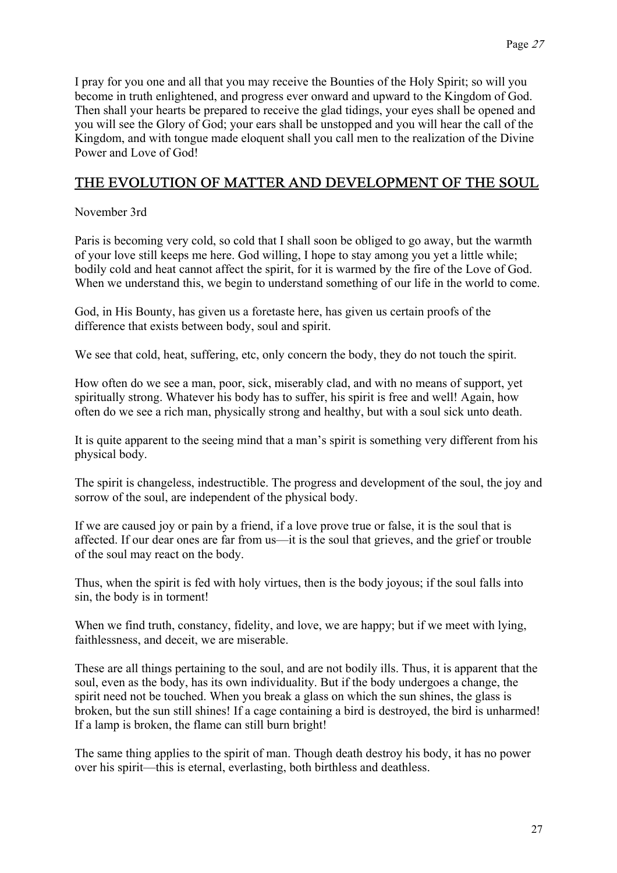I pray for you one and all that you may receive the Bounties of the Holy Spirit; so will you become in truth enlightened, and progress ever onward and upward to the Kingdom of God. Then shall your hearts be prepared to receive the glad tidings, your eyes shall be opened and you will see the Glory of God; your ears shall be unstopped and you will hear the call of the Kingdom, and with tongue made eloquent shall you call men to the realization of the Divine Power and Love of God!

#### THE EVOLUTION OF MATTER AND DEVELOPMENT OF THE SOUL

November 3rd

Paris is becoming very cold, so cold that I shall soon be obliged to go away, but the warmth of your love still keeps me here. God willing, I hope to stay among you yet a little while; bodily cold and heat cannot affect the spirit, for it is warmed by the fire of the Love of God. When we understand this, we begin to understand something of our life in the world to come.

God, in His Bounty, has given us a foretaste here, has given us certain proofs of the difference that exists between body, soul and spirit.

We see that cold, heat, suffering, etc, only concern the body, they do not touch the spirit.

How often do we see a man, poor, sick, miserably clad, and with no means of support, yet spiritually strong. Whatever his body has to suffer, his spirit is free and well! Again, how often do we see a rich man, physically strong and healthy, but with a soul sick unto death.

It is quite apparent to the seeing mind that a man's spirit is something very different from his physical body.

The spirit is changeless, indestructible. The progress and development of the soul, the joy and sorrow of the soul, are independent of the physical body.

If we are caused joy or pain by a friend, if a love prove true or false, it is the soul that is affected. If our dear ones are far from us—it is the soul that grieves, and the grief or trouble of the soul may react on the body.

Thus, when the spirit is fed with holy virtues, then is the body joyous; if the soul falls into sin, the body is in torment!

When we find truth, constancy, fidelity, and love, we are happy; but if we meet with lying, faithlessness, and deceit, we are miserable.

These are all things pertaining to the soul, and are not bodily ills. Thus, it is apparent that the soul, even as the body, has its own individuality. But if the body undergoes a change, the spirit need not be touched. When you break a glass on which the sun shines, the glass is broken, but the sun still shines! If a cage containing a bird is destroyed, the bird is unharmed! If a lamp is broken, the flame can still burn bright!

The same thing applies to the spirit of man. Though death destroy his body, it has no power over his spirit—this is eternal, everlasting, both birthless and deathless.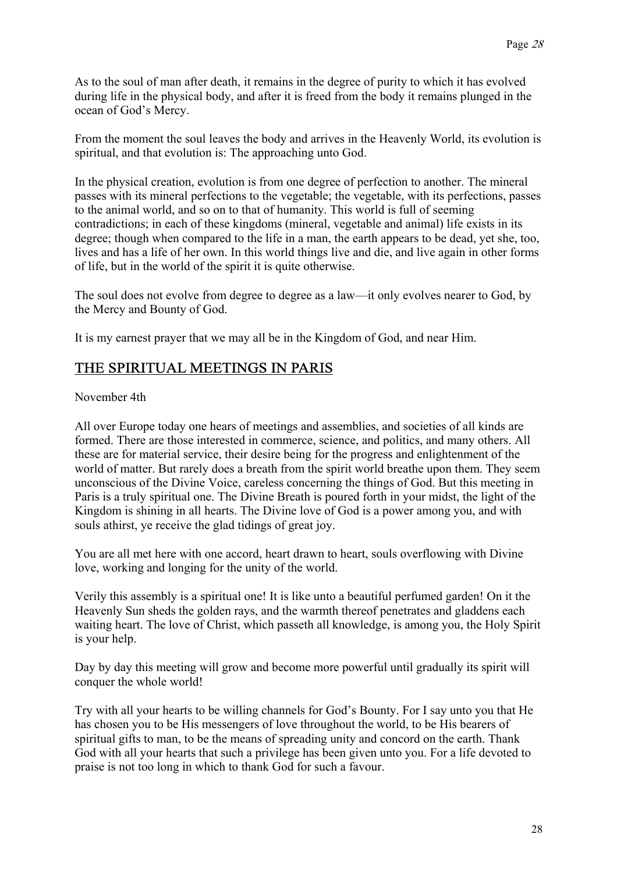As to the soul of man after death, it remains in the degree of purity to which it has evolved during life in the physical body, and after it is freed from the body it remains plunged in the ocean of God's Mercy.

From the moment the soul leaves the body and arrives in the Heavenly World, its evolution is spiritual, and that evolution is: The approaching unto God.

In the physical creation, evolution is from one degree of perfection to another. The mineral passes with its mineral perfections to the vegetable; the vegetable, with its perfections, passes to the animal world, and so on to that of humanity. This world is full of seeming contradictions; in each of these kingdoms (mineral, vegetable and animal) life exists in its degree; though when compared to the life in a man, the earth appears to be dead, yet she, too, lives and has a life of her own. In this world things live and die, and live again in other forms of life, but in the world of the spirit it is quite otherwise.

The soul does not evolve from degree to degree as a law—it only evolves nearer to God, by the Mercy and Bounty of God.

It is my earnest prayer that we may all be in the Kingdom of God, and near Him.

#### THE SPIRITUAL MEETINGS IN PARIS

#### November 4th

All over Europe today one hears of meetings and assemblies, and societies of all kinds are formed. There are those interested in commerce, science, and politics, and many others. All these are for material service, their desire being for the progress and enlightenment of the world of matter. But rarely does a breath from the spirit world breathe upon them. They seem unconscious of the Divine Voice, careless concerning the things of God. But this meeting in Paris is a truly spiritual one. The Divine Breath is poured forth in your midst, the light of the Kingdom is shining in all hearts. The Divine love of God is a power among you, and with souls athirst, ye receive the glad tidings of great joy.

You are all met here with one accord, heart drawn to heart, souls overflowing with Divine love, working and longing for the unity of the world.

Verily this assembly is a spiritual one! It is like unto a beautiful perfumed garden! On it the Heavenly Sun sheds the golden rays, and the warmth thereof penetrates and gladdens each waiting heart. The love of Christ, which passeth all knowledge, is among you, the Holy Spirit is your help.

Day by day this meeting will grow and become more powerful until gradually its spirit will conquer the whole world!

Try with all your hearts to be willing channels for God's Bounty. For I say unto you that He has chosen you to be His messengers of love throughout the world, to be His bearers of spiritual gifts to man, to be the means of spreading unity and concord on the earth. Thank God with all your hearts that such a privilege has been given unto you. For a life devoted to praise is not too long in which to thank God for such a favour.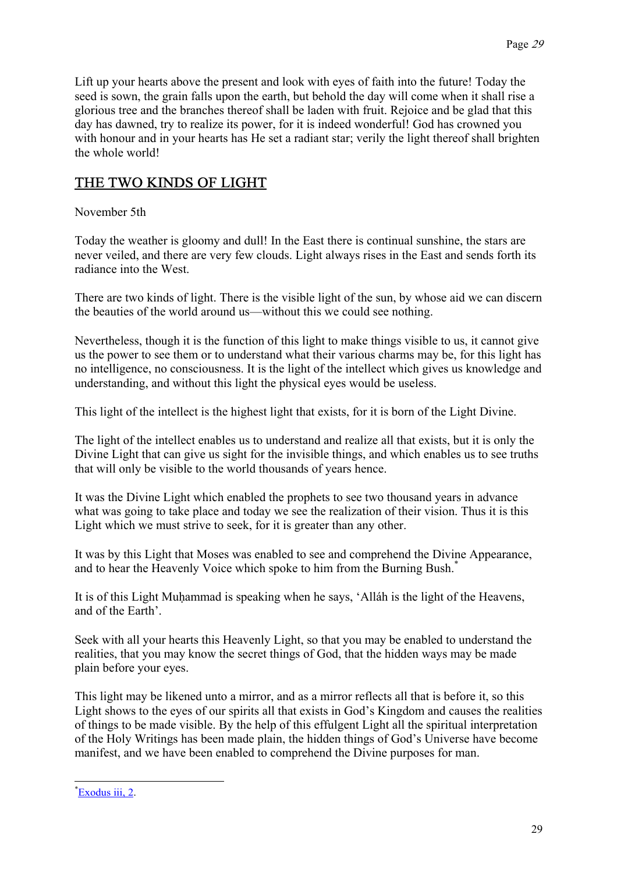Lift up your hearts above the present and look with eyes of faith into the future! Today the seed is sown, the grain falls upon the earth, but behold the day will come when it shall rise a glorious tree and the branches thereof shall be laden with fruit. Rejoice and be glad that this day has dawned, try to realize its power, for it is indeed wonderful! God has crowned you with honour and in your hearts has He set a radiant star; verily the light thereof shall brighten the whole world!

#### THE TWO KINDS OF LIGHT

November 5th

Today the weather is gloomy and dull! In the East there is continual sunshine, the stars are never veiled, and there are very few clouds. Light always rises in the East and sends forth its radiance into the West.

There are two kinds of light. There is the visible light of the sun, by whose aid we can discern the beauties of the world around us—without this we could see nothing.

Nevertheless, though it is the function of this light to make things visible to us, it cannot give us the power to see them or to understand what their various charms may be, for this light has no intelligence, no consciousness. It is the light of the intellect which gives us knowledge and understanding, and without this light the physical eyes would be useless.

This light of the intellect is the highest light that exists, for it is born of the Light Divine.

The light of the intellect enables us to understand and realize all that exists, but it is only the Divine Light that can give us sight for the invisible things, and which enables us to see truths that will only be visible to the world thousands of years hence.

It was the Divine Light which enabled the prophets to see two thousand years in advance what was going to take place and today we see the realization of their vision. Thus it is this Light which we must strive to seek, for it is greater than any other.

It was by this Light that Moses was enabled to see and comprehend the Divine Appearance, and to hear the Heavenly Voice which spoke to him from the Burning Bush.<sup>\*</sup>

It is of this Light Muḥammad is speaking when he says, 'Alláh is the light of the Heavens, and of the Earth'.

Seek with all your hearts this Heavenly Light, so that you may be enabled to understand the realities, that you may know the secret things of God, that the hidden ways may be made plain before your eyes.

This light may be likened unto a mirror, and as a mirror reflects all that is before it, so this Light shows to the eyes of our spirits all that exists in God's Kingdom and causes the realities of things to be made visible. By the help of this effulgent Light all the spiritual interpretation of the Holy Writings has been made plain, the hidden things of God's Universe have become manifest, and we have been enabled to comprehend the Divine purposes for man.

 <sup>\*</sup> Exodus iii, 2.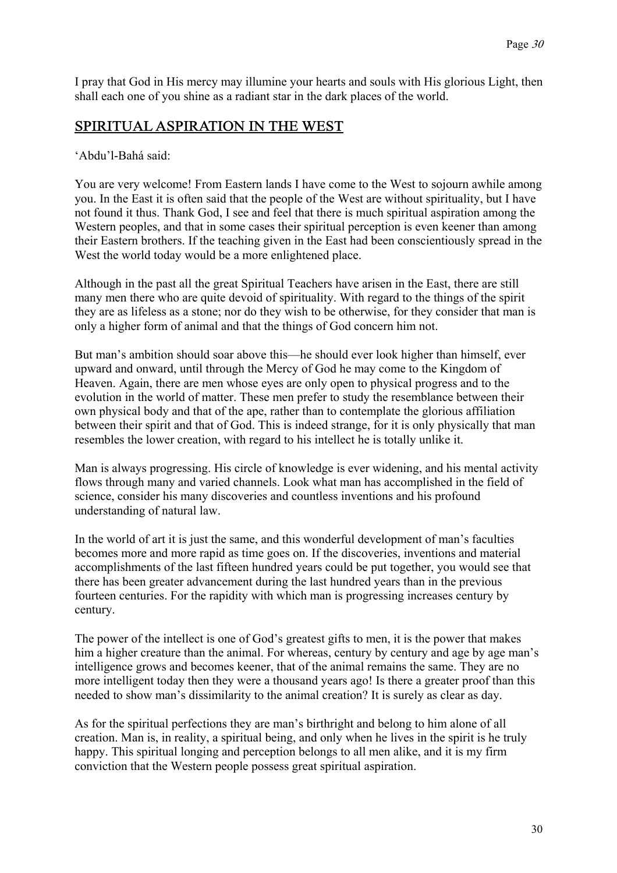I pray that God in His mercy may illumine your hearts and souls with His glorious Light, then shall each one of you shine as a radiant star in the dark places of the world.

### SPIRITUAL ASPIRATION IN THE WEST

#### 'Abdu'l-Bahá said:

You are very welcome! From Eastern lands I have come to the West to sojourn awhile among you. In the East it is often said that the people of the West are without spirituality, but I have not found it thus. Thank God, I see and feel that there is much spiritual aspiration among the Western peoples, and that in some cases their spiritual perception is even keener than among their Eastern brothers. If the teaching given in the East had been conscientiously spread in the West the world today would be a more enlightened place.

Although in the past all the great Spiritual Teachers have arisen in the East, there are still many men there who are quite devoid of spirituality. With regard to the things of the spirit they are as lifeless as a stone; nor do they wish to be otherwise, for they consider that man is only a higher form of animal and that the things of God concern him not.

But man's ambition should soar above this—he should ever look higher than himself, ever upward and onward, until through the Mercy of God he may come to the Kingdom of Heaven. Again, there are men whose eyes are only open to physical progress and to the evolution in the world of matter. These men prefer to study the resemblance between their own physical body and that of the ape, rather than to contemplate the glorious affiliation between their spirit and that of God. This is indeed strange, for it is only physically that man resembles the lower creation, with regard to his intellect he is totally unlike it.

Man is always progressing. His circle of knowledge is ever widening, and his mental activity flows through many and varied channels. Look what man has accomplished in the field of science, consider his many discoveries and countless inventions and his profound understanding of natural law.

In the world of art it is just the same, and this wonderful development of man's faculties becomes more and more rapid as time goes on. If the discoveries, inventions and material accomplishments of the last fifteen hundred years could be put together, you would see that there has been greater advancement during the last hundred years than in the previous fourteen centuries. For the rapidity with which man is progressing increases century by century.

The power of the intellect is one of God's greatest gifts to men, it is the power that makes him a higher creature than the animal. For whereas, century by century and age by age man's intelligence grows and becomes keener, that of the animal remains the same. They are no more intelligent today then they were a thousand years ago! Is there a greater proof than this needed to show man's dissimilarity to the animal creation? It is surely as clear as day.

As for the spiritual perfections they are man's birthright and belong to him alone of all creation. Man is, in reality, a spiritual being, and only when he lives in the spirit is he truly happy. This spiritual longing and perception belongs to all men alike, and it is my firm conviction that the Western people possess great spiritual aspiration.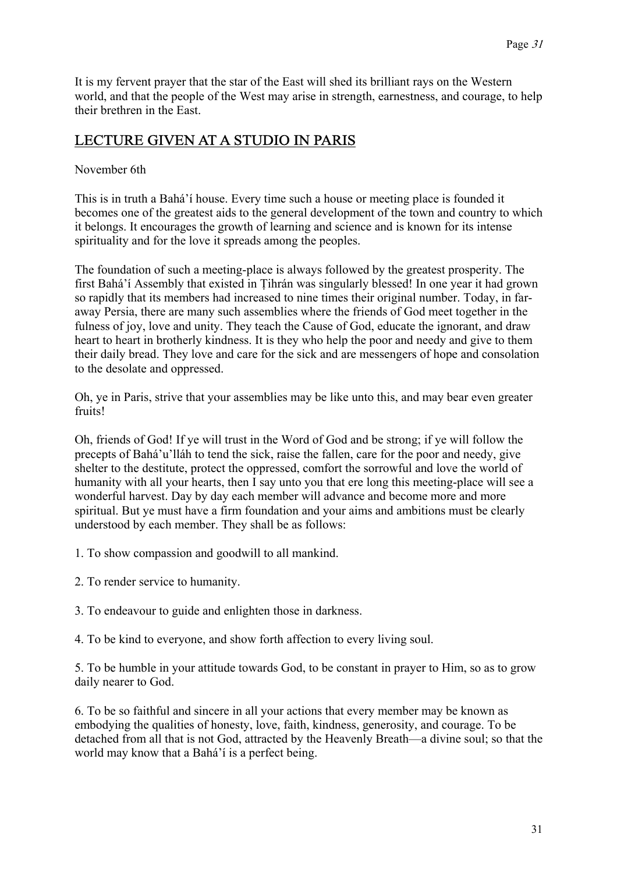It is my fervent prayer that the star of the East will shed its brilliant rays on the Western world, and that the people of the West may arise in strength, earnestness, and courage, to help their brethren in the East.

### LECTURE GIVEN AT A STUDIO IN PARIS

#### November 6th

This is in truth a Bahá'í house. Every time such a house or meeting place is founded it becomes one of the greatest aids to the general development of the town and country to which it belongs. It encourages the growth of learning and science and is known for its intense spirituality and for the love it spreads among the peoples.

The foundation of such a meeting-place is always followed by the greatest prosperity. The first Bahá'í Assembly that existed in Ṭihrán was singularly blessed! In one year it had grown so rapidly that its members had increased to nine times their original number. Today, in faraway Persia, there are many such assemblies where the friends of God meet together in the fulness of joy, love and unity. They teach the Cause of God, educate the ignorant, and draw heart to heart in brotherly kindness. It is they who help the poor and needy and give to them their daily bread. They love and care for the sick and are messengers of hope and consolation to the desolate and oppressed.

Oh, ye in Paris, strive that your assemblies may be like unto this, and may bear even greater fruits!

Oh, friends of God! If ye will trust in the Word of God and be strong; if ye will follow the precepts of Bahá'u'lláh to tend the sick, raise the fallen, care for the poor and needy, give shelter to the destitute, protect the oppressed, comfort the sorrowful and love the world of humanity with all your hearts, then I say unto you that ere long this meeting-place will see a wonderful harvest. Day by day each member will advance and become more and more spiritual. But ye must have a firm foundation and your aims and ambitions must be clearly understood by each member. They shall be as follows:

- 1. To show compassion and goodwill to all mankind.
- 2. To render service to humanity.
- 3. To endeavour to guide and enlighten those in darkness.
- 4. To be kind to everyone, and show forth affection to every living soul.

5. To be humble in your attitude towards God, to be constant in prayer to Him, so as to grow daily nearer to God.

6. To be so faithful and sincere in all your actions that every member may be known as embodying the qualities of honesty, love, faith, kindness, generosity, and courage. To be detached from all that is not God, attracted by the Heavenly Breath—a divine soul; so that the world may know that a Bahá'í is a perfect being.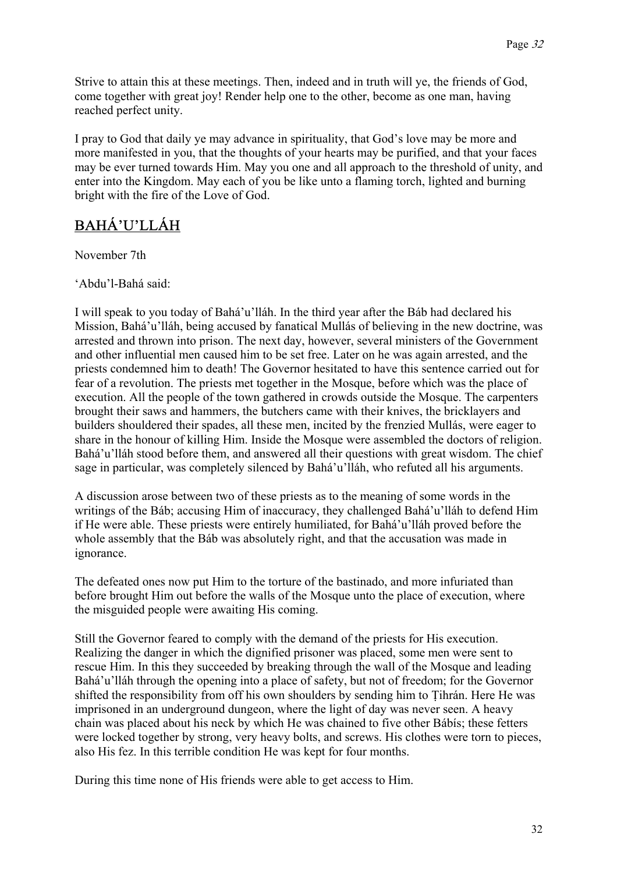Strive to attain this at these meetings. Then, indeed and in truth will ye, the friends of God, come together with great joy! Render help one to the other, become as one man, having reached perfect unity.

I pray to God that daily ye may advance in spirituality, that God's love may be more and more manifested in you, that the thoughts of your hearts may be purified, and that your faces may be ever turned towards Him. May you one and all approach to the threshold of unity, and enter into the Kingdom. May each of you be like unto a flaming torch, lighted and burning bright with the fire of the Love of God.

# BAHÁ'U'LLÁH

November 7th

'Abdu'l-Bahá said:

I will speak to you today of Bahá'u'lláh. In the third year after the Báb had declared his Mission, Bahá'u'lláh, being accused by fanatical Mullás of believing in the new doctrine, was arrested and thrown into prison. The next day, however, several ministers of the Government and other influential men caused him to be set free. Later on he was again arrested, and the priests condemned him to death! The Governor hesitated to have this sentence carried out for fear of a revolution. The priests met together in the Mosque, before which was the place of execution. All the people of the town gathered in crowds outside the Mosque. The carpenters brought their saws and hammers, the butchers came with their knives, the bricklayers and builders shouldered their spades, all these men, incited by the frenzied Mullás, were eager to share in the honour of killing Him. Inside the Mosque were assembled the doctors of religion. Bahá'u'lláh stood before them, and answered all their questions with great wisdom. The chief sage in particular, was completely silenced by Bahá'u'lláh, who refuted all his arguments.

A discussion arose between two of these priests as to the meaning of some words in the writings of the Báb; accusing Him of inaccuracy, they challenged Bahá'u'lláh to defend Him if He were able. These priests were entirely humiliated, for Bahá'u'lláh proved before the whole assembly that the Báb was absolutely right, and that the accusation was made in ignorance.

The defeated ones now put Him to the torture of the bastinado, and more infuriated than before brought Him out before the walls of the Mosque unto the place of execution, where the misguided people were awaiting His coming.

Still the Governor feared to comply with the demand of the priests for His execution. Realizing the danger in which the dignified prisoner was placed, some men were sent to rescue Him. In this they succeeded by breaking through the wall of the Mosque and leading Bahá'u'lláh through the opening into a place of safety, but not of freedom; for the Governor shifted the responsibility from off his own shoulders by sending him to Ṭihrán. Here He was imprisoned in an underground dungeon, where the light of day was never seen. A heavy chain was placed about his neck by which He was chained to five other Bábís; these fetters were locked together by strong, very heavy bolts, and screws. His clothes were torn to pieces, also His fez. In this terrible condition He was kept for four months.

During this time none of His friends were able to get access to Him.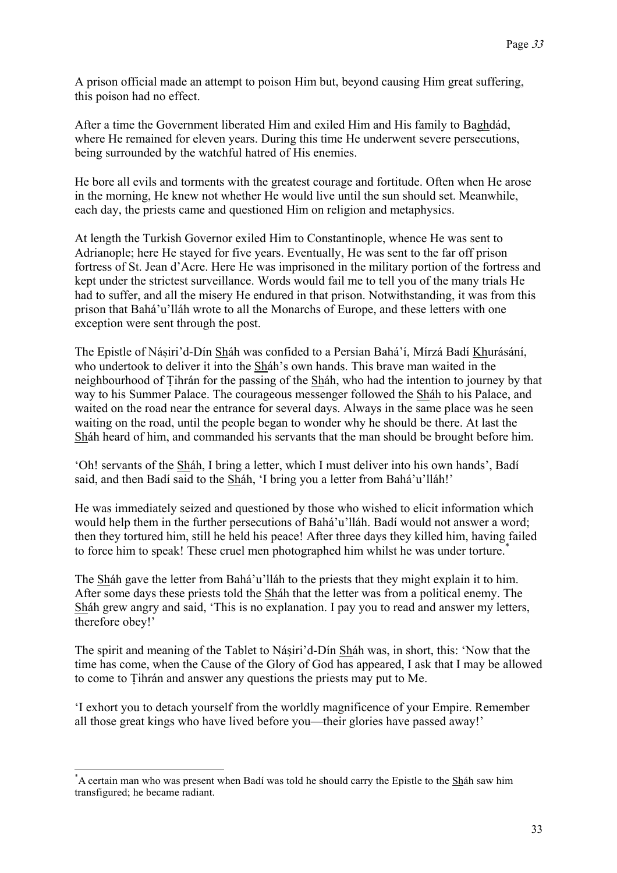A prison official made an attempt to poison Him but, beyond causing Him great suffering, this poison had no effect.

After a time the Government liberated Him and exiled Him and His family to Baghdád, where He remained for eleven years. During this time He underwent severe persecutions, being surrounded by the watchful hatred of His enemies.

He bore all evils and torments with the greatest courage and fortitude. Often when He arose in the morning, He knew not whether He would live until the sun should set. Meanwhile, each day, the priests came and questioned Him on religion and metaphysics.

At length the Turkish Governor exiled Him to Constantinople, whence He was sent to Adrianople; here He stayed for five years. Eventually, He was sent to the far off prison fortress of St. Jean d'Acre. Here He was imprisoned in the military portion of the fortress and kept under the strictest surveillance. Words would fail me to tell you of the many trials He had to suffer, and all the misery He endured in that prison. Notwithstanding, it was from this prison that Bahá'u'lláh wrote to all the Monarchs of Europe, and these letters with one exception were sent through the post.

The Epistle of Náṣiri'd-Dín Sháh was confided to a Persian Bahá'í, Mírzá Badí Khurásání, who undertook to deliver it into the Sháh's own hands. This brave man waited in the neighbourhood of Ṭihrán for the passing of the Sháh, who had the intention to journey by that way to his Summer Palace. The courageous messenger followed the Sháh to his Palace, and waited on the road near the entrance for several days. Always in the same place was he seen waiting on the road, until the people began to wonder why he should be there. At last the Sháh heard of him, and commanded his servants that the man should be brought before him.

'Oh! servants of the Sháh, I bring a letter, which I must deliver into his own hands', Badí said, and then Badí said to the Sháh, 'I bring you a letter from Bahá'u'lláh!'

He was immediately seized and questioned by those who wished to elicit information which would help them in the further persecutions of Bahá'u'lláh. Badí would not answer a word; then they tortured him, still he held his peace! After three days they killed him, having failed to force him to speak! These cruel men photographed him whilst he was under torture.<sup>\*</sup>

The Sháh gave the letter from Bahá'u'lláh to the priests that they might explain it to him. After some days these priests told the Sháh that the letter was from a political enemy. The Sháh grew angry and said, 'This is no explanation. I pay you to read and answer my letters, therefore obey!'

The spirit and meaning of the Tablet to Náṣiri'd-Dín Sháh was, in short, this: 'Now that the time has come, when the Cause of the Glory of God has appeared, I ask that I may be allowed to come to Ṭihrán and answer any questions the priests may put to Me.

'I exhort you to detach yourself from the worldly magnificence of your Empire. Remember all those great kings who have lived before you—their glories have passed away!'

 <sup>\*</sup> A certain man who was present when Badí was told he should carry the Epistle to the Sháh saw him transfigured; he became radiant.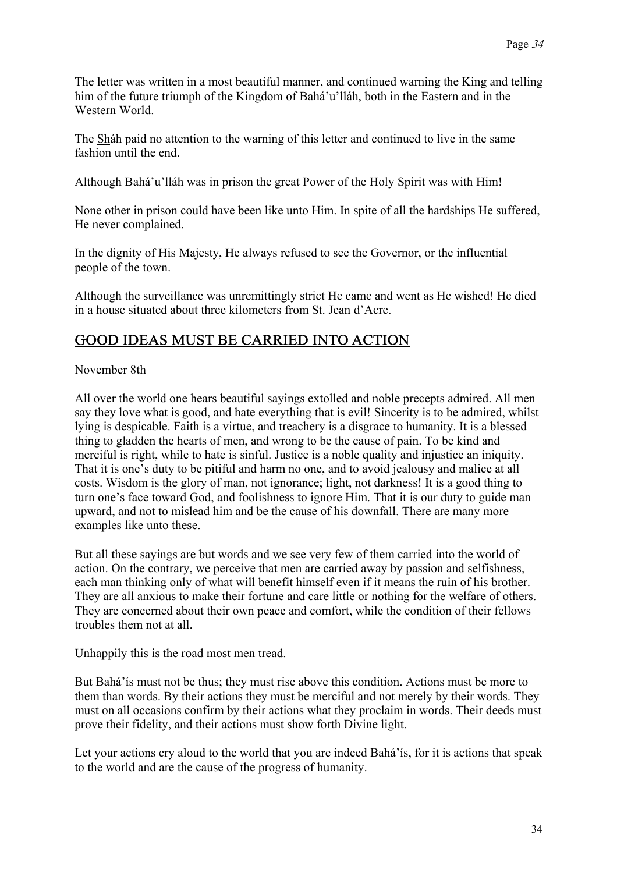The letter was written in a most beautiful manner, and continued warning the King and telling him of the future triumph of the Kingdom of Bahá'u'lláh, both in the Eastern and in the Western World.

The Sháh paid no attention to the warning of this letter and continued to live in the same fashion until the end.

Although Bahá'u'lláh was in prison the great Power of the Holy Spirit was with Him!

None other in prison could have been like unto Him. In spite of all the hardships He suffered, He never complained.

In the dignity of His Majesty, He always refused to see the Governor, or the influential people of the town.

Although the surveillance was unremittingly strict He came and went as He wished! He died in a house situated about three kilometers from St. Jean d'Acre.

## GOOD IDEAS MUST BE CARRIED INTO ACTION

November 8th

All over the world one hears beautiful sayings extolled and noble precepts admired. All men say they love what is good, and hate everything that is evil! Sincerity is to be admired, whilst lying is despicable. Faith is a virtue, and treachery is a disgrace to humanity. It is a blessed thing to gladden the hearts of men, and wrong to be the cause of pain. To be kind and merciful is right, while to hate is sinful. Justice is a noble quality and injustice an iniquity. That it is one's duty to be pitiful and harm no one, and to avoid jealousy and malice at all costs. Wisdom is the glory of man, not ignorance; light, not darkness! It is a good thing to turn one's face toward God, and foolishness to ignore Him. That it is our duty to guide man upward, and not to mislead him and be the cause of his downfall. There are many more examples like unto these.

But all these sayings are but words and we see very few of them carried into the world of action. On the contrary, we perceive that men are carried away by passion and selfishness, each man thinking only of what will benefit himself even if it means the ruin of his brother. They are all anxious to make their fortune and care little or nothing for the welfare of others. They are concerned about their own peace and comfort, while the condition of their fellows troubles them not at all.

Unhappily this is the road most men tread.

But Bahá'ís must not be thus; they must rise above this condition. Actions must be more to them than words. By their actions they must be merciful and not merely by their words. They must on all occasions confirm by their actions what they proclaim in words. Their deeds must prove their fidelity, and their actions must show forth Divine light.

Let your actions cry aloud to the world that you are indeed Bahá'ís, for it is actions that speak to the world and are the cause of the progress of humanity.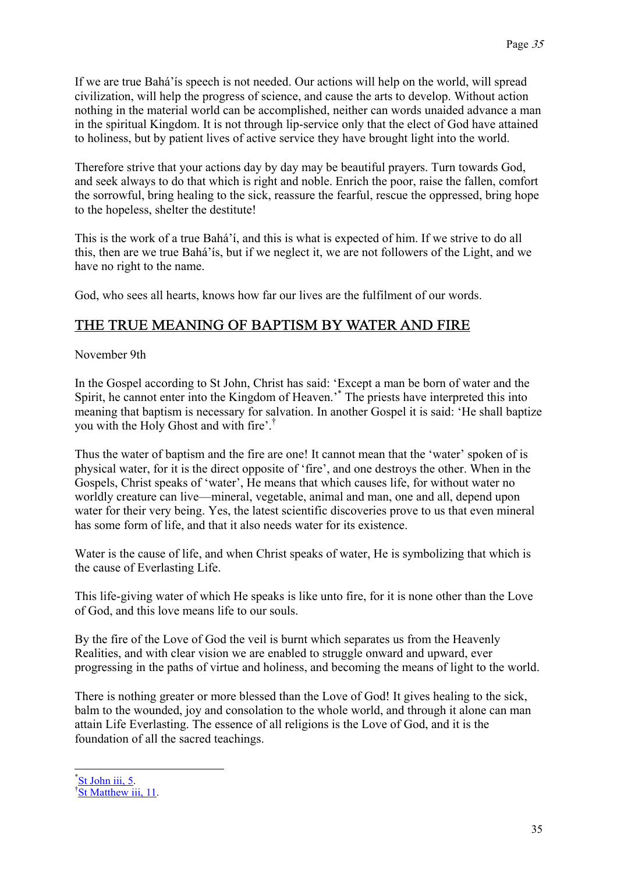If we are true Bahá'ís speech is not needed. Our actions will help on the world, will spread civilization, will help the progress of science, and cause the arts to develop. Without action nothing in the material world can be accomplished, neither can words unaided advance a man in the spiritual Kingdom. It is not through lip-service only that the elect of God have attained to holiness, but by patient lives of active service they have brought light into the world.

Therefore strive that your actions day by day may be beautiful prayers. Turn towards God, and seek always to do that which is right and noble. Enrich the poor, raise the fallen, comfort the sorrowful, bring healing to the sick, reassure the fearful, rescue the oppressed, bring hope to the hopeless, shelter the destitute!

This is the work of a true Bahá'í, and this is what is expected of him. If we strive to do all this, then are we true Bahá'ís, but if we neglect it, we are not followers of the Light, and we have no right to the name.

God, who sees all hearts, knows how far our lives are the fulfilment of our words.

#### THE TRUE MEANING OF BAPTISM BY WATER AND FIRE

November 9th

In the Gospel according to St John, Christ has said: 'Except a man be born of water and the Spirit, he cannot enter into the Kingdom of Heaven.'\* The priests have interpreted this into meaning that baptism is necessary for salvation. In another Gospel it is said: 'He shall baptize you with the Holy Ghost and with fire'.†

Thus the water of baptism and the fire are one! It cannot mean that the 'water' spoken of is physical water, for it is the direct opposite of 'fire', and one destroys the other. When in the Gospels, Christ speaks of 'water', He means that which causes life, for without water no worldly creature can live—mineral, vegetable, animal and man, one and all, depend upon water for their very being. Yes, the latest scientific discoveries prove to us that even mineral has some form of life, and that it also needs water for its existence.

Water is the cause of life, and when Christ speaks of water, He is symbolizing that which is the cause of Everlasting Life.

This life-giving water of which He speaks is like unto fire, for it is none other than the Love of God, and this love means life to our souls.

By the fire of the Love of God the veil is burnt which separates us from the Heavenly Realities, and with clear vision we are enabled to struggle onward and upward, ever progressing in the paths of virtue and holiness, and becoming the means of light to the world.

There is nothing greater or more blessed than the Love of God! It gives healing to the sick, balm to the wounded, joy and consolation to the whole world, and through it alone can man attain Life Everlasting. The essence of all religions is the Love of God, and it is the foundation of all the sacred teachings.

 <sup>\*</sup>  $\overline{\phantom{a}}$ St John iii, 5.

<sup>&</sup>lt;sup>1</sup>St Matthew iii, 11.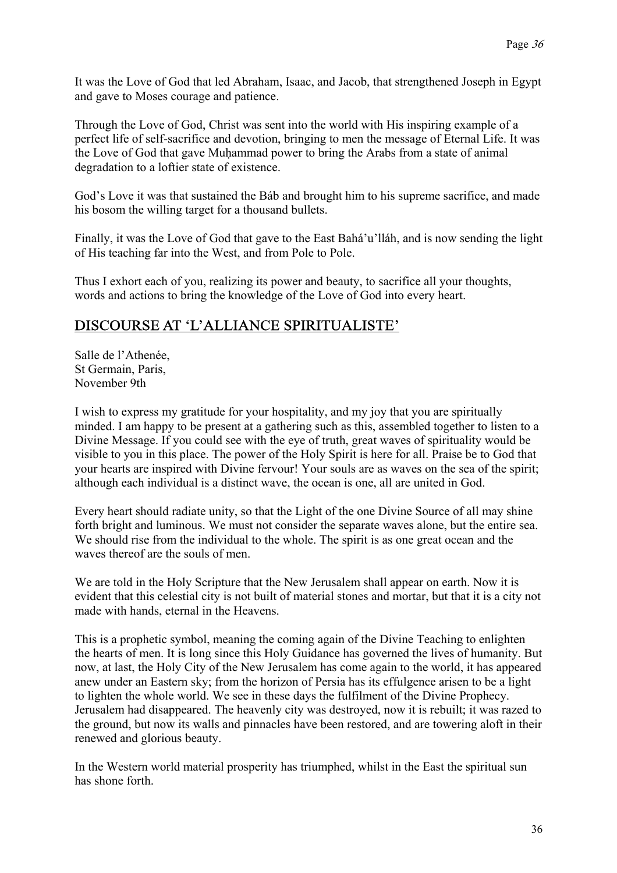It was the Love of God that led Abraham, Isaac, and Jacob, that strengthened Joseph in Egypt and gave to Moses courage and patience.

Through the Love of God, Christ was sent into the world with His inspiring example of a perfect life of self-sacrifice and devotion, bringing to men the message of Eternal Life. It was the Love of God that gave Muḥammad power to bring the Arabs from a state of animal degradation to a loftier state of existence.

God's Love it was that sustained the Báb and brought him to his supreme sacrifice, and made his bosom the willing target for a thousand bullets.

Finally, it was the Love of God that gave to the East Bahá'u'lláh, and is now sending the light of His teaching far into the West, and from Pole to Pole.

Thus I exhort each of you, realizing its power and beauty, to sacrifice all your thoughts, words and actions to bring the knowledge of the Love of God into every heart.

### DISCOURSE AT 'L'ALLIANCE SPIRITUALISTE'

Salle de l'Athenée, St Germain, Paris, November 9th

I wish to express my gratitude for your hospitality, and my joy that you are spiritually minded. I am happy to be present at a gathering such as this, assembled together to listen to a Divine Message. If you could see with the eye of truth, great waves of spirituality would be visible to you in this place. The power of the Holy Spirit is here for all. Praise be to God that your hearts are inspired with Divine fervour! Your souls are as waves on the sea of the spirit; although each individual is a distinct wave, the ocean is one, all are united in God.

Every heart should radiate unity, so that the Light of the one Divine Source of all may shine forth bright and luminous. We must not consider the separate waves alone, but the entire sea. We should rise from the individual to the whole. The spirit is as one great ocean and the waves thereof are the souls of men.

We are told in the Holy Scripture that the New Jerusalem shall appear on earth. Now it is evident that this celestial city is not built of material stones and mortar, but that it is a city not made with hands, eternal in the Heavens.

This is a prophetic symbol, meaning the coming again of the Divine Teaching to enlighten the hearts of men. It is long since this Holy Guidance has governed the lives of humanity. But now, at last, the Holy City of the New Jerusalem has come again to the world, it has appeared anew under an Eastern sky; from the horizon of Persia has its effulgence arisen to be a light to lighten the whole world. We see in these days the fulfilment of the Divine Prophecy. Jerusalem had disappeared. The heavenly city was destroyed, now it is rebuilt; it was razed to the ground, but now its walls and pinnacles have been restored, and are towering aloft in their renewed and glorious beauty.

In the Western world material prosperity has triumphed, whilst in the East the spiritual sun has shone forth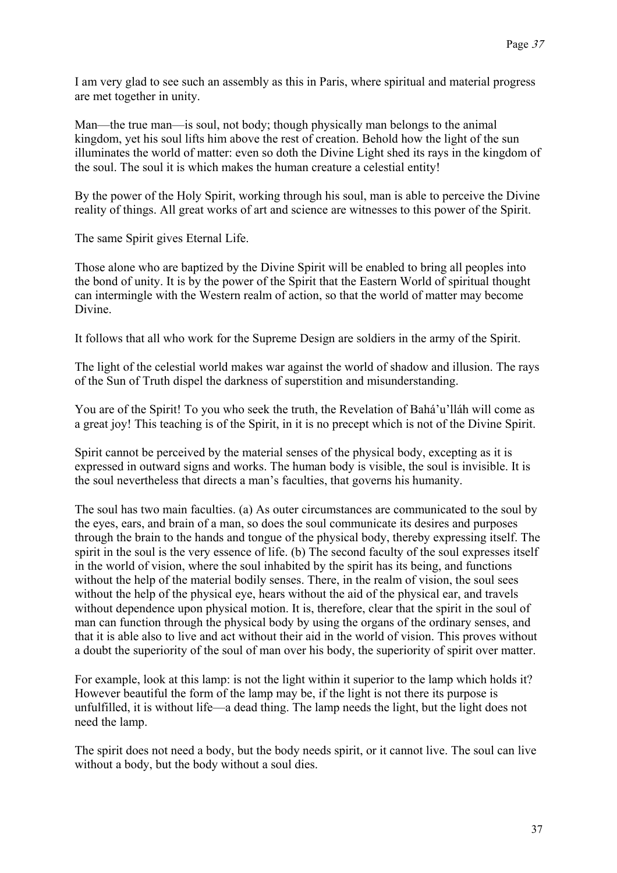I am very glad to see such an assembly as this in Paris, where spiritual and material progress are met together in unity.

Man—the true man—is soul, not body; though physically man belongs to the animal kingdom, yet his soul lifts him above the rest of creation. Behold how the light of the sun illuminates the world of matter: even so doth the Divine Light shed its rays in the kingdom of the soul. The soul it is which makes the human creature a celestial entity!

By the power of the Holy Spirit, working through his soul, man is able to perceive the Divine reality of things. All great works of art and science are witnesses to this power of the Spirit.

The same Spirit gives Eternal Life.

Those alone who are baptized by the Divine Spirit will be enabled to bring all peoples into the bond of unity. It is by the power of the Spirit that the Eastern World of spiritual thought can intermingle with the Western realm of action, so that the world of matter may become Divine.

It follows that all who work for the Supreme Design are soldiers in the army of the Spirit.

The light of the celestial world makes war against the world of shadow and illusion. The rays of the Sun of Truth dispel the darkness of superstition and misunderstanding.

You are of the Spirit! To you who seek the truth, the Revelation of Bahá'u'lláh will come as a great joy! This teaching is of the Spirit, in it is no precept which is not of the Divine Spirit.

Spirit cannot be perceived by the material senses of the physical body, excepting as it is expressed in outward signs and works. The human body is visible, the soul is invisible. It is the soul nevertheless that directs a man's faculties, that governs his humanity.

The soul has two main faculties. (a) As outer circumstances are communicated to the soul by the eyes, ears, and brain of a man, so does the soul communicate its desires and purposes through the brain to the hands and tongue of the physical body, thereby expressing itself. The spirit in the soul is the very essence of life. (b) The second faculty of the soul expresses itself in the world of vision, where the soul inhabited by the spirit has its being, and functions without the help of the material bodily senses. There, in the realm of vision, the soul sees without the help of the physical eye, hears without the aid of the physical ear, and travels without dependence upon physical motion. It is, therefore, clear that the spirit in the soul of man can function through the physical body by using the organs of the ordinary senses, and that it is able also to live and act without their aid in the world of vision. This proves without a doubt the superiority of the soul of man over his body, the superiority of spirit over matter.

For example, look at this lamp: is not the light within it superior to the lamp which holds it? However beautiful the form of the lamp may be, if the light is not there its purpose is unfulfilled, it is without life—a dead thing. The lamp needs the light, but the light does not need the lamp.

The spirit does not need a body, but the body needs spirit, or it cannot live. The soul can live without a body, but the body without a soul dies.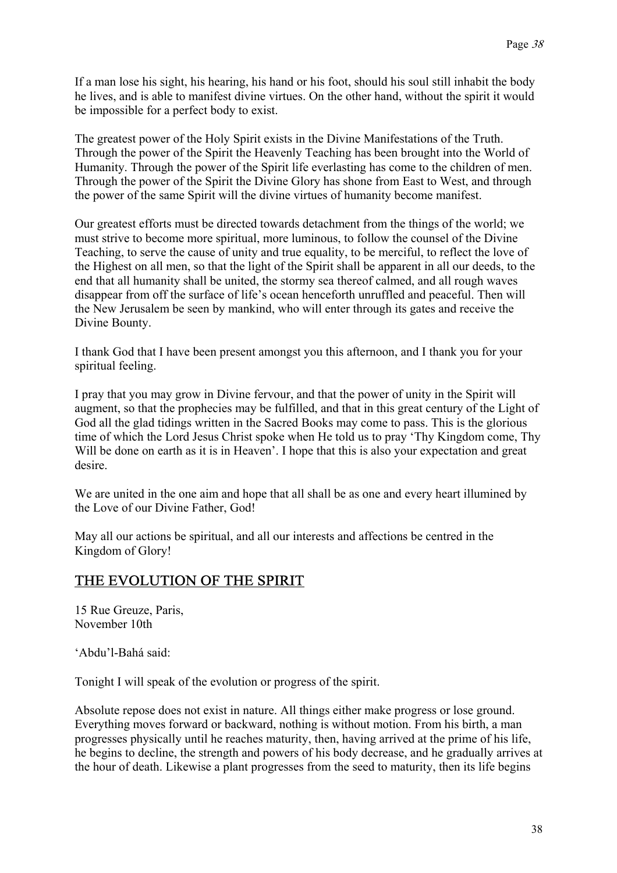If a man lose his sight, his hearing, his hand or his foot, should his soul still inhabit the body he lives, and is able to manifest divine virtues. On the other hand, without the spirit it would be impossible for a perfect body to exist.

The greatest power of the Holy Spirit exists in the Divine Manifestations of the Truth. Through the power of the Spirit the Heavenly Teaching has been brought into the World of Humanity. Through the power of the Spirit life everlasting has come to the children of men. Through the power of the Spirit the Divine Glory has shone from East to West, and through the power of the same Spirit will the divine virtues of humanity become manifest.

Our greatest efforts must be directed towards detachment from the things of the world; we must strive to become more spiritual, more luminous, to follow the counsel of the Divine Teaching, to serve the cause of unity and true equality, to be merciful, to reflect the love of the Highest on all men, so that the light of the Spirit shall be apparent in all our deeds, to the end that all humanity shall be united, the stormy sea thereof calmed, and all rough waves disappear from off the surface of life's ocean henceforth unruffled and peaceful. Then will the New Jerusalem be seen by mankind, who will enter through its gates and receive the Divine Bounty.

I thank God that I have been present amongst you this afternoon, and I thank you for your spiritual feeling.

I pray that you may grow in Divine fervour, and that the power of unity in the Spirit will augment, so that the prophecies may be fulfilled, and that in this great century of the Light of God all the glad tidings written in the Sacred Books may come to pass. This is the glorious time of which the Lord Jesus Christ spoke when He told us to pray 'Thy Kingdom come, Thy Will be done on earth as it is in Heaven'. I hope that this is also your expectation and great desire.

We are united in the one aim and hope that all shall be as one and every heart illumined by the Love of our Divine Father, God!

May all our actions be spiritual, and all our interests and affections be centred in the Kingdom of Glory!

### THE EVOLUTION OF THE SPIRIT

15 Rue Greuze, Paris, November 10th

'Abdu'l-Bahá said:

Tonight I will speak of the evolution or progress of the spirit.

Absolute repose does not exist in nature. All things either make progress or lose ground. Everything moves forward or backward, nothing is without motion. From his birth, a man progresses physically until he reaches maturity, then, having arrived at the prime of his life, he begins to decline, the strength and powers of his body decrease, and he gradually arrives at the hour of death. Likewise a plant progresses from the seed to maturity, then its life begins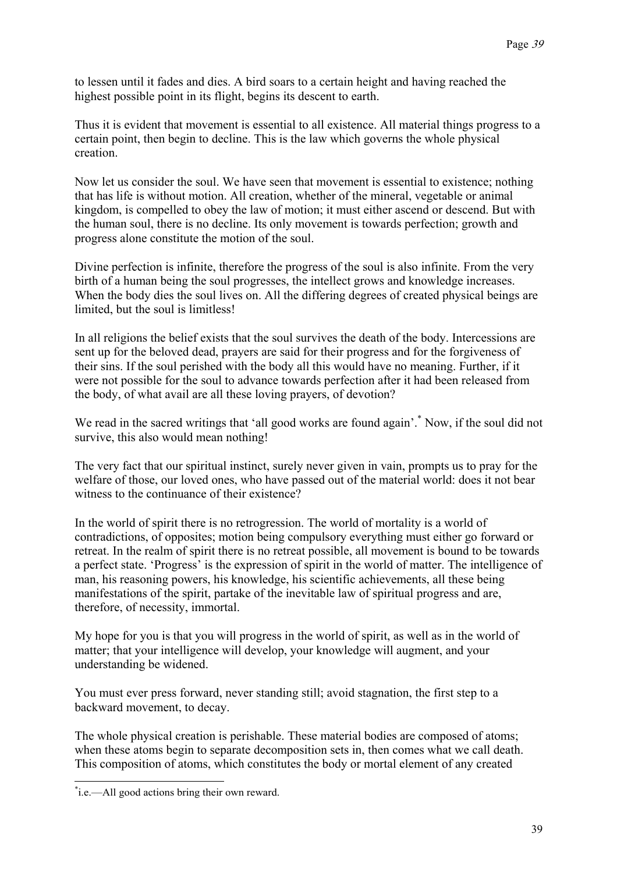to lessen until it fades and dies. A bird soars to a certain height and having reached the highest possible point in its flight, begins its descent to earth.

Thus it is evident that movement is essential to all existence. All material things progress to a certain point, then begin to decline. This is the law which governs the whole physical creation.

Now let us consider the soul. We have seen that movement is essential to existence; nothing that has life is without motion. All creation, whether of the mineral, vegetable or animal kingdom, is compelled to obey the law of motion; it must either ascend or descend. But with the human soul, there is no decline. Its only movement is towards perfection; growth and progress alone constitute the motion of the soul.

Divine perfection is infinite, therefore the progress of the soul is also infinite. From the very birth of a human being the soul progresses, the intellect grows and knowledge increases. When the body dies the soul lives on. All the differing degrees of created physical beings are limited, but the soul is limitless!

In all religions the belief exists that the soul survives the death of the body. Intercessions are sent up for the beloved dead, prayers are said for their progress and for the forgiveness of their sins. If the soul perished with the body all this would have no meaning. Further, if it were not possible for the soul to advance towards perfection after it had been released from the body, of what avail are all these loving prayers, of devotion?

We read in the sacred writings that 'all good works are found again'.<sup>\*</sup> Now, if the soul did not survive, this also would mean nothing!

The very fact that our spiritual instinct, surely never given in vain, prompts us to pray for the welfare of those, our loved ones, who have passed out of the material world: does it not bear witness to the continuance of their existence?

In the world of spirit there is no retrogression. The world of mortality is a world of contradictions, of opposites; motion being compulsory everything must either go forward or retreat. In the realm of spirit there is no retreat possible, all movement is bound to be towards a perfect state. 'Progress' is the expression of spirit in the world of matter. The intelligence of man, his reasoning powers, his knowledge, his scientific achievements, all these being manifestations of the spirit, partake of the inevitable law of spiritual progress and are, therefore, of necessity, immortal.

My hope for you is that you will progress in the world of spirit, as well as in the world of matter; that your intelligence will develop, your knowledge will augment, and your understanding be widened.

You must ever press forward, never standing still; avoid stagnation, the first step to a backward movement, to decay.

The whole physical creation is perishable. These material bodies are composed of atoms; when these atoms begin to separate decomposition sets in, then comes what we call death. This composition of atoms, which constitutes the body or mortal element of any created

 <sup>\*</sup> i.e.—All good actions bring their own reward.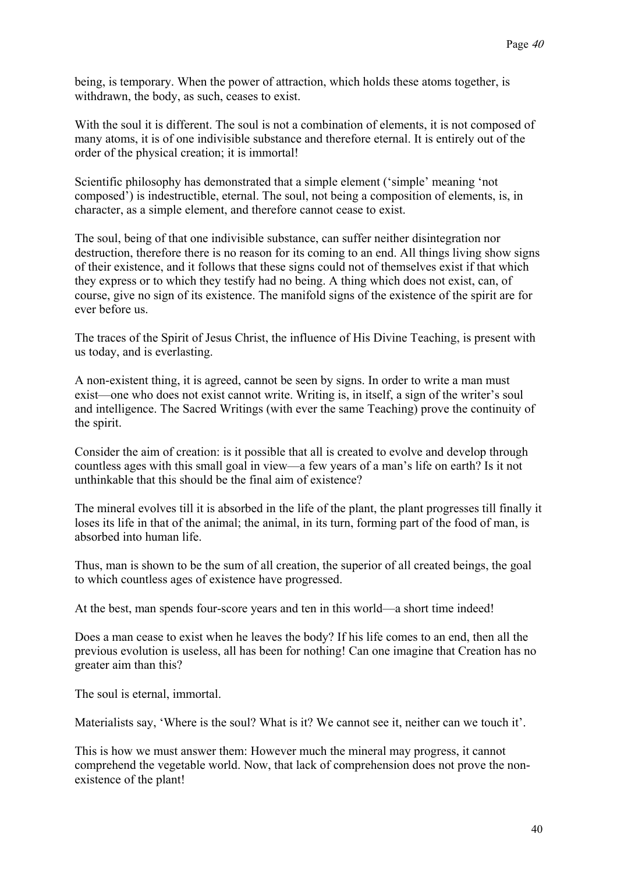being, is temporary. When the power of attraction, which holds these atoms together, is withdrawn, the body, as such, ceases to exist.

With the soul it is different. The soul is not a combination of elements, it is not composed of many atoms, it is of one indivisible substance and therefore eternal. It is entirely out of the order of the physical creation; it is immortal!

Scientific philosophy has demonstrated that a simple element ('simple' meaning 'not composed') is indestructible, eternal. The soul, not being a composition of elements, is, in character, as a simple element, and therefore cannot cease to exist.

The soul, being of that one indivisible substance, can suffer neither disintegration nor destruction, therefore there is no reason for its coming to an end. All things living show signs of their existence, and it follows that these signs could not of themselves exist if that which they express or to which they testify had no being. A thing which does not exist, can, of course, give no sign of its existence. The manifold signs of the existence of the spirit are for ever before us.

The traces of the Spirit of Jesus Christ, the influence of His Divine Teaching, is present with us today, and is everlasting.

A non-existent thing, it is agreed, cannot be seen by signs. In order to write a man must exist—one who does not exist cannot write. Writing is, in itself, a sign of the writer's soul and intelligence. The Sacred Writings (with ever the same Teaching) prove the continuity of the spirit.

Consider the aim of creation: is it possible that all is created to evolve and develop through countless ages with this small goal in view—a few years of a man's life on earth? Is it not unthinkable that this should be the final aim of existence?

The mineral evolves till it is absorbed in the life of the plant, the plant progresses till finally it loses its life in that of the animal; the animal, in its turn, forming part of the food of man, is absorbed into human life.

Thus, man is shown to be the sum of all creation, the superior of all created beings, the goal to which countless ages of existence have progressed.

At the best, man spends four-score years and ten in this world—a short time indeed!

Does a man cease to exist when he leaves the body? If his life comes to an end, then all the previous evolution is useless, all has been for nothing! Can one imagine that Creation has no greater aim than this?

The soul is eternal, immortal.

Materialists say, 'Where is the soul? What is it? We cannot see it, neither can we touch it'.

This is how we must answer them: However much the mineral may progress, it cannot comprehend the vegetable world. Now, that lack of comprehension does not prove the nonexistence of the plant!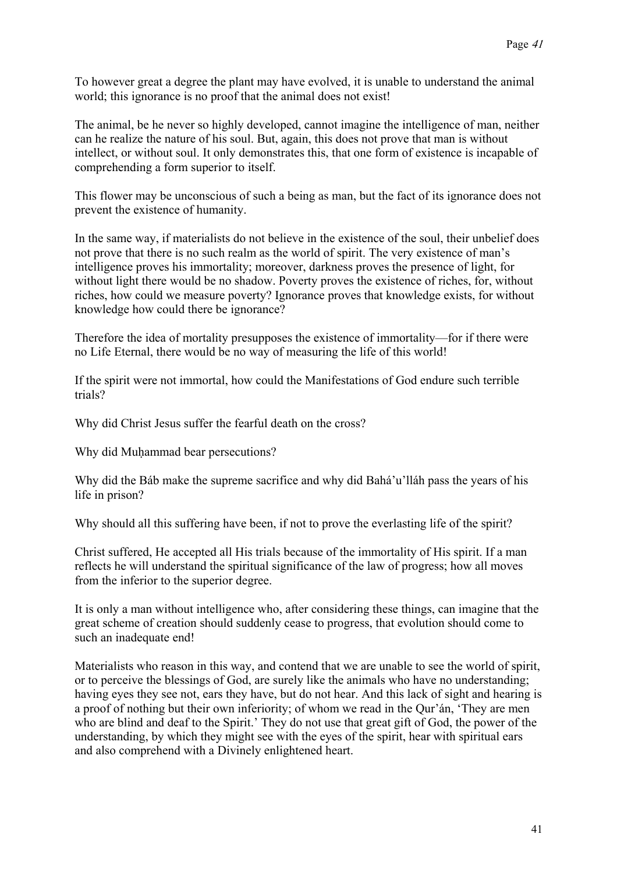To however great a degree the plant may have evolved, it is unable to understand the animal world; this ignorance is no proof that the animal does not exist!

The animal, be he never so highly developed, cannot imagine the intelligence of man, neither can he realize the nature of his soul. But, again, this does not prove that man is without intellect, or without soul. It only demonstrates this, that one form of existence is incapable of comprehending a form superior to itself.

This flower may be unconscious of such a being as man, but the fact of its ignorance does not prevent the existence of humanity.

In the same way, if materialists do not believe in the existence of the soul, their unbelief does not prove that there is no such realm as the world of spirit. The very existence of man's intelligence proves his immortality; moreover, darkness proves the presence of light, for without light there would be no shadow. Poverty proves the existence of riches, for, without riches, how could we measure poverty? Ignorance proves that knowledge exists, for without knowledge how could there be ignorance?

Therefore the idea of mortality presupposes the existence of immortality—for if there were no Life Eternal, there would be no way of measuring the life of this world!

If the spirit were not immortal, how could the Manifestations of God endure such terrible trials?

Why did Christ Jesus suffer the fearful death on the cross?

Why did Muhammad bear persecutions?

Why did the Báb make the supreme sacrifice and why did Bahá'u'lláh pass the years of his life in prison?

Why should all this suffering have been, if not to prove the everlasting life of the spirit?

Christ suffered, He accepted all His trials because of the immortality of His spirit. If a man reflects he will understand the spiritual significance of the law of progress; how all moves from the inferior to the superior degree.

It is only a man without intelligence who, after considering these things, can imagine that the great scheme of creation should suddenly cease to progress, that evolution should come to such an inadequate end!

Materialists who reason in this way, and contend that we are unable to see the world of spirit, or to perceive the blessings of God, are surely like the animals who have no understanding; having eyes they see not, ears they have, but do not hear. And this lack of sight and hearing is a proof of nothing but their own inferiority; of whom we read in the Qur'án, 'They are men who are blind and deaf to the Spirit.' They do not use that great gift of God, the power of the understanding, by which they might see with the eyes of the spirit, hear with spiritual ears and also comprehend with a Divinely enlightened heart.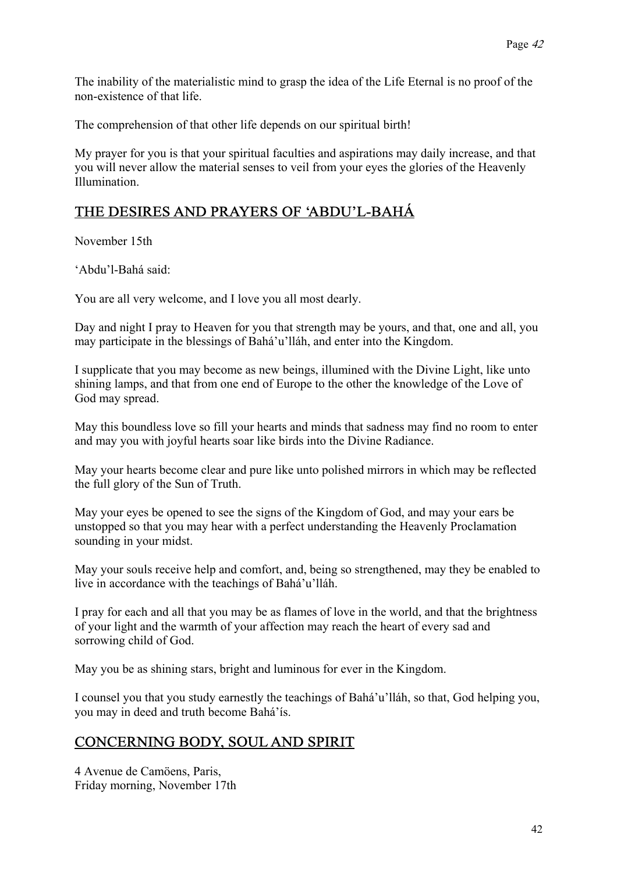The inability of the materialistic mind to grasp the idea of the Life Eternal is no proof of the non-existence of that life.

The comprehension of that other life depends on our spiritual birth!

My prayer for you is that your spiritual faculties and aspirations may daily increase, and that you will never allow the material senses to veil from your eyes the glories of the Heavenly Illumination.

## THE DESIRES AND PRAYERS OF 'ABDU'L-BAHÁ

November 15th

'Abdu'l-Bahá said:

You are all very welcome, and I love you all most dearly.

Day and night I pray to Heaven for you that strength may be yours, and that, one and all, you may participate in the blessings of Bahá'u'lláh, and enter into the Kingdom.

I supplicate that you may become as new beings, illumined with the Divine Light, like unto shining lamps, and that from one end of Europe to the other the knowledge of the Love of God may spread.

May this boundless love so fill your hearts and minds that sadness may find no room to enter and may you with joyful hearts soar like birds into the Divine Radiance.

May your hearts become clear and pure like unto polished mirrors in which may be reflected the full glory of the Sun of Truth.

May your eyes be opened to see the signs of the Kingdom of God, and may your ears be unstopped so that you may hear with a perfect understanding the Heavenly Proclamation sounding in your midst.

May your souls receive help and comfort, and, being so strengthened, may they be enabled to live in accordance with the teachings of Bahá'u'lláh.

I pray for each and all that you may be as flames of love in the world, and that the brightness of your light and the warmth of your affection may reach the heart of every sad and sorrowing child of God.

May you be as shining stars, bright and luminous for ever in the Kingdom.

I counsel you that you study earnestly the teachings of Bahá'u'lláh, so that, God helping you, you may in deed and truth become Bahá'ís.

### CONCERNING BODY, SOUL AND SPIRIT

4 Avenue de Camöens, Paris, Friday morning, November 17th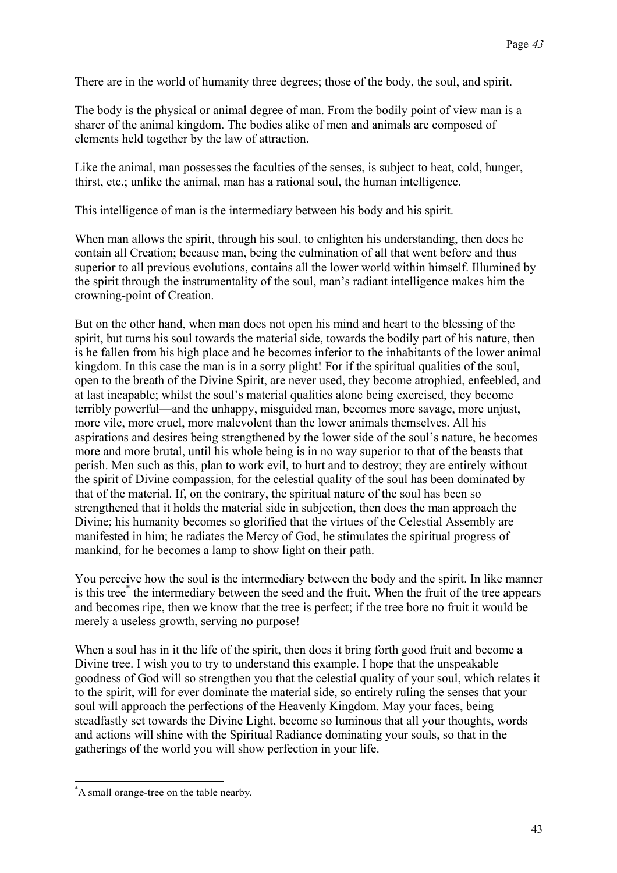There are in the world of humanity three degrees; those of the body, the soul, and spirit.

The body is the physical or animal degree of man. From the bodily point of view man is a sharer of the animal kingdom. The bodies alike of men and animals are composed of elements held together by the law of attraction.

Like the animal, man possesses the faculties of the senses, is subject to heat, cold, hunger, thirst, etc.; unlike the animal, man has a rational soul, the human intelligence.

This intelligence of man is the intermediary between his body and his spirit.

When man allows the spirit, through his soul, to enlighten his understanding, then does he contain all Creation; because man, being the culmination of all that went before and thus superior to all previous evolutions, contains all the lower world within himself. Illumined by the spirit through the instrumentality of the soul, man's radiant intelligence makes him the crowning-point of Creation.

But on the other hand, when man does not open his mind and heart to the blessing of the spirit, but turns his soul towards the material side, towards the bodily part of his nature, then is he fallen from his high place and he becomes inferior to the inhabitants of the lower animal kingdom. In this case the man is in a sorry plight! For if the spiritual qualities of the soul, open to the breath of the Divine Spirit, are never used, they become atrophied, enfeebled, and at last incapable; whilst the soul's material qualities alone being exercised, they become terribly powerful—and the unhappy, misguided man, becomes more savage, more unjust, more vile, more cruel, more malevolent than the lower animals themselves. All his aspirations and desires being strengthened by the lower side of the soul's nature, he becomes more and more brutal, until his whole being is in no way superior to that of the beasts that perish. Men such as this, plan to work evil, to hurt and to destroy; they are entirely without the spirit of Divine compassion, for the celestial quality of the soul has been dominated by that of the material. If, on the contrary, the spiritual nature of the soul has been so strengthened that it holds the material side in subjection, then does the man approach the Divine; his humanity becomes so glorified that the virtues of the Celestial Assembly are manifested in him; he radiates the Mercy of God, he stimulates the spiritual progress of mankind, for he becomes a lamp to show light on their path.

You perceive how the soul is the intermediary between the body and the spirit. In like manner is this tree<sup>\*</sup> the intermediary between the seed and the fruit. When the fruit of the tree appears and becomes ripe, then we know that the tree is perfect; if the tree bore no fruit it would be merely a useless growth, serving no purpose!

When a soul has in it the life of the spirit, then does it bring forth good fruit and become a Divine tree. I wish you to try to understand this example. I hope that the unspeakable goodness of God will so strengthen you that the celestial quality of your soul, which relates it to the spirit, will for ever dominate the material side, so entirely ruling the senses that your soul will approach the perfections of the Heavenly Kingdom. May your faces, being steadfastly set towards the Divine Light, become so luminous that all your thoughts, words and actions will shine with the Spiritual Radiance dominating your souls, so that in the gatherings of the world you will show perfection in your life.

 <sup>\*</sup> A small orange-tree on the table nearby.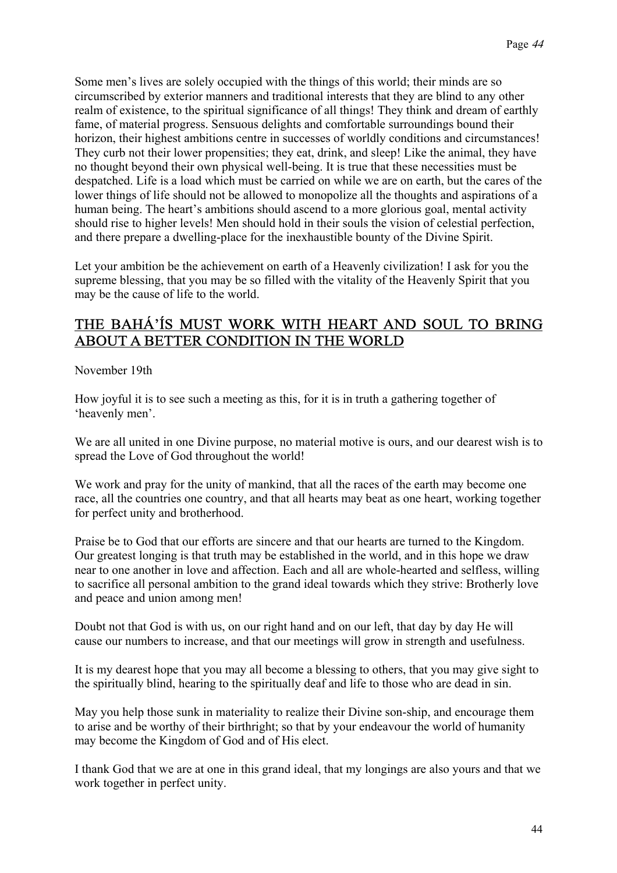Some men's lives are solely occupied with the things of this world; their minds are so circumscribed by exterior manners and traditional interests that they are blind to any other realm of existence, to the spiritual significance of all things! They think and dream of earthly fame, of material progress. Sensuous delights and comfortable surroundings bound their horizon, their highest ambitions centre in successes of worldly conditions and circumstances! They curb not their lower propensities; they eat, drink, and sleep! Like the animal, they have no thought beyond their own physical well-being. It is true that these necessities must be despatched. Life is a load which must be carried on while we are on earth, but the cares of the lower things of life should not be allowed to monopolize all the thoughts and aspirations of a human being. The heart's ambitions should ascend to a more glorious goal, mental activity should rise to higher levels! Men should hold in their souls the vision of celestial perfection, and there prepare a dwelling-place for the inexhaustible bounty of the Divine Spirit.

Let your ambition be the achievement on earth of a Heavenly civilization! I ask for you the supreme blessing, that you may be so filled with the vitality of the Heavenly Spirit that you may be the cause of life to the world.

### THE BAHÁ'ÍS MUST WORK WITH HEART AND SOUL TO BRING ABOUT A BETTER CONDITION IN THE WORLD

November 19th

How joyful it is to see such a meeting as this, for it is in truth a gathering together of 'heavenly men'.

We are all united in one Divine purpose, no material motive is ours, and our dearest wish is to spread the Love of God throughout the world!

We work and pray for the unity of mankind, that all the races of the earth may become one race, all the countries one country, and that all hearts may beat as one heart, working together for perfect unity and brotherhood.

Praise be to God that our efforts are sincere and that our hearts are turned to the Kingdom. Our greatest longing is that truth may be established in the world, and in this hope we draw near to one another in love and affection. Each and all are whole-hearted and selfless, willing to sacrifice all personal ambition to the grand ideal towards which they strive: Brotherly love and peace and union among men!

Doubt not that God is with us, on our right hand and on our left, that day by day He will cause our numbers to increase, and that our meetings will grow in strength and usefulness.

It is my dearest hope that you may all become a blessing to others, that you may give sight to the spiritually blind, hearing to the spiritually deaf and life to those who are dead in sin.

May you help those sunk in materiality to realize their Divine son-ship, and encourage them to arise and be worthy of their birthright; so that by your endeavour the world of humanity may become the Kingdom of God and of His elect.

I thank God that we are at one in this grand ideal, that my longings are also yours and that we work together in perfect unity.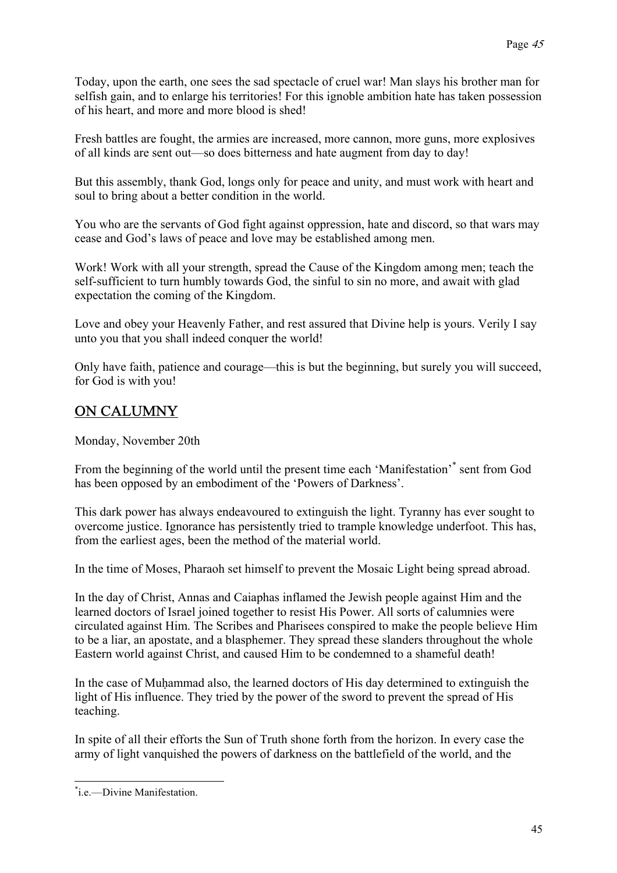Today, upon the earth, one sees the sad spectacle of cruel war! Man slays his brother man for selfish gain, and to enlarge his territories! For this ignoble ambition hate has taken possession of his heart, and more and more blood is shed!

Fresh battles are fought, the armies are increased, more cannon, more guns, more explosives of all kinds are sent out—so does bitterness and hate augment from day to day!

But this assembly, thank God, longs only for peace and unity, and must work with heart and soul to bring about a better condition in the world.

You who are the servants of God fight against oppression, hate and discord, so that wars may cease and God's laws of peace and love may be established among men.

Work! Work with all your strength, spread the Cause of the Kingdom among men; teach the self-sufficient to turn humbly towards God, the sinful to sin no more, and await with glad expectation the coming of the Kingdom.

Love and obey your Heavenly Father, and rest assured that Divine help is yours. Verily I say unto you that you shall indeed conquer the world!

Only have faith, patience and courage—this is but the beginning, but surely you will succeed, for God is with you!

#### ON CALUMNY

Monday, November 20th

From the beginning of the world until the present time each 'Manifestation'<sup>\*</sup> sent from God has been opposed by an embodiment of the 'Powers of Darkness'.

This dark power has always endeavoured to extinguish the light. Tyranny has ever sought to overcome justice. Ignorance has persistently tried to trample knowledge underfoot. This has, from the earliest ages, been the method of the material world.

In the time of Moses, Pharaoh set himself to prevent the Mosaic Light being spread abroad.

In the day of Christ, Annas and Caiaphas inflamed the Jewish people against Him and the learned doctors of Israel joined together to resist His Power. All sorts of calumnies were circulated against Him. The Scribes and Pharisees conspired to make the people believe Him to be a liar, an apostate, and a blasphemer. They spread these slanders throughout the whole Eastern world against Christ, and caused Him to be condemned to a shameful death!

In the case of Muḥammad also, the learned doctors of His day determined to extinguish the light of His influence. They tried by the power of the sword to prevent the spread of His teaching.

In spite of all their efforts the Sun of Truth shone forth from the horizon. In every case the army of light vanquished the powers of darkness on the battlefield of the world, and the

 <sup>\*</sup> <sup>\*</sup>i.e.—Divine Manifestation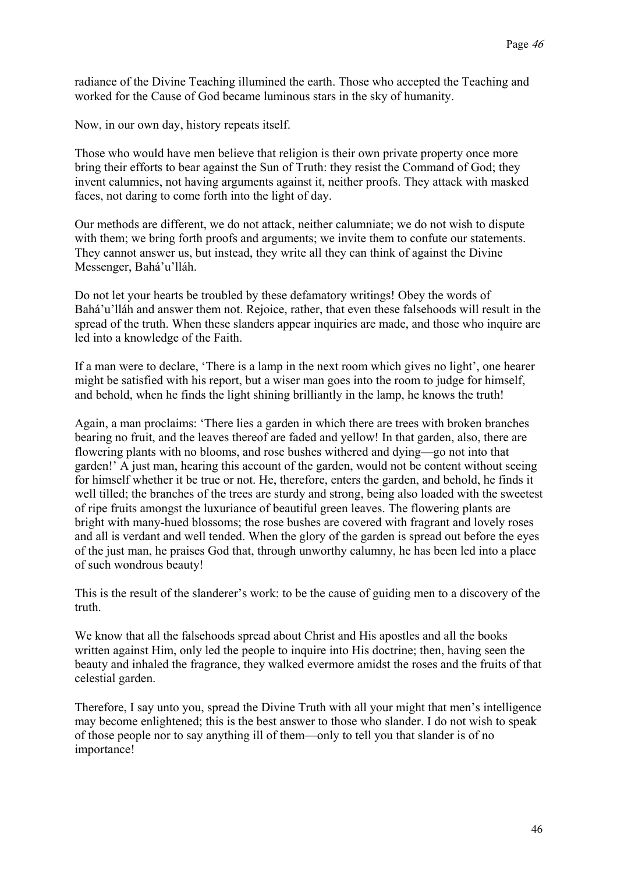radiance of the Divine Teaching illumined the earth. Those who accepted the Teaching and worked for the Cause of God became luminous stars in the sky of humanity.

Now, in our own day, history repeats itself.

Those who would have men believe that religion is their own private property once more bring their efforts to bear against the Sun of Truth: they resist the Command of God; they invent calumnies, not having arguments against it, neither proofs. They attack with masked faces, not daring to come forth into the light of day.

Our methods are different, we do not attack, neither calumniate; we do not wish to dispute with them; we bring forth proofs and arguments; we invite them to confute our statements. They cannot answer us, but instead, they write all they can think of against the Divine Messenger, Bahá'u'lláh.

Do not let your hearts be troubled by these defamatory writings! Obey the words of Bahá'u'lláh and answer them not. Rejoice, rather, that even these falsehoods will result in the spread of the truth. When these slanders appear inquiries are made, and those who inquire are led into a knowledge of the Faith.

If a man were to declare, 'There is a lamp in the next room which gives no light', one hearer might be satisfied with his report, but a wiser man goes into the room to judge for himself, and behold, when he finds the light shining brilliantly in the lamp, he knows the truth!

Again, a man proclaims: 'There lies a garden in which there are trees with broken branches bearing no fruit, and the leaves thereof are faded and yellow! In that garden, also, there are flowering plants with no blooms, and rose bushes withered and dying—go not into that garden!' A just man, hearing this account of the garden, would not be content without seeing for himself whether it be true or not. He, therefore, enters the garden, and behold, he finds it well tilled; the branches of the trees are sturdy and strong, being also loaded with the sweetest of ripe fruits amongst the luxuriance of beautiful green leaves. The flowering plants are bright with many-hued blossoms; the rose bushes are covered with fragrant and lovely roses and all is verdant and well tended. When the glory of the garden is spread out before the eyes of the just man, he praises God that, through unworthy calumny, he has been led into a place of such wondrous beauty!

This is the result of the slanderer's work: to be the cause of guiding men to a discovery of the truth.

We know that all the falsehoods spread about Christ and His apostles and all the books written against Him, only led the people to inquire into His doctrine; then, having seen the beauty and inhaled the fragrance, they walked evermore amidst the roses and the fruits of that celestial garden.

Therefore, I say unto you, spread the Divine Truth with all your might that men's intelligence may become enlightened; this is the best answer to those who slander. I do not wish to speak of those people nor to say anything ill of them—only to tell you that slander is of no importance!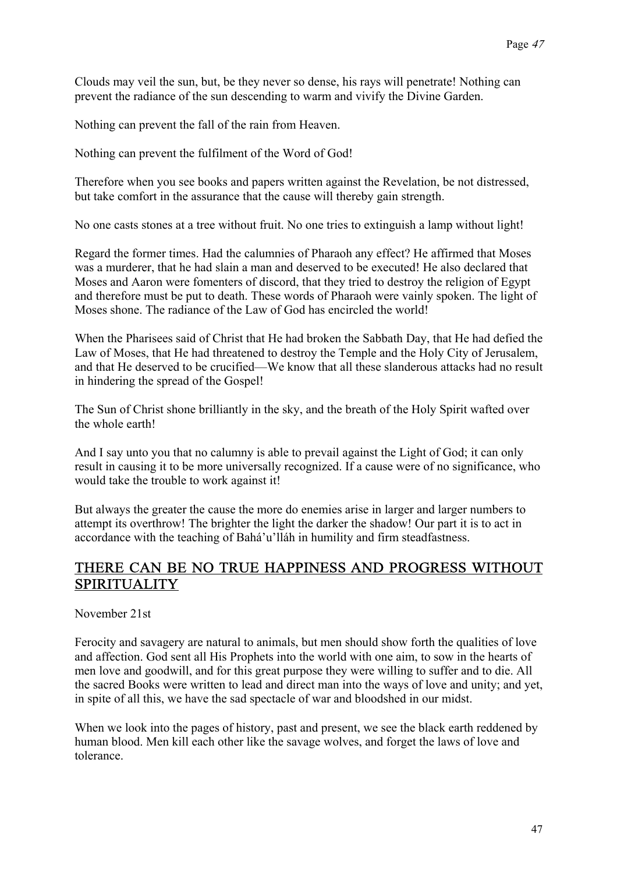Clouds may veil the sun, but, be they never so dense, his rays will penetrate! Nothing can prevent the radiance of the sun descending to warm and vivify the Divine Garden.

Nothing can prevent the fall of the rain from Heaven.

Nothing can prevent the fulfilment of the Word of God!

Therefore when you see books and papers written against the Revelation, be not distressed, but take comfort in the assurance that the cause will thereby gain strength.

No one casts stones at a tree without fruit. No one tries to extinguish a lamp without light!

Regard the former times. Had the calumnies of Pharaoh any effect? He affirmed that Moses was a murderer, that he had slain a man and deserved to be executed! He also declared that Moses and Aaron were fomenters of discord, that they tried to destroy the religion of Egypt and therefore must be put to death. These words of Pharaoh were vainly spoken. The light of Moses shone. The radiance of the Law of God has encircled the world!

When the Pharisees said of Christ that He had broken the Sabbath Day, that He had defied the Law of Moses, that He had threatened to destroy the Temple and the Holy City of Jerusalem, and that He deserved to be crucified—We know that all these slanderous attacks had no result in hindering the spread of the Gospel!

The Sun of Christ shone brilliantly in the sky, and the breath of the Holy Spirit wafted over the whole earth!

And I say unto you that no calumny is able to prevail against the Light of God; it can only result in causing it to be more universally recognized. If a cause were of no significance, who would take the trouble to work against it!

But always the greater the cause the more do enemies arise in larger and larger numbers to attempt its overthrow! The brighter the light the darker the shadow! Our part it is to act in accordance with the teaching of Bahá'u'lláh in humility and firm steadfastness.

## THERE CAN BE NO TRUE HAPPINESS AND PROGRESS WITHOUT SPIRITUALITY

November 21st

Ferocity and savagery are natural to animals, but men should show forth the qualities of love and affection. God sent all His Prophets into the world with one aim, to sow in the hearts of men love and goodwill, and for this great purpose they were willing to suffer and to die. All the sacred Books were written to lead and direct man into the ways of love and unity; and yet, in spite of all this, we have the sad spectacle of war and bloodshed in our midst.

When we look into the pages of history, past and present, we see the black earth reddened by human blood. Men kill each other like the savage wolves, and forget the laws of love and tolerance.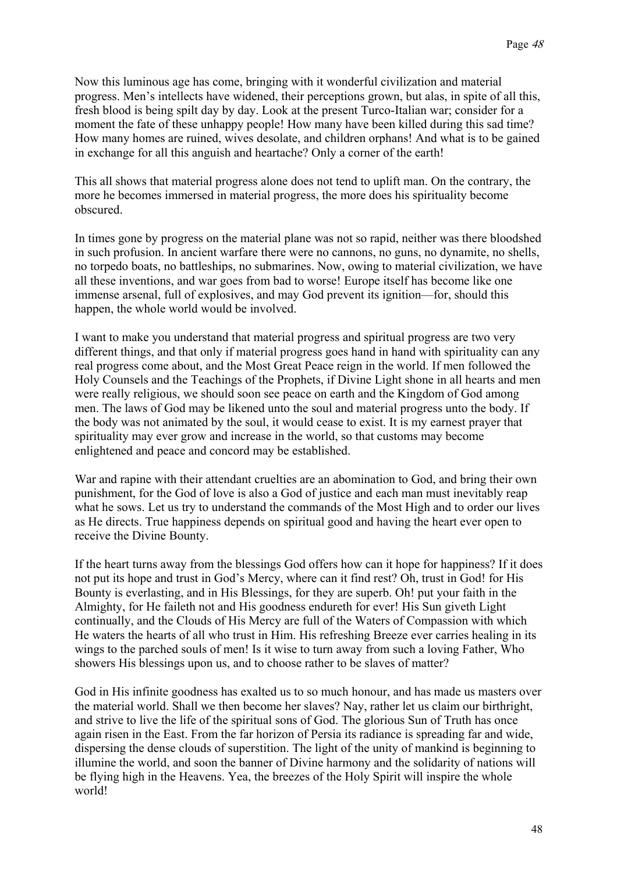Now this luminous age has come, bringing with it wonderful civilization and material progress. Men's intellects have widened, their perceptions grown, but alas, in spite of all this, fresh blood is being spilt day by day. Look at the present Turco-Italian war; consider for a moment the fate of these unhappy people! How many have been killed during this sad time? How many homes are ruined, wives desolate, and children orphans! And what is to be gained in exchange for all this anguish and heartache? Only a corner of the earth!

This all shows that material progress alone does not tend to uplift man. On the contrary, the more he becomes immersed in material progress, the more does his spirituality become obscured.

In times gone by progress on the material plane was not so rapid, neither was there bloodshed in such profusion. In ancient warfare there were no cannons, no guns, no dynamite, no shells, no torpedo boats, no battleships, no submarines. Now, owing to material civilization, we have all these inventions, and war goes from bad to worse! Europe itself has become like one immense arsenal, full of explosives, and may God prevent its ignition—for, should this happen, the whole world would be involved.

I want to make you understand that material progress and spiritual progress are two very different things, and that only if material progress goes hand in hand with spirituality can any real progress come about, and the Most Great Peace reign in the world. If men followed the Holy Counsels and the Teachings of the Prophets, if Divine Light shone in all hearts and men were really religious, we should soon see peace on earth and the Kingdom of God among men. The laws of God may be likened unto the soul and material progress unto the body. If the body was not animated by the soul, it would cease to exist. It is my earnest prayer that spirituality may ever grow and increase in the world, so that customs may become enlightened and peace and concord may be established.

War and rapine with their attendant cruelties are an abomination to God, and bring their own punishment, for the God of love is also a God of justice and each man must inevitably reap what he sows. Let us try to understand the commands of the Most High and to order our lives as He directs. True happiness depends on spiritual good and having the heart ever open to receive the Divine Bounty.

If the heart turns away from the blessings God offers how can it hope for happiness? If it does not put its hope and trust in God's Mercy, where can it find rest? Oh, trust in God! for His Bounty is everlasting, and in His Blessings, for they are superb. Oh! put your faith in the Almighty, for He faileth not and His goodness endureth for ever! His Sun giveth Light continually, and the Clouds of His Mercy are full of the Waters of Compassion with which He waters the hearts of all who trust in Him. His refreshing Breeze ever carries healing in its wings to the parched souls of men! Is it wise to turn away from such a loving Father, Who showers His blessings upon us, and to choose rather to be slaves of matter?

God in His infinite goodness has exalted us to so much honour, and has made us masters over the material world. Shall we then become her slaves? Nay, rather let us claim our birthright, and strive to live the life of the spiritual sons of God. The glorious Sun of Truth has once again risen in the East. From the far horizon of Persia its radiance is spreading far and wide, dispersing the dense clouds of superstition. The light of the unity of mankind is beginning to illumine the world, and soon the banner of Divine harmony and the solidarity of nations will be flying high in the Heavens. Yea, the breezes of the Holy Spirit will inspire the whole world!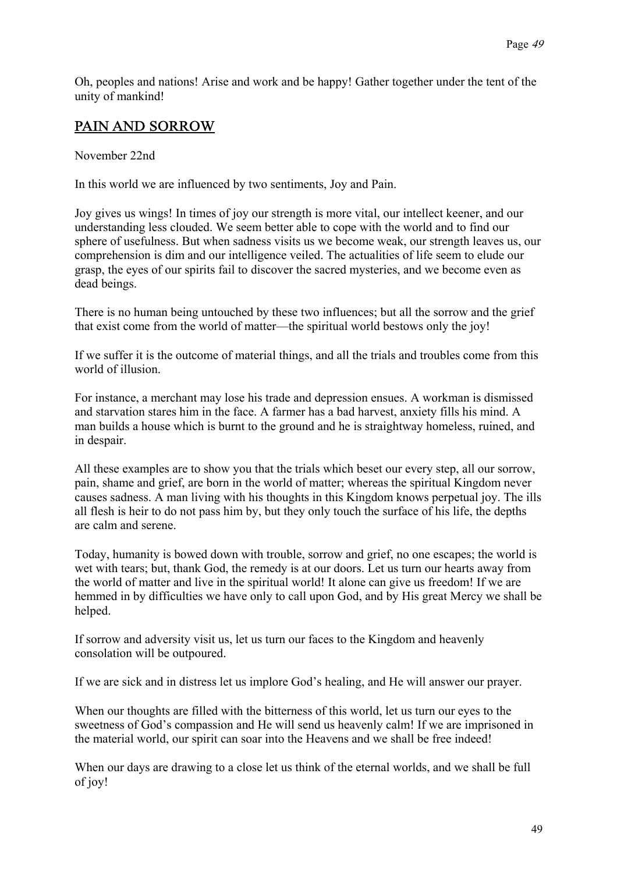Oh, peoples and nations! Arise and work and be happy! Gather together under the tent of the unity of mankind!

### PAIN AND SORROW

November 22nd

In this world we are influenced by two sentiments, Joy and Pain.

Joy gives us wings! In times of joy our strength is more vital, our intellect keener, and our understanding less clouded. We seem better able to cope with the world and to find our sphere of usefulness. But when sadness visits us we become weak, our strength leaves us, our comprehension is dim and our intelligence veiled. The actualities of life seem to elude our grasp, the eyes of our spirits fail to discover the sacred mysteries, and we become even as dead beings.

There is no human being untouched by these two influences; but all the sorrow and the grief that exist come from the world of matter—the spiritual world bestows only the joy!

If we suffer it is the outcome of material things, and all the trials and troubles come from this world of illusion.

For instance, a merchant may lose his trade and depression ensues. A workman is dismissed and starvation stares him in the face. A farmer has a bad harvest, anxiety fills his mind. A man builds a house which is burnt to the ground and he is straightway homeless, ruined, and in despair.

All these examples are to show you that the trials which beset our every step, all our sorrow, pain, shame and grief, are born in the world of matter; whereas the spiritual Kingdom never causes sadness. A man living with his thoughts in this Kingdom knows perpetual joy. The ills all flesh is heir to do not pass him by, but they only touch the surface of his life, the depths are calm and serene.

Today, humanity is bowed down with trouble, sorrow and grief, no one escapes; the world is wet with tears; but, thank God, the remedy is at our doors. Let us turn our hearts away from the world of matter and live in the spiritual world! It alone can give us freedom! If we are hemmed in by difficulties we have only to call upon God, and by His great Mercy we shall be helped.

If sorrow and adversity visit us, let us turn our faces to the Kingdom and heavenly consolation will be outpoured.

If we are sick and in distress let us implore God's healing, and He will answer our prayer.

When our thoughts are filled with the bitterness of this world, let us turn our eyes to the sweetness of God's compassion and He will send us heavenly calm! If we are imprisoned in the material world, our spirit can soar into the Heavens and we shall be free indeed!

When our days are drawing to a close let us think of the eternal worlds, and we shall be full of joy!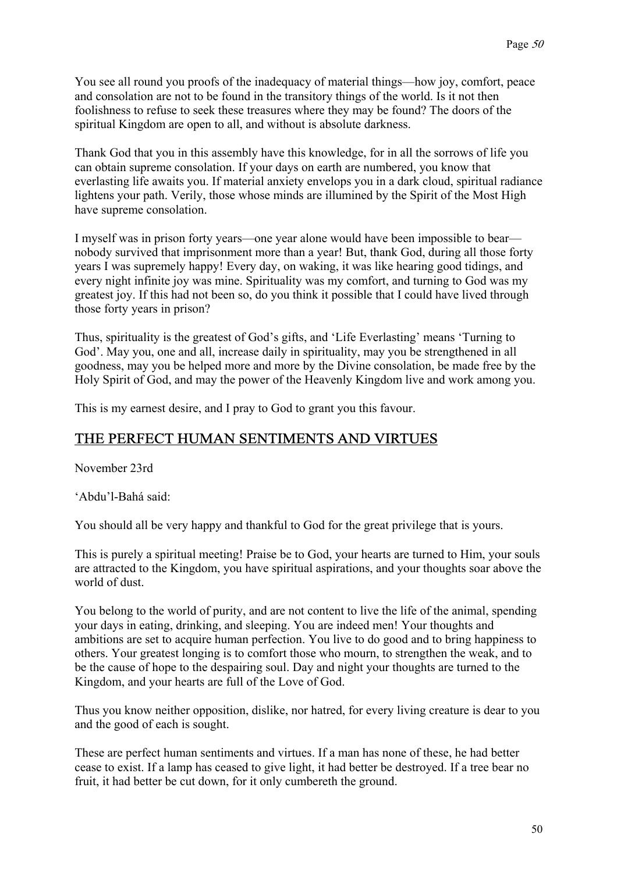You see all round you proofs of the inadequacy of material things—how joy, comfort, peace and consolation are not to be found in the transitory things of the world. Is it not then foolishness to refuse to seek these treasures where they may be found? The doors of the spiritual Kingdom are open to all, and without is absolute darkness.

Thank God that you in this assembly have this knowledge, for in all the sorrows of life you can obtain supreme consolation. If your days on earth are numbered, you know that everlasting life awaits you. If material anxiety envelops you in a dark cloud, spiritual radiance lightens your path. Verily, those whose minds are illumined by the Spirit of the Most High have supreme consolation.

I myself was in prison forty years—one year alone would have been impossible to bear nobody survived that imprisonment more than a year! But, thank God, during all those forty years I was supremely happy! Every day, on waking, it was like hearing good tidings, and every night infinite joy was mine. Spirituality was my comfort, and turning to God was my greatest joy. If this had not been so, do you think it possible that I could have lived through those forty years in prison?

Thus, spirituality is the greatest of God's gifts, and 'Life Everlasting' means 'Turning to God'. May you, one and all, increase daily in spirituality, may you be strengthened in all goodness, may you be helped more and more by the Divine consolation, be made free by the Holy Spirit of God, and may the power of the Heavenly Kingdom live and work among you.

This is my earnest desire, and I pray to God to grant you this favour.

### THE PERFECT HUMAN SENTIMENTS AND VIRTUES

November 23rd

'Abdu'l-Bahá said:

You should all be very happy and thankful to God for the great privilege that is yours.

This is purely a spiritual meeting! Praise be to God, your hearts are turned to Him, your souls are attracted to the Kingdom, you have spiritual aspirations, and your thoughts soar above the world of dust.

You belong to the world of purity, and are not content to live the life of the animal, spending your days in eating, drinking, and sleeping. You are indeed men! Your thoughts and ambitions are set to acquire human perfection. You live to do good and to bring happiness to others. Your greatest longing is to comfort those who mourn, to strengthen the weak, and to be the cause of hope to the despairing soul. Day and night your thoughts are turned to the Kingdom, and your hearts are full of the Love of God.

Thus you know neither opposition, dislike, nor hatred, for every living creature is dear to you and the good of each is sought.

These are perfect human sentiments and virtues. If a man has none of these, he had better cease to exist. If a lamp has ceased to give light, it had better be destroyed. If a tree bear no fruit, it had better be cut down, for it only cumbereth the ground.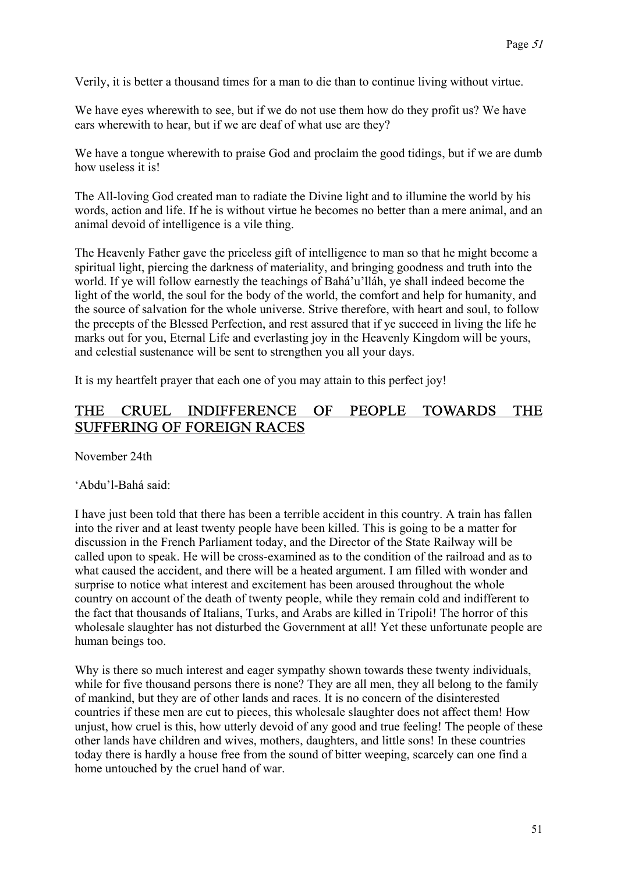Verily, it is better a thousand times for a man to die than to continue living without virtue.

We have eyes wherewith to see, but if we do not use them how do they profit us? We have ears wherewith to hear, but if we are deaf of what use are they?

We have a tongue wherewith to praise God and proclaim the good tidings, but if we are dumb how useless it is!

The All-loving God created man to radiate the Divine light and to illumine the world by his words, action and life. If he is without virtue he becomes no better than a mere animal, and an animal devoid of intelligence is a vile thing.

The Heavenly Father gave the priceless gift of intelligence to man so that he might become a spiritual light, piercing the darkness of materiality, and bringing goodness and truth into the world. If ye will follow earnestly the teachings of Bahá'u'lláh, ye shall indeed become the light of the world, the soul for the body of the world, the comfort and help for humanity, and the source of salvation for the whole universe. Strive therefore, with heart and soul, to follow the precepts of the Blessed Perfection, and rest assured that if ye succeed in living the life he marks out for you, Eternal Life and everlasting joy in the Heavenly Kingdom will be yours, and celestial sustenance will be sent to strengthen you all your days.

It is my heartfelt prayer that each one of you may attain to this perfect joy!

### THE CRUEL INDIFFERENCE OF PEOPLE TOWARDS THE SUFFERING OF FOREIGN RACES

November 24th

'Abdu'l-Bahá said:

I have just been told that there has been a terrible accident in this country. A train has fallen into the river and at least twenty people have been killed. This is going to be a matter for discussion in the French Parliament today, and the Director of the State Railway will be called upon to speak. He will be cross-examined as to the condition of the railroad and as to what caused the accident, and there will be a heated argument. I am filled with wonder and surprise to notice what interest and excitement has been aroused throughout the whole country on account of the death of twenty people, while they remain cold and indifferent to the fact that thousands of Italians, Turks, and Arabs are killed in Tripoli! The horror of this wholesale slaughter has not disturbed the Government at all! Yet these unfortunate people are human beings too.

Why is there so much interest and eager sympathy shown towards these twenty individuals, while for five thousand persons there is none? They are all men, they all belong to the family of mankind, but they are of other lands and races. It is no concern of the disinterested countries if these men are cut to pieces, this wholesale slaughter does not affect them! How unjust, how cruel is this, how utterly devoid of any good and true feeling! The people of these other lands have children and wives, mothers, daughters, and little sons! In these countries today there is hardly a house free from the sound of bitter weeping, scarcely can one find a home untouched by the cruel hand of war.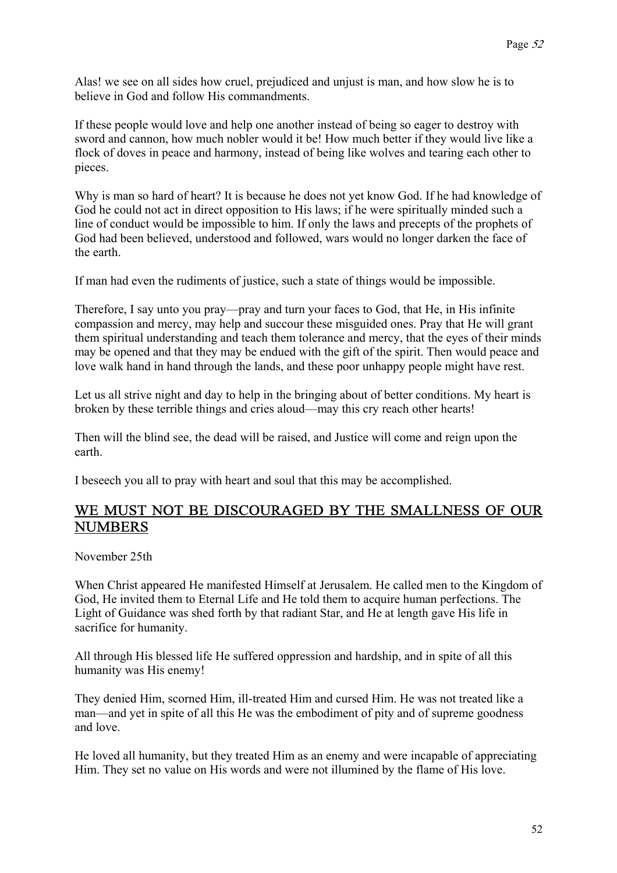Alas! we see on all sides how cruel, prejudiced and unjust is man, and how slow he is to believe in God and follow His commandments.

If these people would love and help one another instead of being so eager to destroy with sword and cannon, how much nobler would it be! How much better if they would live like a flock of doves in peace and harmony, instead of being like wolves and tearing each other to pieces.

Why is man so hard of heart? It is because he does not yet know God. If he had knowledge of God he could not act in direct opposition to His laws; if he were spiritually minded such a line of conduct would be impossible to him. If only the laws and precepts of the prophets of God had been believed, understood and followed, wars would no longer darken the face of the earth

If man had even the rudiments of justice, such a state of things would be impossible.

Therefore, I say unto you pray—pray and turn your faces to God, that He, in His infinite compassion and mercy, may help and succour these misguided ones. Pray that He will grant them spiritual understanding and teach them tolerance and mercy, that the eyes of their minds may be opened and that they may be endued with the gift of the spirit. Then would peace and love walk hand in hand through the lands, and these poor unhappy people might have rest.

Let us all strive night and day to help in the bringing about of better conditions. My heart is broken by these terrible things and cries aloud—may this cry reach other hearts!

Then will the blind see, the dead will be raised, and Justice will come and reign upon the earth.

I beseech you all to pray with heart and soul that this may be accomplished.

#### WE MUST NOT BE DISCOURAGED BY THE SMALLNESS OF OUR **NUMBERS**

November 25th

When Christ appeared He manifested Himself at Jerusalem. He called men to the Kingdom of God, He invited them to Eternal Life and He told them to acquire human perfections. The Light of Guidance was shed forth by that radiant Star, and He at length gave His life in sacrifice for humanity.

All through His blessed life He suffered oppression and hardship, and in spite of all this humanity was His enemy!

They denied Him, scorned Him, ill-treated Him and cursed Him. He was not treated like a man—and yet in spite of all this He was the embodiment of pity and of supreme goodness and love.

He loved all humanity, but they treated Him as an enemy and were incapable of appreciating Him. They set no value on His words and were not illumined by the flame of His love.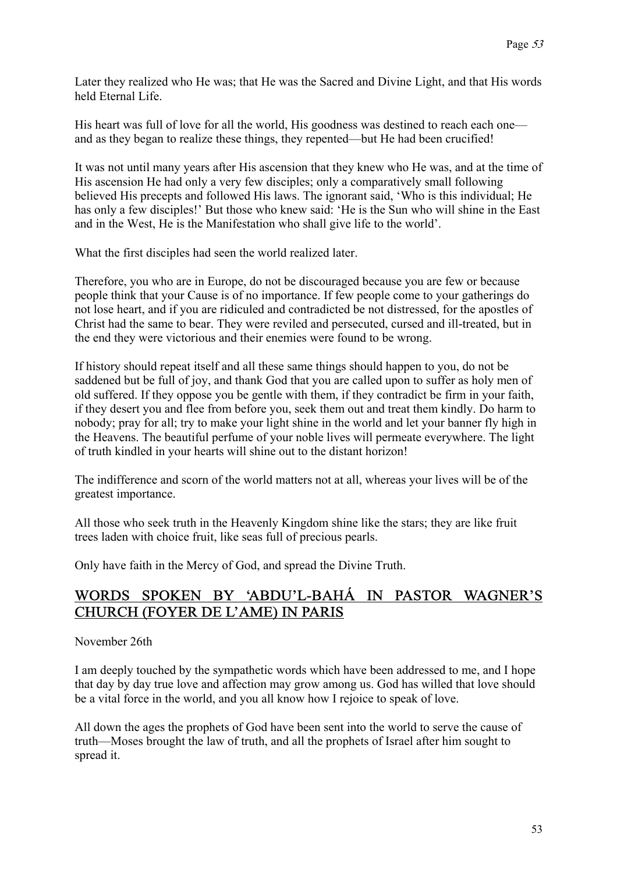Later they realized who He was; that He was the Sacred and Divine Light, and that His words held Eternal Life.

His heart was full of love for all the world, His goodness was destined to reach each oneand as they began to realize these things, they repented—but He had been crucified!

It was not until many years after His ascension that they knew who He was, and at the time of His ascension He had only a very few disciples; only a comparatively small following believed His precepts and followed His laws. The ignorant said, 'Who is this individual; He has only a few disciples!' But those who knew said: 'He is the Sun who will shine in the East and in the West, He is the Manifestation who shall give life to the world'.

What the first disciples had seen the world realized later.

Therefore, you who are in Europe, do not be discouraged because you are few or because people think that your Cause is of no importance. If few people come to your gatherings do not lose heart, and if you are ridiculed and contradicted be not distressed, for the apostles of Christ had the same to bear. They were reviled and persecuted, cursed and ill-treated, but in the end they were victorious and their enemies were found to be wrong.

If history should repeat itself and all these same things should happen to you, do not be saddened but be full of joy, and thank God that you are called upon to suffer as holy men of old suffered. If they oppose you be gentle with them, if they contradict be firm in your faith, if they desert you and flee from before you, seek them out and treat them kindly. Do harm to nobody; pray for all; try to make your light shine in the world and let your banner fly high in the Heavens. The beautiful perfume of your noble lives will permeate everywhere. The light of truth kindled in your hearts will shine out to the distant horizon!

The indifference and scorn of the world matters not at all, whereas your lives will be of the greatest importance.

All those who seek truth in the Heavenly Kingdom shine like the stars; they are like fruit trees laden with choice fruit, like seas full of precious pearls.

Only have faith in the Mercy of God, and spread the Divine Truth.

### WORDS SPOKEN BY 'ABDU'L-BAHÁ IN PASTOR WAGNER'S CHURCH (FOYER DE L'AME) IN PARIS

#### November 26th

I am deeply touched by the sympathetic words which have been addressed to me, and I hope that day by day true love and affection may grow among us. God has willed that love should be a vital force in the world, and you all know how I rejoice to speak of love.

All down the ages the prophets of God have been sent into the world to serve the cause of truth—Moses brought the law of truth, and all the prophets of Israel after him sought to spread it.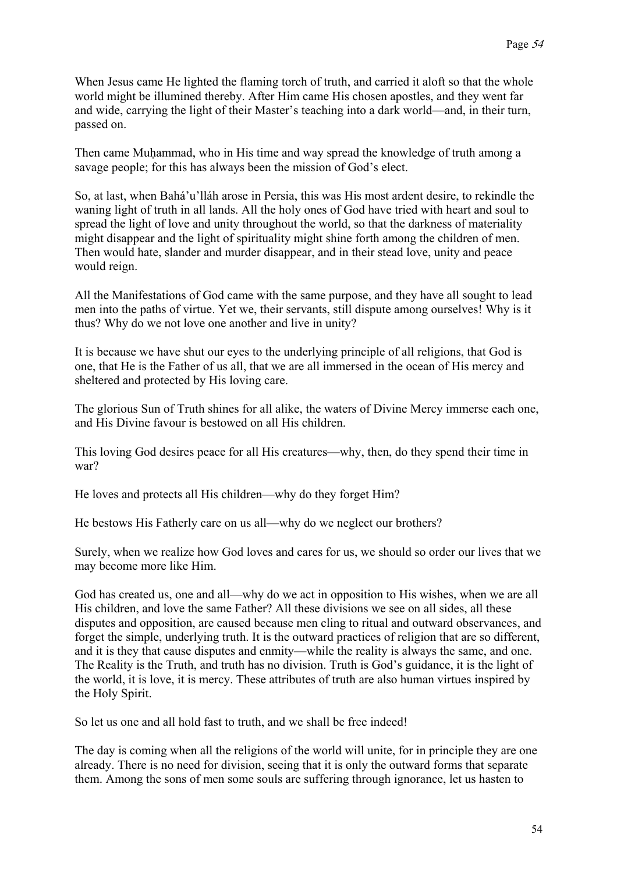When Jesus came He lighted the flaming torch of truth, and carried it aloft so that the whole world might be illumined thereby. After Him came His chosen apostles, and they went far and wide, carrying the light of their Master's teaching into a dark world—and, in their turn, passed on.

Then came Muḥammad, who in His time and way spread the knowledge of truth among a savage people; for this has always been the mission of God's elect.

So, at last, when Bahá'u'lláh arose in Persia, this was His most ardent desire, to rekindle the waning light of truth in all lands. All the holy ones of God have tried with heart and soul to spread the light of love and unity throughout the world, so that the darkness of materiality might disappear and the light of spirituality might shine forth among the children of men. Then would hate, slander and murder disappear, and in their stead love, unity and peace would reign.

All the Manifestations of God came with the same purpose, and they have all sought to lead men into the paths of virtue. Yet we, their servants, still dispute among ourselves! Why is it thus? Why do we not love one another and live in unity?

It is because we have shut our eyes to the underlying principle of all religions, that God is one, that He is the Father of us all, that we are all immersed in the ocean of His mercy and sheltered and protected by His loving care.

The glorious Sun of Truth shines for all alike, the waters of Divine Mercy immerse each one, and His Divine favour is bestowed on all His children.

This loving God desires peace for all His creatures—why, then, do they spend their time in war?

He loves and protects all His children—why do they forget Him?

He bestows His Fatherly care on us all—why do we neglect our brothers?

Surely, when we realize how God loves and cares for us, we should so order our lives that we may become more like Him.

God has created us, one and all—why do we act in opposition to His wishes, when we are all His children, and love the same Father? All these divisions we see on all sides, all these disputes and opposition, are caused because men cling to ritual and outward observances, and forget the simple, underlying truth. It is the outward practices of religion that are so different, and it is they that cause disputes and enmity—while the reality is always the same, and one. The Reality is the Truth, and truth has no division. Truth is God's guidance, it is the light of the world, it is love, it is mercy. These attributes of truth are also human virtues inspired by the Holy Spirit.

So let us one and all hold fast to truth, and we shall be free indeed!

The day is coming when all the religions of the world will unite, for in principle they are one already. There is no need for division, seeing that it is only the outward forms that separate them. Among the sons of men some souls are suffering through ignorance, let us hasten to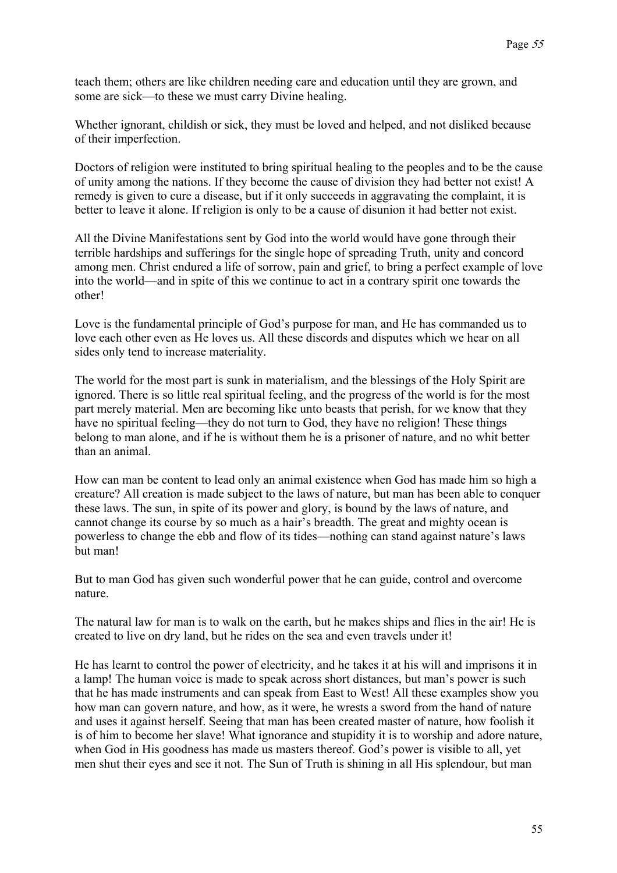teach them; others are like children needing care and education until they are grown, and some are sick—to these we must carry Divine healing.

Whether ignorant, childish or sick, they must be loved and helped, and not disliked because of their imperfection.

Doctors of religion were instituted to bring spiritual healing to the peoples and to be the cause of unity among the nations. If they become the cause of division they had better not exist! A remedy is given to cure a disease, but if it only succeeds in aggravating the complaint, it is better to leave it alone. If religion is only to be a cause of disunion it had better not exist.

All the Divine Manifestations sent by God into the world would have gone through their terrible hardships and sufferings for the single hope of spreading Truth, unity and concord among men. Christ endured a life of sorrow, pain and grief, to bring a perfect example of love into the world—and in spite of this we continue to act in a contrary spirit one towards the other!

Love is the fundamental principle of God's purpose for man, and He has commanded us to love each other even as He loves us. All these discords and disputes which we hear on all sides only tend to increase materiality.

The world for the most part is sunk in materialism, and the blessings of the Holy Spirit are ignored. There is so little real spiritual feeling, and the progress of the world is for the most part merely material. Men are becoming like unto beasts that perish, for we know that they have no spiritual feeling—they do not turn to God, they have no religion! These things belong to man alone, and if he is without them he is a prisoner of nature, and no whit better than an animal.

How can man be content to lead only an animal existence when God has made him so high a creature? All creation is made subject to the laws of nature, but man has been able to conquer these laws. The sun, in spite of its power and glory, is bound by the laws of nature, and cannot change its course by so much as a hair's breadth. The great and mighty ocean is powerless to change the ebb and flow of its tides—nothing can stand against nature's laws but man!

But to man God has given such wonderful power that he can guide, control and overcome nature.

The natural law for man is to walk on the earth, but he makes ships and flies in the air! He is created to live on dry land, but he rides on the sea and even travels under it!

He has learnt to control the power of electricity, and he takes it at his will and imprisons it in a lamp! The human voice is made to speak across short distances, but man's power is such that he has made instruments and can speak from East to West! All these examples show you how man can govern nature, and how, as it were, he wrests a sword from the hand of nature and uses it against herself. Seeing that man has been created master of nature, how foolish it is of him to become her slave! What ignorance and stupidity it is to worship and adore nature, when God in His goodness has made us masters thereof. God's power is visible to all, yet men shut their eyes and see it not. The Sun of Truth is shining in all His splendour, but man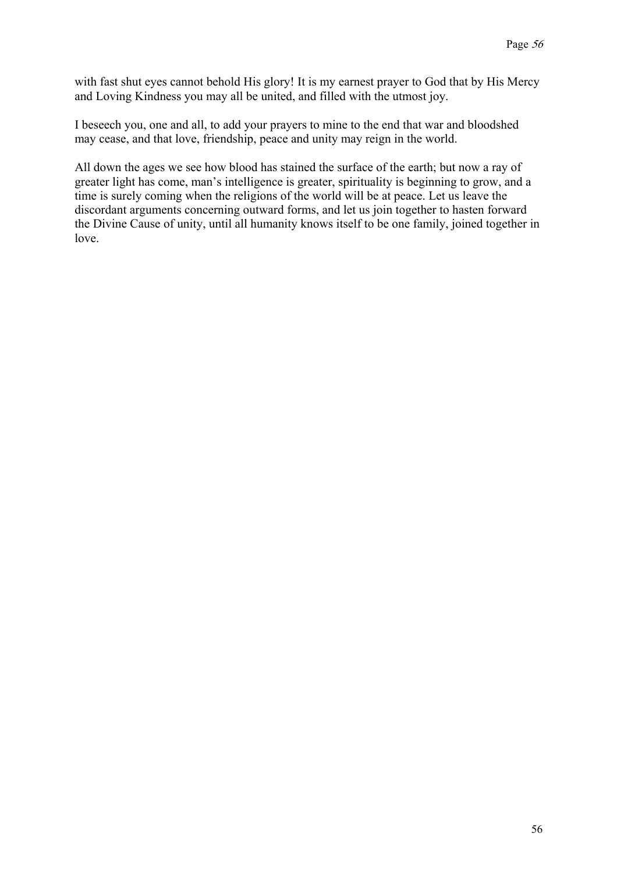with fast shut eyes cannot behold His glory! It is my earnest prayer to God that by His Mercy and Loving Kindness you may all be united, and filled with the utmost joy.

I beseech you, one and all, to add your prayers to mine to the end that war and bloodshed may cease, and that love, friendship, peace and unity may reign in the world.

All down the ages we see how blood has stained the surface of the earth; but now a ray of greater light has come, man's intelligence is greater, spirituality is beginning to grow, and a time is surely coming when the religions of the world will be at peace. Let us leave the discordant arguments concerning outward forms, and let us join together to hasten forward the Divine Cause of unity, until all humanity knows itself to be one family, joined together in love.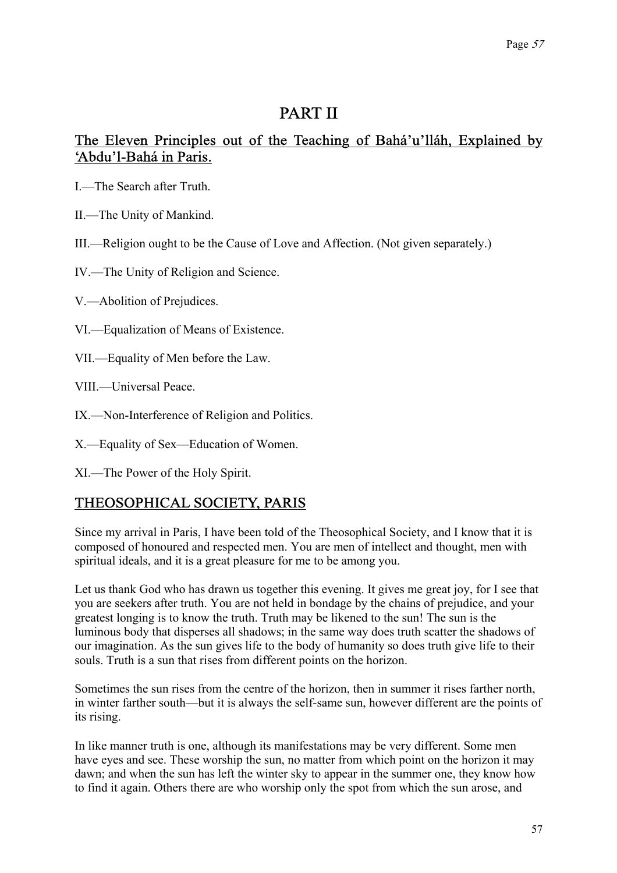# PART II

## The Eleven Principles out of the Teaching of Bahá'u'lláh, Explained by 'Abdu'l-Bahá in Paris.

- I.—The Search after Truth.
- II.—The Unity of Mankind.
- III.—Religion ought to be the Cause of Love and Affection. (Not given separately.)
- IV.—The Unity of Religion and Science.
- V.—Abolition of Prejudices.
- VI.—Equalization of Means of Existence.
- VII.—Equality of Men before the Law.
- VIII.—Universal Peace.
- IX.—Non-Interference of Religion and Politics.
- X.—Equality of Sex—Education of Women.
- XI.—The Power of the Holy Spirit.

### THEOSOPHICAL SOCIETY, PARIS

Since my arrival in Paris, I have been told of the Theosophical Society, and I know that it is composed of honoured and respected men. You are men of intellect and thought, men with spiritual ideals, and it is a great pleasure for me to be among you.

Let us thank God who has drawn us together this evening. It gives me great joy, for I see that you are seekers after truth. You are not held in bondage by the chains of prejudice, and your greatest longing is to know the truth. Truth may be likened to the sun! The sun is the luminous body that disperses all shadows; in the same way does truth scatter the shadows of our imagination. As the sun gives life to the body of humanity so does truth give life to their souls. Truth is a sun that rises from different points on the horizon.

Sometimes the sun rises from the centre of the horizon, then in summer it rises farther north, in winter farther south—but it is always the self-same sun, however different are the points of its rising.

In like manner truth is one, although its manifestations may be very different. Some men have eyes and see. These worship the sun, no matter from which point on the horizon it may dawn; and when the sun has left the winter sky to appear in the summer one, they know how to find it again. Others there are who worship only the spot from which the sun arose, and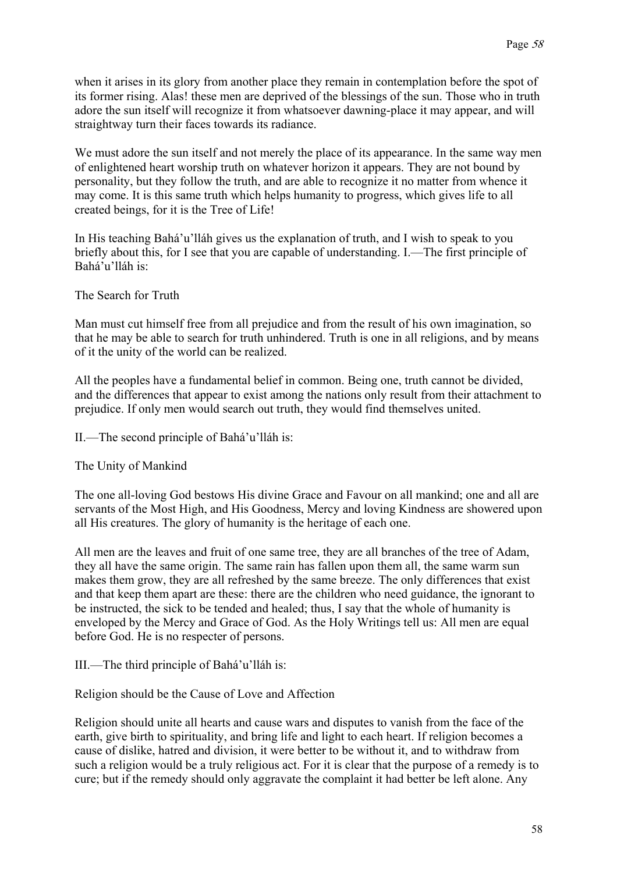when it arises in its glory from another place they remain in contemplation before the spot of its former rising. Alas! these men are deprived of the blessings of the sun. Those who in truth adore the sun itself will recognize it from whatsoever dawning-place it may appear, and will straightway turn their faces towards its radiance.

We must adore the sun itself and not merely the place of its appearance. In the same way men of enlightened heart worship truth on whatever horizon it appears. They are not bound by personality, but they follow the truth, and are able to recognize it no matter from whence it may come. It is this same truth which helps humanity to progress, which gives life to all created beings, for it is the Tree of Life!

In His teaching Bahá'u'lláh gives us the explanation of truth, and I wish to speak to you briefly about this, for I see that you are capable of understanding. I.—The first principle of Bahá'u'lláh is:

The Search for Truth

Man must cut himself free from all prejudice and from the result of his own imagination, so that he may be able to search for truth unhindered. Truth is one in all religions, and by means of it the unity of the world can be realized.

All the peoples have a fundamental belief in common. Being one, truth cannot be divided, and the differences that appear to exist among the nations only result from their attachment to prejudice. If only men would search out truth, they would find themselves united.

II.—The second principle of Bahá'u'lláh is:

The Unity of Mankind

The one all-loving God bestows His divine Grace and Favour on all mankind; one and all are servants of the Most High, and His Goodness, Mercy and loving Kindness are showered upon all His creatures. The glory of humanity is the heritage of each one.

All men are the leaves and fruit of one same tree, they are all branches of the tree of Adam, they all have the same origin. The same rain has fallen upon them all, the same warm sun makes them grow, they are all refreshed by the same breeze. The only differences that exist and that keep them apart are these: there are the children who need guidance, the ignorant to be instructed, the sick to be tended and healed; thus, I say that the whole of humanity is enveloped by the Mercy and Grace of God. As the Holy Writings tell us: All men are equal before God. He is no respecter of persons.

III.—The third principle of Bahá'u'lláh is:

Religion should be the Cause of Love and Affection

Religion should unite all hearts and cause wars and disputes to vanish from the face of the earth, give birth to spirituality, and bring life and light to each heart. If religion becomes a cause of dislike, hatred and division, it were better to be without it, and to withdraw from such a religion would be a truly religious act. For it is clear that the purpose of a remedy is to cure; but if the remedy should only aggravate the complaint it had better be left alone. Any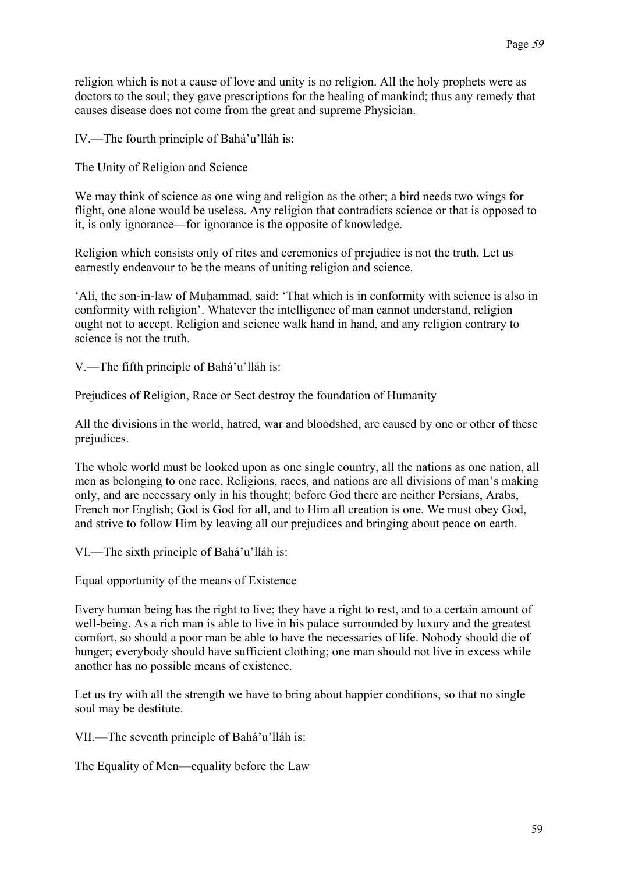religion which is not a cause of love and unity is no religion. All the holy prophets were as doctors to the soul; they gave prescriptions for the healing of mankind; thus any remedy that causes disease does not come from the great and supreme Physician.

IV.—The fourth principle of Bahá'u'lláh is:

The Unity of Religion and Science

We may think of science as one wing and religion as the other; a bird needs two wings for flight, one alone would be useless. Any religion that contradicts science or that is opposed to it, is only ignorance—for ignorance is the opposite of knowledge.

Religion which consists only of rites and ceremonies of prejudice is not the truth. Let us earnestly endeavour to be the means of uniting religion and science.

'Alí, the son-in-law of Muḥammad, said: 'That which is in conformity with science is also in conformity with religion'. Whatever the intelligence of man cannot understand, religion ought not to accept. Religion and science walk hand in hand, and any religion contrary to science is not the truth.

V.—The fifth principle of Bahá'u'lláh is:

Prejudices of Religion, Race or Sect destroy the foundation of Humanity

All the divisions in the world, hatred, war and bloodshed, are caused by one or other of these prejudices.

The whole world must be looked upon as one single country, all the nations as one nation, all men as belonging to one race. Religions, races, and nations are all divisions of man's making only, and are necessary only in his thought; before God there are neither Persians, Arabs, French nor English; God is God for all, and to Him all creation is one. We must obey God, and strive to follow Him by leaving all our prejudices and bringing about peace on earth.

VI.—The sixth principle of Bahá'u'lláh is:

Equal opportunity of the means of Existence

Every human being has the right to live; they have a right to rest, and to a certain amount of well-being. As a rich man is able to live in his palace surrounded by luxury and the greatest comfort, so should a poor man be able to have the necessaries of life. Nobody should die of hunger; everybody should have sufficient clothing; one man should not live in excess while another has no possible means of existence.

Let us try with all the strength we have to bring about happier conditions, so that no single soul may be destitute.

VII.—The seventh principle of Bahá'u'lláh is:

The Equality of Men—equality before the Law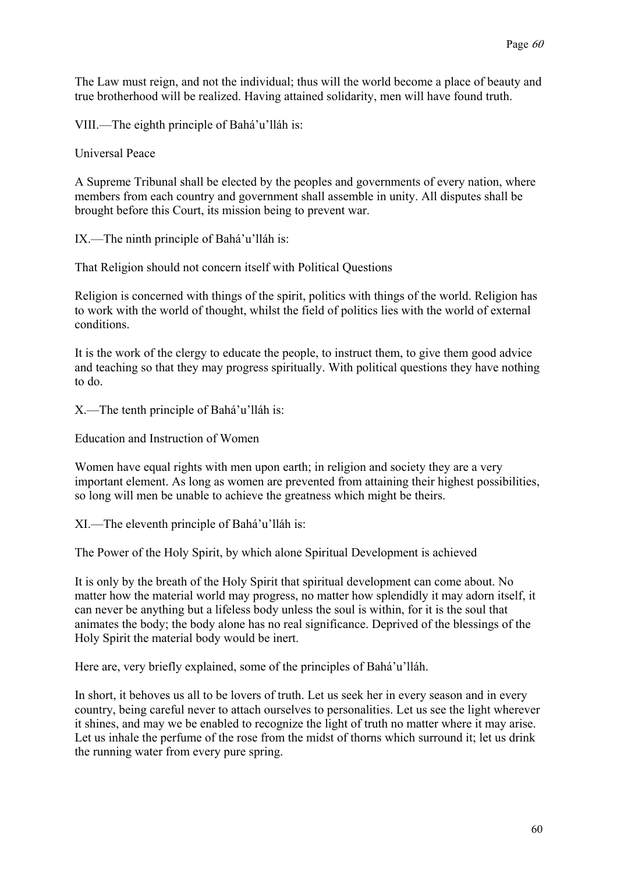The Law must reign, and not the individual; thus will the world become a place of beauty and true brotherhood will be realized. Having attained solidarity, men will have found truth.

VIII.—The eighth principle of Bahá'u'lláh is:

Universal Peace

A Supreme Tribunal shall be elected by the peoples and governments of every nation, where members from each country and government shall assemble in unity. All disputes shall be brought before this Court, its mission being to prevent war.

IX.—The ninth principle of Bahá'u'lláh is:

That Religion should not concern itself with Political Questions

Religion is concerned with things of the spirit, politics with things of the world. Religion has to work with the world of thought, whilst the field of politics lies with the world of external conditions.

It is the work of the clergy to educate the people, to instruct them, to give them good advice and teaching so that they may progress spiritually. With political questions they have nothing to do.

X.—The tenth principle of Bahá'u'lláh is:

Education and Instruction of Women

Women have equal rights with men upon earth; in religion and society they are a very important element. As long as women are prevented from attaining their highest possibilities, so long will men be unable to achieve the greatness which might be theirs.

XI.—The eleventh principle of Bahá'u'lláh is:

The Power of the Holy Spirit, by which alone Spiritual Development is achieved

It is only by the breath of the Holy Spirit that spiritual development can come about. No matter how the material world may progress, no matter how splendidly it may adorn itself, it can never be anything but a lifeless body unless the soul is within, for it is the soul that animates the body; the body alone has no real significance. Deprived of the blessings of the Holy Spirit the material body would be inert.

Here are, very briefly explained, some of the principles of Bahá'u'lláh.

In short, it behoves us all to be lovers of truth. Let us seek her in every season and in every country, being careful never to attach ourselves to personalities. Let us see the light wherever it shines, and may we be enabled to recognize the light of truth no matter where it may arise. Let us inhale the perfume of the rose from the midst of thorns which surround it; let us drink the running water from every pure spring.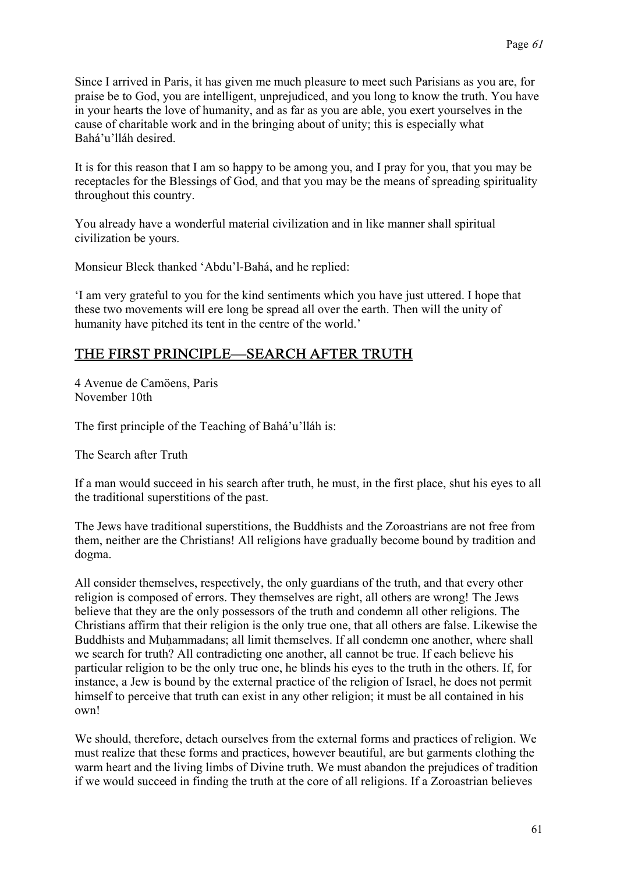Since I arrived in Paris, it has given me much pleasure to meet such Parisians as you are, for praise be to God, you are intelligent, unprejudiced, and you long to know the truth. You have in your hearts the love of humanity, and as far as you are able, you exert yourselves in the cause of charitable work and in the bringing about of unity; this is especially what Bahá'u'lláh desired.

It is for this reason that I am so happy to be among you, and I pray for you, that you may be receptacles for the Blessings of God, and that you may be the means of spreading spirituality throughout this country.

You already have a wonderful material civilization and in like manner shall spiritual civilization be yours.

Monsieur Bleck thanked 'Abdu'l-Bahá, and he replied:

'I am very grateful to you for the kind sentiments which you have just uttered. I hope that these two movements will ere long be spread all over the earth. Then will the unity of humanity have pitched its tent in the centre of the world.'

### THE FIRST PRINCIPLE—SEARCH AFTER TRUTH

4 Avenue de Camöens, Paris November 10th

The first principle of the Teaching of Bahá'u'lláh is:

The Search after Truth

If a man would succeed in his search after truth, he must, in the first place, shut his eyes to all the traditional superstitions of the past.

The Jews have traditional superstitions, the Buddhists and the Zoroastrians are not free from them, neither are the Christians! All religions have gradually become bound by tradition and dogma.

All consider themselves, respectively, the only guardians of the truth, and that every other religion is composed of errors. They themselves are right, all others are wrong! The Jews believe that they are the only possessors of the truth and condemn all other religions. The Christians affirm that their religion is the only true one, that all others are false. Likewise the Buddhists and Muḥammadans; all limit themselves. If all condemn one another, where shall we search for truth? All contradicting one another, all cannot be true. If each believe his particular religion to be the only true one, he blinds his eyes to the truth in the others. If, for instance, a Jew is bound by the external practice of the religion of Israel, he does not permit himself to perceive that truth can exist in any other religion; it must be all contained in his own!

We should, therefore, detach ourselves from the external forms and practices of religion. We must realize that these forms and practices, however beautiful, are but garments clothing the warm heart and the living limbs of Divine truth. We must abandon the prejudices of tradition if we would succeed in finding the truth at the core of all religions. If a Zoroastrian believes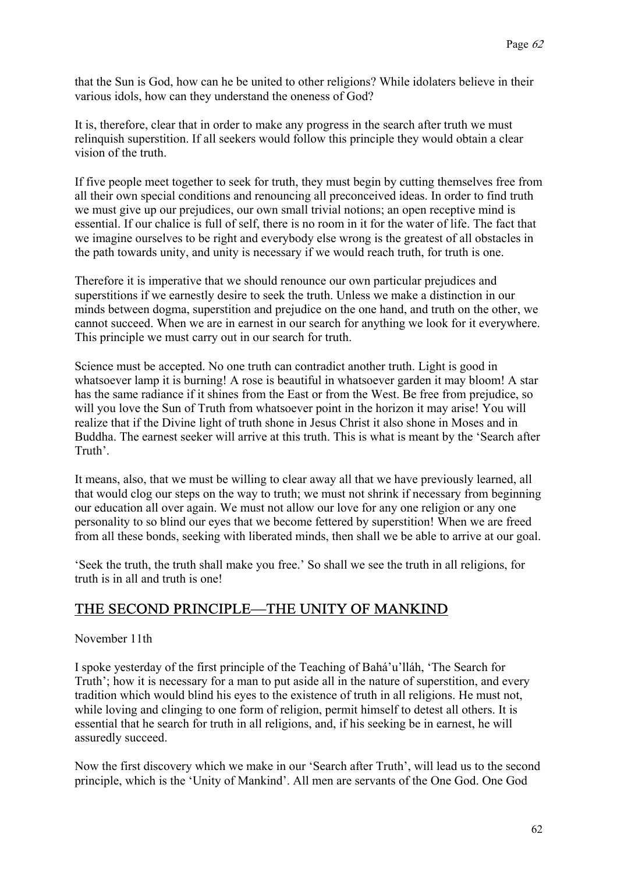that the Sun is God, how can he be united to other religions? While idolaters believe in their various idols, how can they understand the oneness of God?

It is, therefore, clear that in order to make any progress in the search after truth we must relinquish superstition. If all seekers would follow this principle they would obtain a clear vision of the truth.

If five people meet together to seek for truth, they must begin by cutting themselves free from all their own special conditions and renouncing all preconceived ideas. In order to find truth we must give up our prejudices, our own small trivial notions; an open receptive mind is essential. If our chalice is full of self, there is no room in it for the water of life. The fact that we imagine ourselves to be right and everybody else wrong is the greatest of all obstacles in the path towards unity, and unity is necessary if we would reach truth, for truth is one.

Therefore it is imperative that we should renounce our own particular prejudices and superstitions if we earnestly desire to seek the truth. Unless we make a distinction in our minds between dogma, superstition and prejudice on the one hand, and truth on the other, we cannot succeed. When we are in earnest in our search for anything we look for it everywhere. This principle we must carry out in our search for truth.

Science must be accepted. No one truth can contradict another truth. Light is good in whatsoever lamp it is burning! A rose is beautiful in whatsoever garden it may bloom! A star has the same radiance if it shines from the East or from the West. Be free from prejudice, so will you love the Sun of Truth from whatsoever point in the horizon it may arise! You will realize that if the Divine light of truth shone in Jesus Christ it also shone in Moses and in Buddha. The earnest seeker will arrive at this truth. This is what is meant by the 'Search after Truth'.

It means, also, that we must be willing to clear away all that we have previously learned, all that would clog our steps on the way to truth; we must not shrink if necessary from beginning our education all over again. We must not allow our love for any one religion or any one personality to so blind our eyes that we become fettered by superstition! When we are freed from all these bonds, seeking with liberated minds, then shall we be able to arrive at our goal.

'Seek the truth, the truth shall make you free.' So shall we see the truth in all religions, for truth is in all and truth is one!

### THE SECOND PRINCIPLE—THE UNITY OF MANKIND

#### November 11th

I spoke yesterday of the first principle of the Teaching of Bahá'u'lláh, 'The Search for Truth'; how it is necessary for a man to put aside all in the nature of superstition, and every tradition which would blind his eyes to the existence of truth in all religions. He must not, while loving and clinging to one form of religion, permit himself to detest all others. It is essential that he search for truth in all religions, and, if his seeking be in earnest, he will assuredly succeed.

Now the first discovery which we make in our 'Search after Truth', will lead us to the second principle, which is the 'Unity of Mankind'. All men are servants of the One God. One God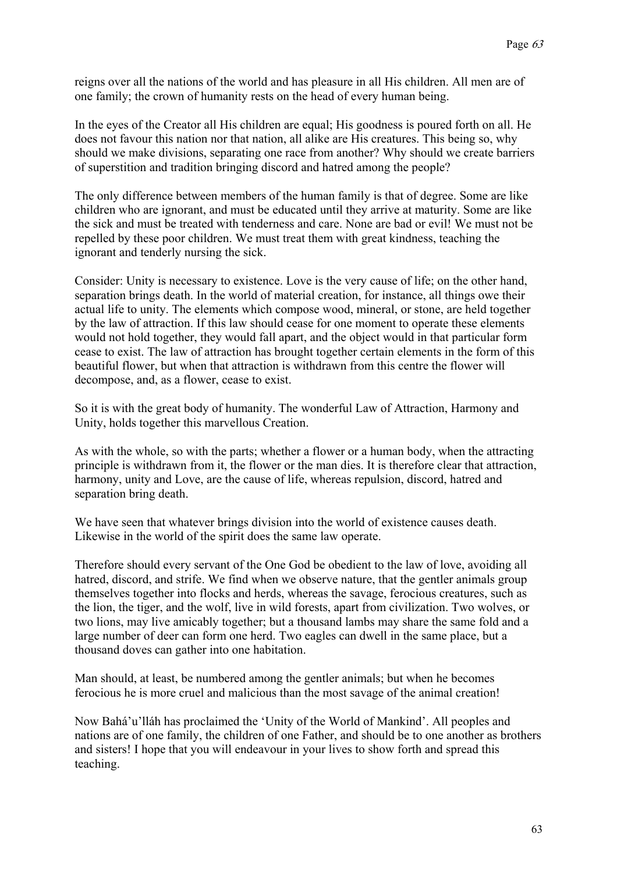reigns over all the nations of the world and has pleasure in all His children. All men are of one family; the crown of humanity rests on the head of every human being.

In the eyes of the Creator all His children are equal; His goodness is poured forth on all. He does not favour this nation nor that nation, all alike are His creatures. This being so, why should we make divisions, separating one race from another? Why should we create barriers of superstition and tradition bringing discord and hatred among the people?

The only difference between members of the human family is that of degree. Some are like children who are ignorant, and must be educated until they arrive at maturity. Some are like the sick and must be treated with tenderness and care. None are bad or evil! We must not be repelled by these poor children. We must treat them with great kindness, teaching the ignorant and tenderly nursing the sick.

Consider: Unity is necessary to existence. Love is the very cause of life; on the other hand, separation brings death. In the world of material creation, for instance, all things owe their actual life to unity. The elements which compose wood, mineral, or stone, are held together by the law of attraction. If this law should cease for one moment to operate these elements would not hold together, they would fall apart, and the object would in that particular form cease to exist. The law of attraction has brought together certain elements in the form of this beautiful flower, but when that attraction is withdrawn from this centre the flower will decompose, and, as a flower, cease to exist.

So it is with the great body of humanity. The wonderful Law of Attraction, Harmony and Unity, holds together this marvellous Creation.

As with the whole, so with the parts; whether a flower or a human body, when the attracting principle is withdrawn from it, the flower or the man dies. It is therefore clear that attraction, harmony, unity and Love, are the cause of life, whereas repulsion, discord, hatred and separation bring death.

We have seen that whatever brings division into the world of existence causes death. Likewise in the world of the spirit does the same law operate.

Therefore should every servant of the One God be obedient to the law of love, avoiding all hatred, discord, and strife. We find when we observe nature, that the gentler animals group themselves together into flocks and herds, whereas the savage, ferocious creatures, such as the lion, the tiger, and the wolf, live in wild forests, apart from civilization. Two wolves, or two lions, may live amicably together; but a thousand lambs may share the same fold and a large number of deer can form one herd. Two eagles can dwell in the same place, but a thousand doves can gather into one habitation.

Man should, at least, be numbered among the gentler animals; but when he becomes ferocious he is more cruel and malicious than the most savage of the animal creation!

Now Bahá'u'lláh has proclaimed the 'Unity of the World of Mankind'. All peoples and nations are of one family, the children of one Father, and should be to one another as brothers and sisters! I hope that you will endeavour in your lives to show forth and spread this teaching.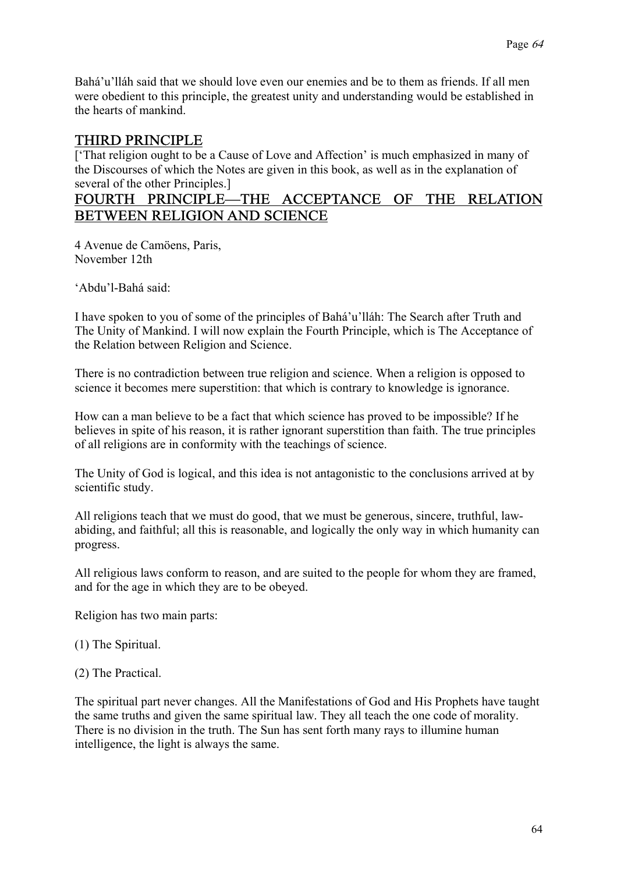Bahá'u'lláh said that we should love even our enemies and be to them as friends. If all men were obedient to this principle, the greatest unity and understanding would be established in the hearts of mankind.

### THIRD PRINCIPLE

['That religion ought to be a Cause of Love and Affection' is much emphasized in many of the Discourses of which the Notes are given in this book, as well as in the explanation of several of the other Principles.]

### FOURTH PRINCIPLE—THE ACCEPTANCE OF THE RELATION BETWEEN RELIGION AND SCIENCE

4 Avenue de Camöens, Paris, November 12th

'Abdu'l-Bahá said:

I have spoken to you of some of the principles of Bahá'u'lláh: The Search after Truth and The Unity of Mankind. I will now explain the Fourth Principle, which is The Acceptance of the Relation between Religion and Science.

There is no contradiction between true religion and science. When a religion is opposed to science it becomes mere superstition: that which is contrary to knowledge is ignorance.

How can a man believe to be a fact that which science has proved to be impossible? If he believes in spite of his reason, it is rather ignorant superstition than faith. The true principles of all religions are in conformity with the teachings of science.

The Unity of God is logical, and this idea is not antagonistic to the conclusions arrived at by scientific study.

All religions teach that we must do good, that we must be generous, sincere, truthful, lawabiding, and faithful; all this is reasonable, and logically the only way in which humanity can progress.

All religious laws conform to reason, and are suited to the people for whom they are framed, and for the age in which they are to be obeyed.

Religion has two main parts:

- (1) The Spiritual.
- (2) The Practical.

The spiritual part never changes. All the Manifestations of God and His Prophets have taught the same truths and given the same spiritual law. They all teach the one code of morality. There is no division in the truth. The Sun has sent forth many rays to illumine human intelligence, the light is always the same.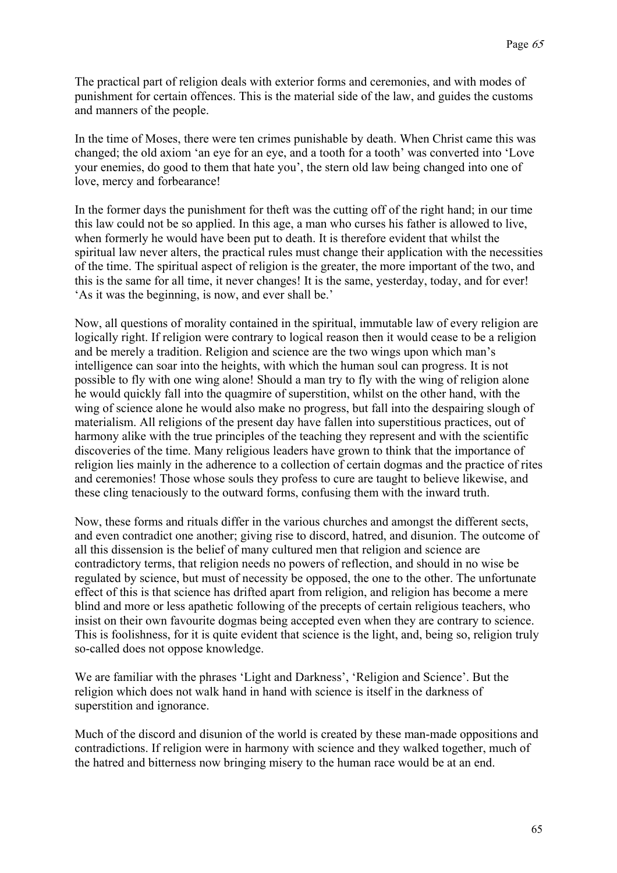The practical part of religion deals with exterior forms and ceremonies, and with modes of punishment for certain offences. This is the material side of the law, and guides the customs and manners of the people.

In the time of Moses, there were ten crimes punishable by death. When Christ came this was changed; the old axiom 'an eye for an eye, and a tooth for a tooth' was converted into 'Love your enemies, do good to them that hate you', the stern old law being changed into one of love, mercy and forbearance!

In the former days the punishment for theft was the cutting off of the right hand; in our time this law could not be so applied. In this age, a man who curses his father is allowed to live, when formerly he would have been put to death. It is therefore evident that whilst the spiritual law never alters, the practical rules must change their application with the necessities of the time. The spiritual aspect of religion is the greater, the more important of the two, and this is the same for all time, it never changes! It is the same, yesterday, today, and for ever! 'As it was the beginning, is now, and ever shall be.'

Now, all questions of morality contained in the spiritual, immutable law of every religion are logically right. If religion were contrary to logical reason then it would cease to be a religion and be merely a tradition. Religion and science are the two wings upon which man's intelligence can soar into the heights, with which the human soul can progress. It is not possible to fly with one wing alone! Should a man try to fly with the wing of religion alone he would quickly fall into the quagmire of superstition, whilst on the other hand, with the wing of science alone he would also make no progress, but fall into the despairing slough of materialism. All religions of the present day have fallen into superstitious practices, out of harmony alike with the true principles of the teaching they represent and with the scientific discoveries of the time. Many religious leaders have grown to think that the importance of religion lies mainly in the adherence to a collection of certain dogmas and the practice of rites and ceremonies! Those whose souls they profess to cure are taught to believe likewise, and these cling tenaciously to the outward forms, confusing them with the inward truth.

Now, these forms and rituals differ in the various churches and amongst the different sects, and even contradict one another; giving rise to discord, hatred, and disunion. The outcome of all this dissension is the belief of many cultured men that religion and science are contradictory terms, that religion needs no powers of reflection, and should in no wise be regulated by science, but must of necessity be opposed, the one to the other. The unfortunate effect of this is that science has drifted apart from religion, and religion has become a mere blind and more or less apathetic following of the precepts of certain religious teachers, who insist on their own favourite dogmas being accepted even when they are contrary to science. This is foolishness, for it is quite evident that science is the light, and, being so, religion truly so-called does not oppose knowledge.

We are familiar with the phrases 'Light and Darkness', 'Religion and Science'. But the religion which does not walk hand in hand with science is itself in the darkness of superstition and ignorance.

Much of the discord and disunion of the world is created by these man-made oppositions and contradictions. If religion were in harmony with science and they walked together, much of the hatred and bitterness now bringing misery to the human race would be at an end.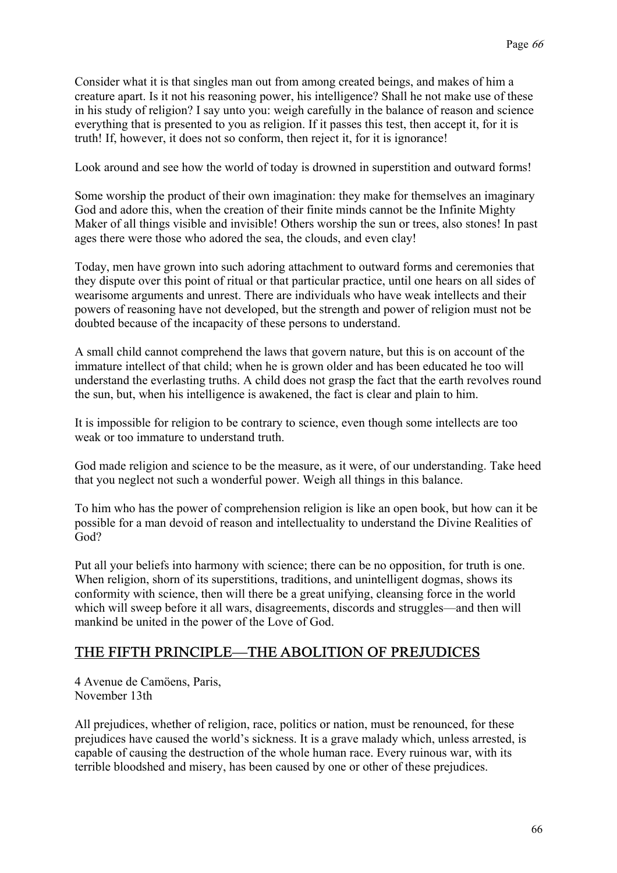Consider what it is that singles man out from among created beings, and makes of him a creature apart. Is it not his reasoning power, his intelligence? Shall he not make use of these in his study of religion? I say unto you: weigh carefully in the balance of reason and science everything that is presented to you as religion. If it passes this test, then accept it, for it is truth! If, however, it does not so conform, then reject it, for it is ignorance!

Look around and see how the world of today is drowned in superstition and outward forms!

Some worship the product of their own imagination: they make for themselves an imaginary God and adore this, when the creation of their finite minds cannot be the Infinite Mighty Maker of all things visible and invisible! Others worship the sun or trees, also stones! In past ages there were those who adored the sea, the clouds, and even clay!

Today, men have grown into such adoring attachment to outward forms and ceremonies that they dispute over this point of ritual or that particular practice, until one hears on all sides of wearisome arguments and unrest. There are individuals who have weak intellects and their powers of reasoning have not developed, but the strength and power of religion must not be doubted because of the incapacity of these persons to understand.

A small child cannot comprehend the laws that govern nature, but this is on account of the immature intellect of that child; when he is grown older and has been educated he too will understand the everlasting truths. A child does not grasp the fact that the earth revolves round the sun, but, when his intelligence is awakened, the fact is clear and plain to him.

It is impossible for religion to be contrary to science, even though some intellects are too weak or too immature to understand truth.

God made religion and science to be the measure, as it were, of our understanding. Take heed that you neglect not such a wonderful power. Weigh all things in this balance.

To him who has the power of comprehension religion is like an open book, but how can it be possible for a man devoid of reason and intellectuality to understand the Divine Realities of God?

Put all your beliefs into harmony with science; there can be no opposition, for truth is one. When religion, shorn of its superstitions, traditions, and unintelligent dogmas, shows its conformity with science, then will there be a great unifying, cleansing force in the world which will sweep before it all wars, disagreements, discords and struggles—and then will mankind be united in the power of the Love of God.

#### THE FIFTH PRINCIPLE—THE ABOLITION OF PREJUDICES

4 Avenue de Camöens, Paris, November 13th

All prejudices, whether of religion, race, politics or nation, must be renounced, for these prejudices have caused the world's sickness. It is a grave malady which, unless arrested, is capable of causing the destruction of the whole human race. Every ruinous war, with its terrible bloodshed and misery, has been caused by one or other of these prejudices.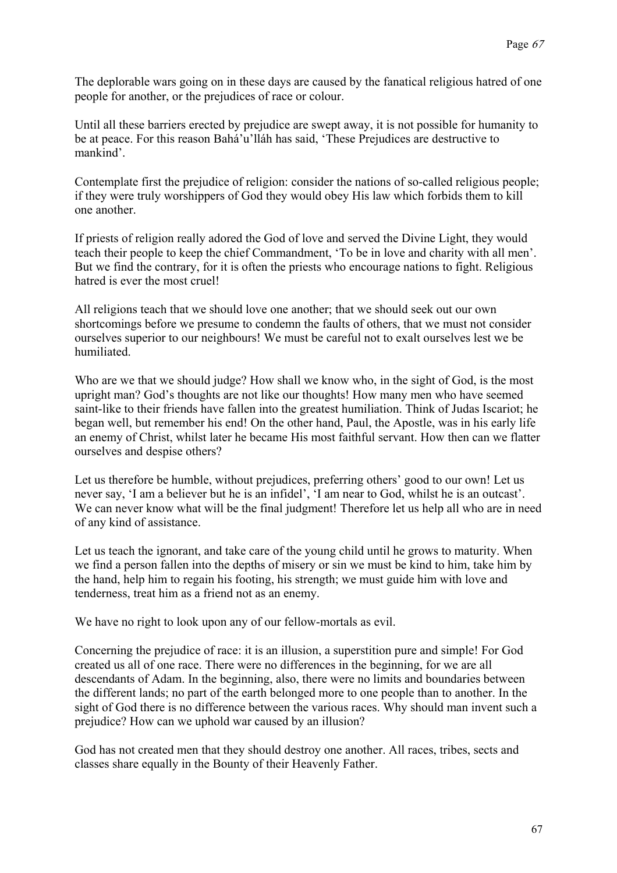The deplorable wars going on in these days are caused by the fanatical religious hatred of one people for another, or the prejudices of race or colour.

Until all these barriers erected by prejudice are swept away, it is not possible for humanity to be at peace. For this reason Bahá'u'lláh has said, 'These Prejudices are destructive to mankind'.

Contemplate first the prejudice of religion: consider the nations of so-called religious people; if they were truly worshippers of God they would obey His law which forbids them to kill one another.

If priests of religion really adored the God of love and served the Divine Light, they would teach their people to keep the chief Commandment, 'To be in love and charity with all men'. But we find the contrary, for it is often the priests who encourage nations to fight. Religious hatred is ever the most cruel!

All religions teach that we should love one another; that we should seek out our own shortcomings before we presume to condemn the faults of others, that we must not consider ourselves superior to our neighbours! We must be careful not to exalt ourselves lest we be humiliated.

Who are we that we should judge? How shall we know who, in the sight of God, is the most upright man? God's thoughts are not like our thoughts! How many men who have seemed saint-like to their friends have fallen into the greatest humiliation. Think of Judas Iscariot; he began well, but remember his end! On the other hand, Paul, the Apostle, was in his early life an enemy of Christ, whilst later he became His most faithful servant. How then can we flatter ourselves and despise others?

Let us therefore be humble, without prejudices, preferring others' good to our own! Let us never say, 'I am a believer but he is an infidel', 'I am near to God, whilst he is an outcast'. We can never know what will be the final judgment! Therefore let us help all who are in need of any kind of assistance.

Let us teach the ignorant, and take care of the young child until he grows to maturity. When we find a person fallen into the depths of misery or sin we must be kind to him, take him by the hand, help him to regain his footing, his strength; we must guide him with love and tenderness, treat him as a friend not as an enemy.

We have no right to look upon any of our fellow-mortals as evil.

Concerning the prejudice of race: it is an illusion, a superstition pure and simple! For God created us all of one race. There were no differences in the beginning, for we are all descendants of Adam. In the beginning, also, there were no limits and boundaries between the different lands; no part of the earth belonged more to one people than to another. In the sight of God there is no difference between the various races. Why should man invent such a prejudice? How can we uphold war caused by an illusion?

God has not created men that they should destroy one another. All races, tribes, sects and classes share equally in the Bounty of their Heavenly Father.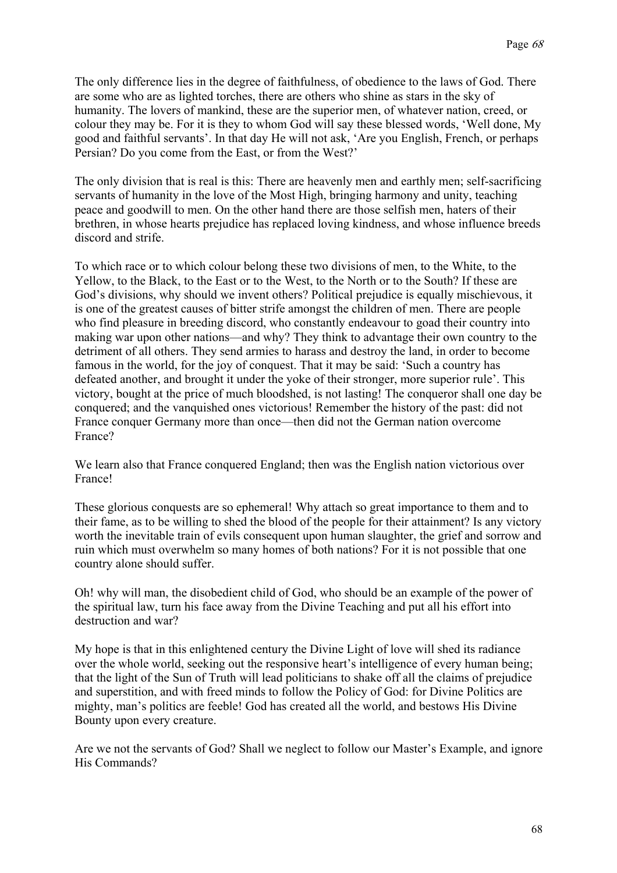The only difference lies in the degree of faithfulness, of obedience to the laws of God. There are some who are as lighted torches, there are others who shine as stars in the sky of humanity. The lovers of mankind, these are the superior men, of whatever nation, creed, or colour they may be. For it is they to whom God will say these blessed words, 'Well done, My good and faithful servants'. In that day He will not ask, 'Are you English, French, or perhaps Persian? Do you come from the East, or from the West?'

The only division that is real is this: There are heavenly men and earthly men; self-sacrificing servants of humanity in the love of the Most High, bringing harmony and unity, teaching peace and goodwill to men. On the other hand there are those selfish men, haters of their brethren, in whose hearts prejudice has replaced loving kindness, and whose influence breeds discord and strife.

To which race or to which colour belong these two divisions of men, to the White, to the Yellow, to the Black, to the East or to the West, to the North or to the South? If these are God's divisions, why should we invent others? Political prejudice is equally mischievous, it is one of the greatest causes of bitter strife amongst the children of men. There are people who find pleasure in breeding discord, who constantly endeavour to goad their country into making war upon other nations—and why? They think to advantage their own country to the detriment of all others. They send armies to harass and destroy the land, in order to become famous in the world, for the joy of conquest. That it may be said: 'Such a country has defeated another, and brought it under the yoke of their stronger, more superior rule'. This victory, bought at the price of much bloodshed, is not lasting! The conqueror shall one day be conquered; and the vanquished ones victorious! Remember the history of the past: did not France conquer Germany more than once—then did not the German nation overcome France?

We learn also that France conquered England; then was the English nation victorious over France!

These glorious conquests are so ephemeral! Why attach so great importance to them and to their fame, as to be willing to shed the blood of the people for their attainment? Is any victory worth the inevitable train of evils consequent upon human slaughter, the grief and sorrow and ruin which must overwhelm so many homes of both nations? For it is not possible that one country alone should suffer.

Oh! why will man, the disobedient child of God, who should be an example of the power of the spiritual law, turn his face away from the Divine Teaching and put all his effort into destruction and war?

My hope is that in this enlightened century the Divine Light of love will shed its radiance over the whole world, seeking out the responsive heart's intelligence of every human being; that the light of the Sun of Truth will lead politicians to shake off all the claims of prejudice and superstition, and with freed minds to follow the Policy of God: for Divine Politics are mighty, man's politics are feeble! God has created all the world, and bestows His Divine Bounty upon every creature.

Are we not the servants of God? Shall we neglect to follow our Master's Example, and ignore His Commands?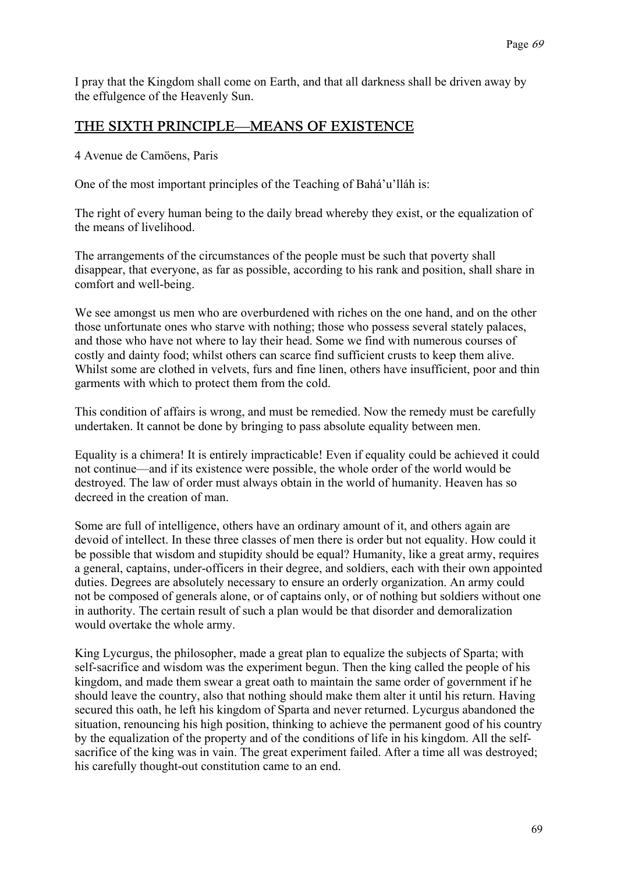I pray that the Kingdom shall come on Earth, and that all darkness shall be driven away by the effulgence of the Heavenly Sun.

### THE SIXTH PRINCIPLE—MEANS OF EXISTENCE

4 Avenue de Camöens, Paris

One of the most important principles of the Teaching of Bahá'u'lláh is:

The right of every human being to the daily bread whereby they exist, or the equalization of the means of livelihood.

The arrangements of the circumstances of the people must be such that poverty shall disappear, that everyone, as far as possible, according to his rank and position, shall share in comfort and well-being.

We see amongst us men who are overburdened with riches on the one hand, and on the other those unfortunate ones who starve with nothing; those who possess several stately palaces, and those who have not where to lay their head. Some we find with numerous courses of costly and dainty food; whilst others can scarce find sufficient crusts to keep them alive. Whilst some are clothed in velvets, furs and fine linen, others have insufficient, poor and thin garments with which to protect them from the cold.

This condition of affairs is wrong, and must be remedied. Now the remedy must be carefully undertaken. It cannot be done by bringing to pass absolute equality between men.

Equality is a chimera! It is entirely impracticable! Even if equality could be achieved it could not continue—and if its existence were possible, the whole order of the world would be destroyed. The law of order must always obtain in the world of humanity. Heaven has so decreed in the creation of man.

Some are full of intelligence, others have an ordinary amount of it, and others again are devoid of intellect. In these three classes of men there is order but not equality. How could it be possible that wisdom and stupidity should be equal? Humanity, like a great army, requires a general, captains, under-officers in their degree, and soldiers, each with their own appointed duties. Degrees are absolutely necessary to ensure an orderly organization. An army could not be composed of generals alone, or of captains only, or of nothing but soldiers without one in authority. The certain result of such a plan would be that disorder and demoralization would overtake the whole army.

King Lycurgus, the philosopher, made a great plan to equalize the subjects of Sparta; with self-sacrifice and wisdom was the experiment begun. Then the king called the people of his kingdom, and made them swear a great oath to maintain the same order of government if he should leave the country, also that nothing should make them alter it until his return. Having secured this oath, he left his kingdom of Sparta and never returned. Lycurgus abandoned the situation, renouncing his high position, thinking to achieve the permanent good of his country by the equalization of the property and of the conditions of life in his kingdom. All the selfsacrifice of the king was in vain. The great experiment failed. After a time all was destroyed; his carefully thought-out constitution came to an end.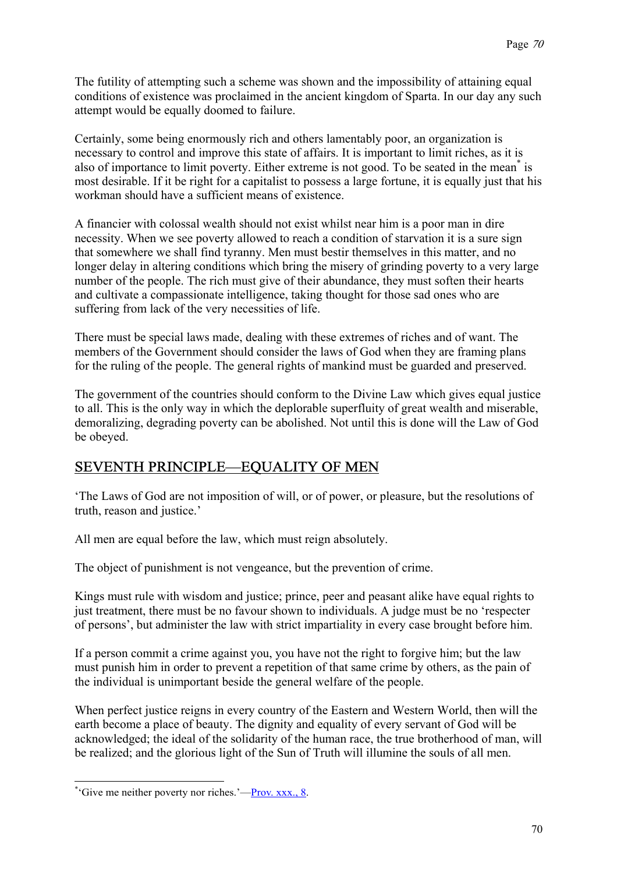The futility of attempting such a scheme was shown and the impossibility of attaining equal conditions of existence was proclaimed in the ancient kingdom of Sparta. In our day any such attempt would be equally doomed to failure.

Certainly, some being enormously rich and others lamentably poor, an organization is necessary to control and improve this state of affairs. It is important to limit riches, as it is also of importance to limit poverty. Either extreme is not good. To be seated in the mean<sup>\*</sup> is most desirable. If it be right for a capitalist to possess a large fortune, it is equally just that his workman should have a sufficient means of existence.

A financier with colossal wealth should not exist whilst near him is a poor man in dire necessity. When we see poverty allowed to reach a condition of starvation it is a sure sign that somewhere we shall find tyranny. Men must bestir themselves in this matter, and no longer delay in altering conditions which bring the misery of grinding poverty to a very large number of the people. The rich must give of their abundance, they must soften their hearts and cultivate a compassionate intelligence, taking thought for those sad ones who are suffering from lack of the very necessities of life.

There must be special laws made, dealing with these extremes of riches and of want. The members of the Government should consider the laws of God when they are framing plans for the ruling of the people. The general rights of mankind must be guarded and preserved.

The government of the countries should conform to the Divine Law which gives equal justice to all. This is the only way in which the deplorable superfluity of great wealth and miserable, demoralizing, degrading poverty can be abolished. Not until this is done will the Law of God be obeyed.

### SEVENTH PRINCIPLE—EQUALITY OF MEN

'The Laws of God are not imposition of will, or of power, or pleasure, but the resolutions of truth, reason and justice.'

All men are equal before the law, which must reign absolutely.

The object of punishment is not vengeance, but the prevention of crime.

Kings must rule with wisdom and justice; prince, peer and peasant alike have equal rights to just treatment, there must be no favour shown to individuals. A judge must be no 'respecter of persons', but administer the law with strict impartiality in every case brought before him.

If a person commit a crime against you, you have not the right to forgive him; but the law must punish him in order to prevent a repetition of that same crime by others, as the pain of the individual is unimportant beside the general welfare of the people.

When perfect justice reigns in every country of the Eastern and Western World, then will the earth become a place of beauty. The dignity and equality of every servant of God will be acknowledged; the ideal of the solidarity of the human race, the true brotherhood of man, will be realized; and the glorious light of the Sun of Truth will illumine the souls of all men.

 <sup>\*</sup> 'Give me neither poverty nor riches.'—Prov. xxx., 8.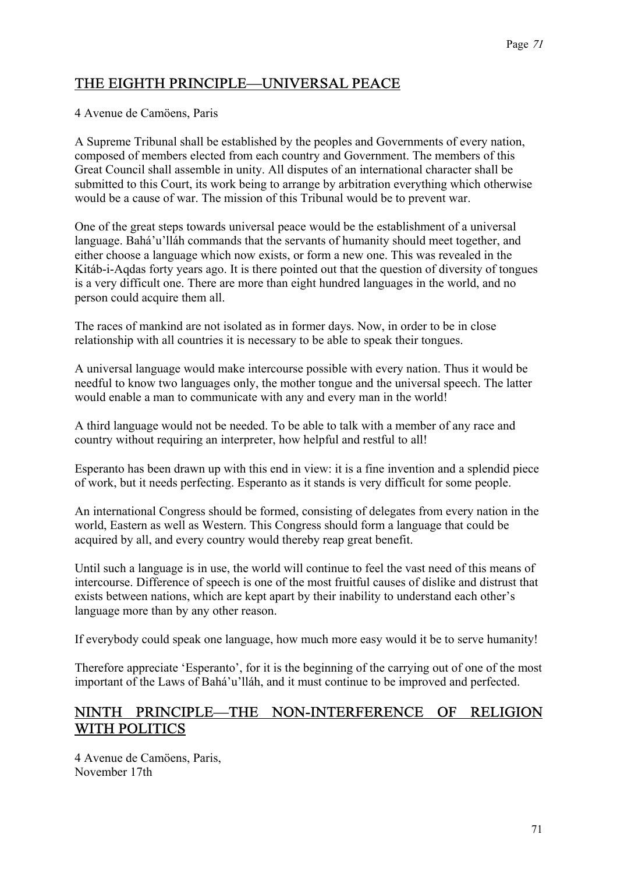## THE EIGHTH PRINCIPLE—UNIVERSAL PEACE

4 Avenue de Camöens, Paris

A Supreme Tribunal shall be established by the peoples and Governments of every nation, composed of members elected from each country and Government. The members of this Great Council shall assemble in unity. All disputes of an international character shall be submitted to this Court, its work being to arrange by arbitration everything which otherwise would be a cause of war. The mission of this Tribunal would be to prevent war.

One of the great steps towards universal peace would be the establishment of a universal language. Bahá'u'lláh commands that the servants of humanity should meet together, and either choose a language which now exists, or form a new one. This was revealed in the Kitáb-i-Aqdas forty years ago. It is there pointed out that the question of diversity of tongues is a very difficult one. There are more than eight hundred languages in the world, and no person could acquire them all.

The races of mankind are not isolated as in former days. Now, in order to be in close relationship with all countries it is necessary to be able to speak their tongues.

A universal language would make intercourse possible with every nation. Thus it would be needful to know two languages only, the mother tongue and the universal speech. The latter would enable a man to communicate with any and every man in the world!

A third language would not be needed. To be able to talk with a member of any race and country without requiring an interpreter, how helpful and restful to all!

Esperanto has been drawn up with this end in view: it is a fine invention and a splendid piece of work, but it needs perfecting. Esperanto as it stands is very difficult for some people.

An international Congress should be formed, consisting of delegates from every nation in the world, Eastern as well as Western. This Congress should form a language that could be acquired by all, and every country would thereby reap great benefit.

Until such a language is in use, the world will continue to feel the vast need of this means of intercourse. Difference of speech is one of the most fruitful causes of dislike and distrust that exists between nations, which are kept apart by their inability to understand each other's language more than by any other reason.

If everybody could speak one language, how much more easy would it be to serve humanity!

Therefore appreciate 'Esperanto', for it is the beginning of the carrying out of one of the most important of the Laws of Bahá'u'lláh, and it must continue to be improved and perfected.

### NINTH PRINCIPLE—THE NON-INTERFERENCE OF RELIGION WITH POLITICS

4 Avenue de Camöens, Paris, November 17th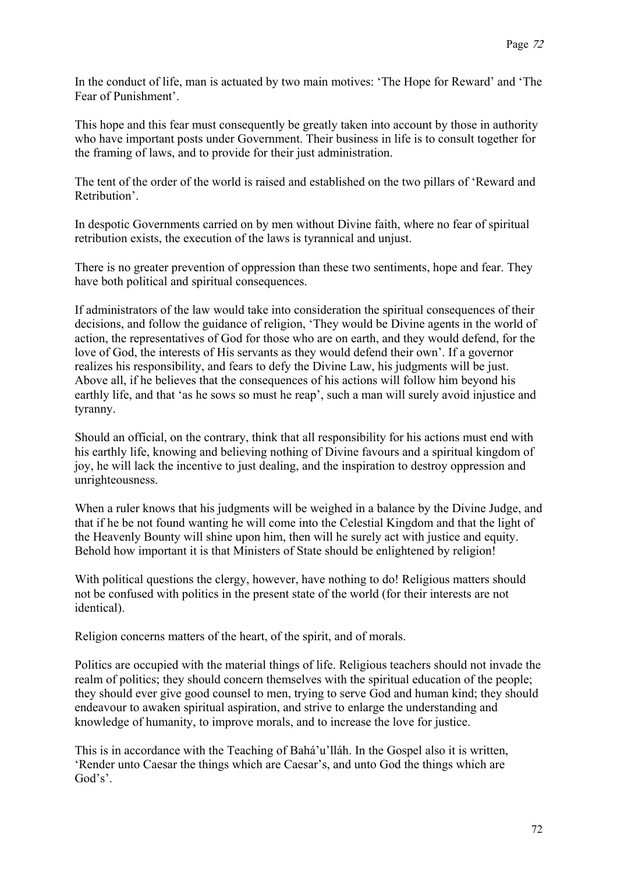In the conduct of life, man is actuated by two main motives: 'The Hope for Reward' and 'The Fear of Punishment'.

This hope and this fear must consequently be greatly taken into account by those in authority who have important posts under Government. Their business in life is to consult together for the framing of laws, and to provide for their just administration.

The tent of the order of the world is raised and established on the two pillars of 'Reward and Retribution'.

In despotic Governments carried on by men without Divine faith, where no fear of spiritual retribution exists, the execution of the laws is tyrannical and unjust.

There is no greater prevention of oppression than these two sentiments, hope and fear. They have both political and spiritual consequences.

If administrators of the law would take into consideration the spiritual consequences of their decisions, and follow the guidance of religion, 'They would be Divine agents in the world of action, the representatives of God for those who are on earth, and they would defend, for the love of God, the interests of His servants as they would defend their own'. If a governor realizes his responsibility, and fears to defy the Divine Law, his judgments will be just. Above all, if he believes that the consequences of his actions will follow him beyond his earthly life, and that 'as he sows so must he reap', such a man will surely avoid injustice and tyranny.

Should an official, on the contrary, think that all responsibility for his actions must end with his earthly life, knowing and believing nothing of Divine favours and a spiritual kingdom of joy, he will lack the incentive to just dealing, and the inspiration to destroy oppression and unrighteousness.

When a ruler knows that his judgments will be weighed in a balance by the Divine Judge, and that if he be not found wanting he will come into the Celestial Kingdom and that the light of the Heavenly Bounty will shine upon him, then will he surely act with justice and equity. Behold how important it is that Ministers of State should be enlightened by religion!

With political questions the clergy, however, have nothing to do! Religious matters should not be confused with politics in the present state of the world (for their interests are not identical).

Religion concerns matters of the heart, of the spirit, and of morals.

Politics are occupied with the material things of life. Religious teachers should not invade the realm of politics; they should concern themselves with the spiritual education of the people; they should ever give good counsel to men, trying to serve God and human kind; they should endeavour to awaken spiritual aspiration, and strive to enlarge the understanding and knowledge of humanity, to improve morals, and to increase the love for justice.

This is in accordance with the Teaching of Bahá'u'lláh. In the Gospel also it is written, 'Render unto Caesar the things which are Caesar's, and unto God the things which are God's'.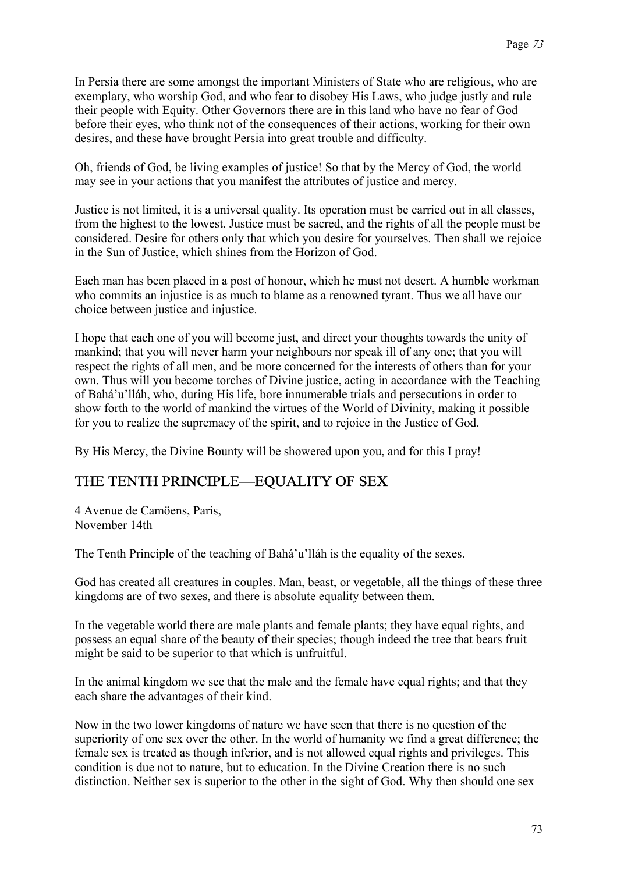In Persia there are some amongst the important Ministers of State who are religious, who are exemplary, who worship God, and who fear to disobey His Laws, who judge justly and rule their people with Equity. Other Governors there are in this land who have no fear of God before their eyes, who think not of the consequences of their actions, working for their own desires, and these have brought Persia into great trouble and difficulty.

Oh, friends of God, be living examples of justice! So that by the Mercy of God, the world may see in your actions that you manifest the attributes of justice and mercy.

Justice is not limited, it is a universal quality. Its operation must be carried out in all classes, from the highest to the lowest. Justice must be sacred, and the rights of all the people must be considered. Desire for others only that which you desire for yourselves. Then shall we rejoice in the Sun of Justice, which shines from the Horizon of God.

Each man has been placed in a post of honour, which he must not desert. A humble workman who commits an injustice is as much to blame as a renowned tyrant. Thus we all have our choice between justice and injustice.

I hope that each one of you will become just, and direct your thoughts towards the unity of mankind; that you will never harm your neighbours nor speak ill of any one; that you will respect the rights of all men, and be more concerned for the interests of others than for your own. Thus will you become torches of Divine justice, acting in accordance with the Teaching of Bahá'u'lláh, who, during His life, bore innumerable trials and persecutions in order to show forth to the world of mankind the virtues of the World of Divinity, making it possible for you to realize the supremacy of the spirit, and to rejoice in the Justice of God.

By His Mercy, the Divine Bounty will be showered upon you, and for this I pray!

#### THE TENTH PRINCIPLE—EQUALITY OF SEX

4 Avenue de Camöens, Paris, November 14th

The Tenth Principle of the teaching of Bahá'u'lláh is the equality of the sexes.

God has created all creatures in couples. Man, beast, or vegetable, all the things of these three kingdoms are of two sexes, and there is absolute equality between them.

In the vegetable world there are male plants and female plants; they have equal rights, and possess an equal share of the beauty of their species; though indeed the tree that bears fruit might be said to be superior to that which is unfruitful.

In the animal kingdom we see that the male and the female have equal rights; and that they each share the advantages of their kind.

Now in the two lower kingdoms of nature we have seen that there is no question of the superiority of one sex over the other. In the world of humanity we find a great difference; the female sex is treated as though inferior, and is not allowed equal rights and privileges. This condition is due not to nature, but to education. In the Divine Creation there is no such distinction. Neither sex is superior to the other in the sight of God. Why then should one sex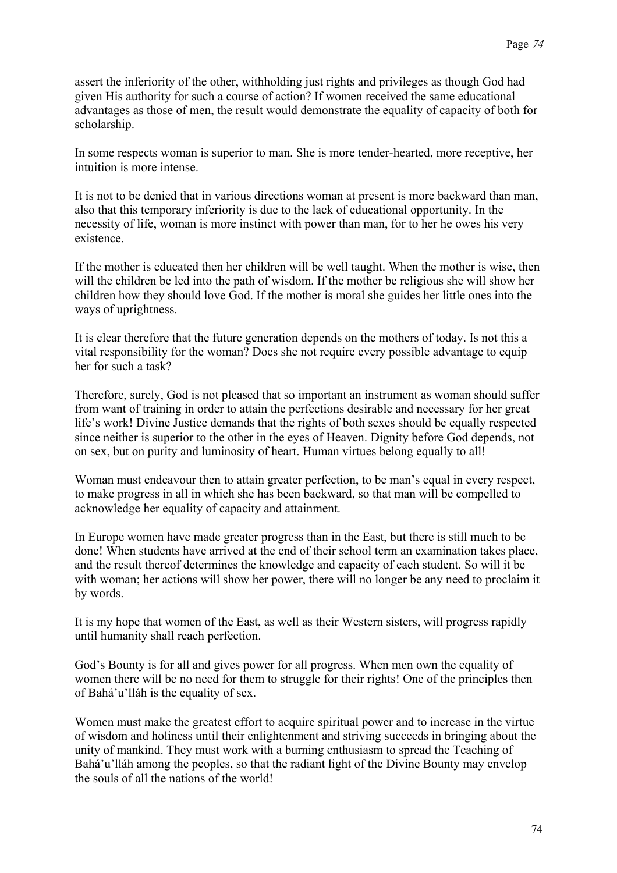assert the inferiority of the other, withholding just rights and privileges as though God had given His authority for such a course of action? If women received the same educational advantages as those of men, the result would demonstrate the equality of capacity of both for scholarship.

In some respects woman is superior to man. She is more tender-hearted, more receptive, her intuition is more intense.

It is not to be denied that in various directions woman at present is more backward than man, also that this temporary inferiority is due to the lack of educational opportunity. In the necessity of life, woman is more instinct with power than man, for to her he owes his very existence.

If the mother is educated then her children will be well taught. When the mother is wise, then will the children be led into the path of wisdom. If the mother be religious she will show her children how they should love God. If the mother is moral she guides her little ones into the ways of uprightness.

It is clear therefore that the future generation depends on the mothers of today. Is not this a vital responsibility for the woman? Does she not require every possible advantage to equip her for such a task?

Therefore, surely, God is not pleased that so important an instrument as woman should suffer from want of training in order to attain the perfections desirable and necessary for her great life's work! Divine Justice demands that the rights of both sexes should be equally respected since neither is superior to the other in the eyes of Heaven. Dignity before God depends, not on sex, but on purity and luminosity of heart. Human virtues belong equally to all!

Woman must endeavour then to attain greater perfection, to be man's equal in every respect, to make progress in all in which she has been backward, so that man will be compelled to acknowledge her equality of capacity and attainment.

In Europe women have made greater progress than in the East, but there is still much to be done! When students have arrived at the end of their school term an examination takes place, and the result thereof determines the knowledge and capacity of each student. So will it be with woman; her actions will show her power, there will no longer be any need to proclaim it by words.

It is my hope that women of the East, as well as their Western sisters, will progress rapidly until humanity shall reach perfection.

God's Bounty is for all and gives power for all progress. When men own the equality of women there will be no need for them to struggle for their rights! One of the principles then of Bahá'u'lláh is the equality of sex.

Women must make the greatest effort to acquire spiritual power and to increase in the virtue of wisdom and holiness until their enlightenment and striving succeeds in bringing about the unity of mankind. They must work with a burning enthusiasm to spread the Teaching of Bahá'u'lláh among the peoples, so that the radiant light of the Divine Bounty may envelop the souls of all the nations of the world!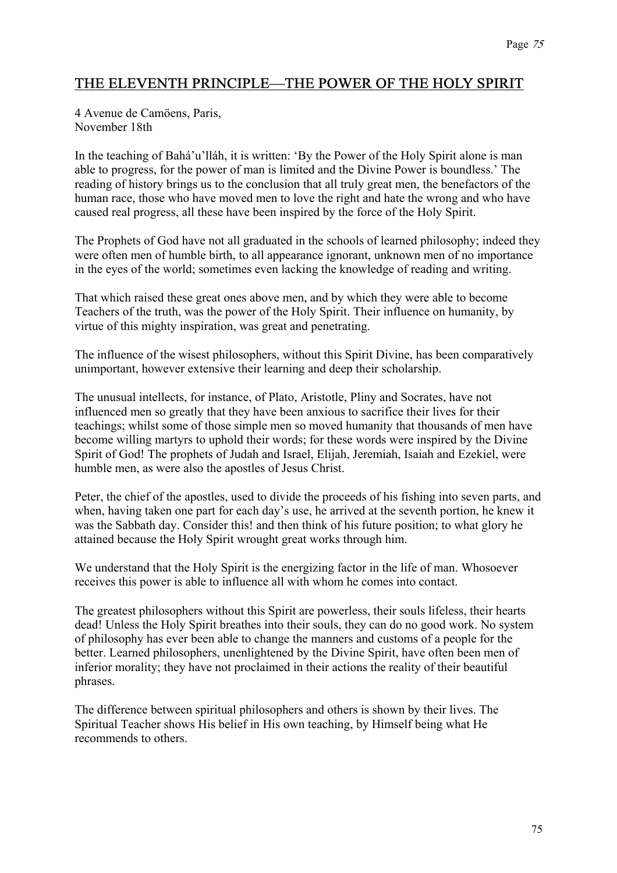### THE ELEVENTH PRINCIPLE—THE POWER OF THE HOLY SPIRIT

4 Avenue de Camöens, Paris, November 18th

In the teaching of Bahá'u'lláh, it is written: 'By the Power of the Holy Spirit alone is man able to progress, for the power of man is limited and the Divine Power is boundless.' The reading of history brings us to the conclusion that all truly great men, the benefactors of the human race, those who have moved men to love the right and hate the wrong and who have caused real progress, all these have been inspired by the force of the Holy Spirit.

The Prophets of God have not all graduated in the schools of learned philosophy; indeed they were often men of humble birth, to all appearance ignorant, unknown men of no importance in the eyes of the world; sometimes even lacking the knowledge of reading and writing.

That which raised these great ones above men, and by which they were able to become Teachers of the truth, was the power of the Holy Spirit. Their influence on humanity, by virtue of this mighty inspiration, was great and penetrating.

The influence of the wisest philosophers, without this Spirit Divine, has been comparatively unimportant, however extensive their learning and deep their scholarship.

The unusual intellects, for instance, of Plato, Aristotle, Pliny and Socrates, have not influenced men so greatly that they have been anxious to sacrifice their lives for their teachings; whilst some of those simple men so moved humanity that thousands of men have become willing martyrs to uphold their words; for these words were inspired by the Divine Spirit of God! The prophets of Judah and Israel, Elijah, Jeremiah, Isaiah and Ezekiel, were humble men, as were also the apostles of Jesus Christ.

Peter, the chief of the apostles, used to divide the proceeds of his fishing into seven parts, and when, having taken one part for each day's use, he arrived at the seventh portion, he knew it was the Sabbath day. Consider this! and then think of his future position; to what glory he attained because the Holy Spirit wrought great works through him.

We understand that the Holy Spirit is the energizing factor in the life of man. Whosoever receives this power is able to influence all with whom he comes into contact.

The greatest philosophers without this Spirit are powerless, their souls lifeless, their hearts dead! Unless the Holy Spirit breathes into their souls, they can do no good work. No system of philosophy has ever been able to change the manners and customs of a people for the better. Learned philosophers, unenlightened by the Divine Spirit, have often been men of inferior morality; they have not proclaimed in their actions the reality of their beautiful phrases.

The difference between spiritual philosophers and others is shown by their lives. The Spiritual Teacher shows His belief in His own teaching, by Himself being what He recommends to others.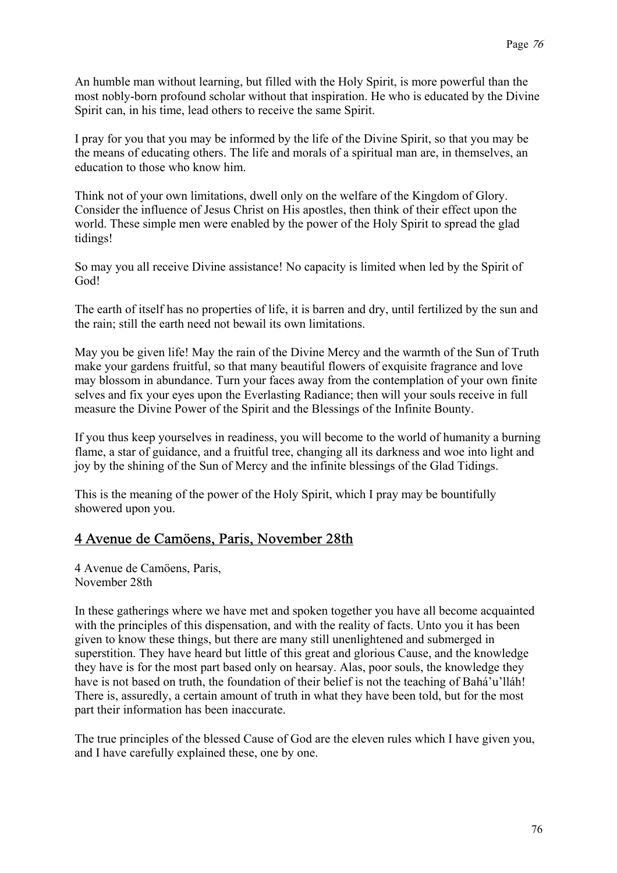An humble man without learning, but filled with the Holy Spirit, is more powerful than the most nobly-born profound scholar without that inspiration. He who is educated by the Divine Spirit can, in his time, lead others to receive the same Spirit.

I pray for you that you may be informed by the life of the Divine Spirit, so that you may be the means of educating others. The life and morals of a spiritual man are, in themselves, an education to those who know him.

Think not of your own limitations, dwell only on the welfare of the Kingdom of Glory. Consider the influence of Jesus Christ on His apostles, then think of their effect upon the world. These simple men were enabled by the power of the Holy Spirit to spread the glad tidings!

So may you all receive Divine assistance! No capacity is limited when led by the Spirit of God!

The earth of itself has no properties of life, it is barren and dry, until fertilized by the sun and the rain; still the earth need not bewail its own limitations.

May you be given life! May the rain of the Divine Mercy and the warmth of the Sun of Truth make your gardens fruitful, so that many beautiful flowers of exquisite fragrance and love may blossom in abundance. Turn your faces away from the contemplation of your own finite selves and fix your eyes upon the Everlasting Radiance; then will your souls receive in full measure the Divine Power of the Spirit and the Blessings of the Infinite Bounty.

If you thus keep yourselves in readiness, you will become to the world of humanity a burning flame, a star of guidance, and a fruitful tree, changing all its darkness and woe into light and joy by the shining of the Sun of Mercy and the infinite blessings of the Glad Tidings.

This is the meaning of the power of the Holy Spirit, which I pray may be bountifully showered upon you.

#### 4 Avenue de Camöens, Paris, November 28th

4 Avenue de Camöens, Paris, November 28th

In these gatherings where we have met and spoken together you have all become acquainted with the principles of this dispensation, and with the reality of facts. Unto you it has been given to know these things, but there are many still unenlightened and submerged in superstition. They have heard but little of this great and glorious Cause, and the knowledge they have is for the most part based only on hearsay. Alas, poor souls, the knowledge they have is not based on truth, the foundation of their belief is not the teaching of Bahá'u'lláh! There is, assuredly, a certain amount of truth in what they have been told, but for the most part their information has been inaccurate.

The true principles of the blessed Cause of God are the eleven rules which I have given you, and I have carefully explained these, one by one.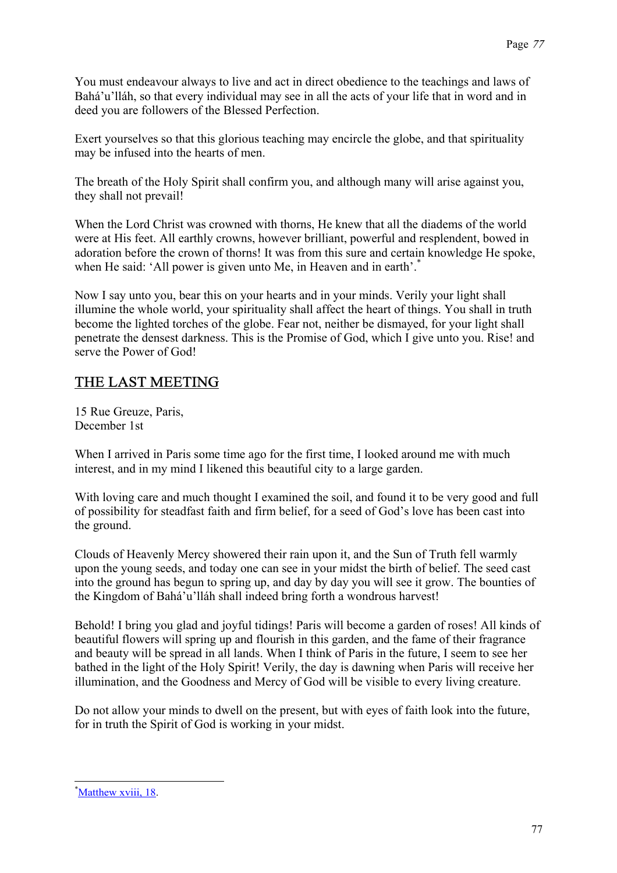You must endeavour always to live and act in direct obedience to the teachings and laws of Bahá'u'lláh, so that every individual may see in all the acts of your life that in word and in deed you are followers of the Blessed Perfection.

Exert yourselves so that this glorious teaching may encircle the globe, and that spirituality may be infused into the hearts of men.

The breath of the Holy Spirit shall confirm you, and although many will arise against you, they shall not prevail!

When the Lord Christ was crowned with thorns, He knew that all the diadems of the world were at His feet. All earthly crowns, however brilliant, powerful and resplendent, bowed in adoration before the crown of thorns! It was from this sure and certain knowledge He spoke, when He said: 'All power is given unto Me, in Heaven and in earth'.<sup>\*</sup>

Now I say unto you, bear this on your hearts and in your minds. Verily your light shall illumine the whole world, your spirituality shall affect the heart of things. You shall in truth become the lighted torches of the globe. Fear not, neither be dismayed, for your light shall penetrate the densest darkness. This is the Promise of God, which I give unto you. Rise! and serve the Power of God!

### THE LAST MEETING

15 Rue Greuze, Paris, December 1st

When I arrived in Paris some time ago for the first time, I looked around me with much interest, and in my mind I likened this beautiful city to a large garden.

With loving care and much thought I examined the soil, and found it to be very good and full of possibility for steadfast faith and firm belief, for a seed of God's love has been cast into the ground.

Clouds of Heavenly Mercy showered their rain upon it, and the Sun of Truth fell warmly upon the young seeds, and today one can see in your midst the birth of belief. The seed cast into the ground has begun to spring up, and day by day you will see it grow. The bounties of the Kingdom of Bahá'u'lláh shall indeed bring forth a wondrous harvest!

Behold! I bring you glad and joyful tidings! Paris will become a garden of roses! All kinds of beautiful flowers will spring up and flourish in this garden, and the fame of their fragrance and beauty will be spread in all lands. When I think of Paris in the future, I seem to see her bathed in the light of the Holy Spirit! Verily, the day is dawning when Paris will receive her illumination, and the Goodness and Mercy of God will be visible to every living creature.

Do not allow your minds to dwell on the present, but with eyes of faith look into the future, for in truth the Spirit of God is working in your midst.

 <sup>\*</sup> \*Matthew xviii, 18.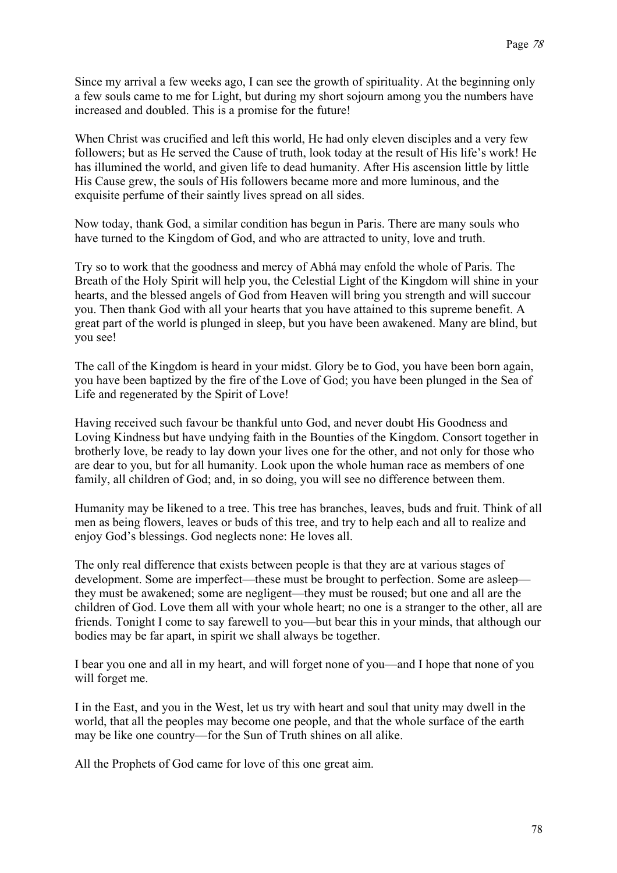Since my arrival a few weeks ago, I can see the growth of spirituality. At the beginning only a few souls came to me for Light, but during my short sojourn among you the numbers have increased and doubled. This is a promise for the future!

When Christ was crucified and left this world, He had only eleven disciples and a very few followers; but as He served the Cause of truth, look today at the result of His life's work! He has illumined the world, and given life to dead humanity. After His ascension little by little His Cause grew, the souls of His followers became more and more luminous, and the exquisite perfume of their saintly lives spread on all sides.

Now today, thank God, a similar condition has begun in Paris. There are many souls who have turned to the Kingdom of God, and who are attracted to unity, love and truth.

Try so to work that the goodness and mercy of Abhá may enfold the whole of Paris. The Breath of the Holy Spirit will help you, the Celestial Light of the Kingdom will shine in your hearts, and the blessed angels of God from Heaven will bring you strength and will succour you. Then thank God with all your hearts that you have attained to this supreme benefit. A great part of the world is plunged in sleep, but you have been awakened. Many are blind, but you see!

The call of the Kingdom is heard in your midst. Glory be to God, you have been born again, you have been baptized by the fire of the Love of God; you have been plunged in the Sea of Life and regenerated by the Spirit of Love!

Having received such favour be thankful unto God, and never doubt His Goodness and Loving Kindness but have undying faith in the Bounties of the Kingdom. Consort together in brotherly love, be ready to lay down your lives one for the other, and not only for those who are dear to you, but for all humanity. Look upon the whole human race as members of one family, all children of God; and, in so doing, you will see no difference between them.

Humanity may be likened to a tree. This tree has branches, leaves, buds and fruit. Think of all men as being flowers, leaves or buds of this tree, and try to help each and all to realize and enjoy God's blessings. God neglects none: He loves all.

The only real difference that exists between people is that they are at various stages of development. Some are imperfect—these must be brought to perfection. Some are asleep they must be awakened; some are negligent—they must be roused; but one and all are the children of God. Love them all with your whole heart; no one is a stranger to the other, all are friends. Tonight I come to say farewell to you—but bear this in your minds, that although our bodies may be far apart, in spirit we shall always be together.

I bear you one and all in my heart, and will forget none of you—and I hope that none of you will forget me.

I in the East, and you in the West, let us try with heart and soul that unity may dwell in the world, that all the peoples may become one people, and that the whole surface of the earth may be like one country—for the Sun of Truth shines on all alike.

All the Prophets of God came for love of this one great aim.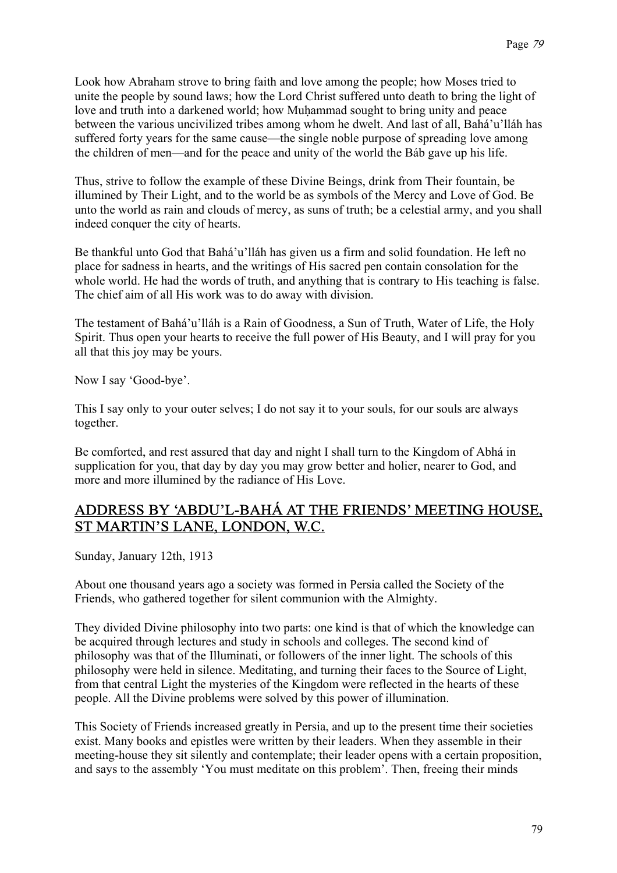Look how Abraham strove to bring faith and love among the people; how Moses tried to unite the people by sound laws; how the Lord Christ suffered unto death to bring the light of love and truth into a darkened world; how Muhammad sought to bring unity and peace between the various uncivilized tribes among whom he dwelt. And last of all, Bahá'u'lláh has suffered forty years for the same cause—the single noble purpose of spreading love among the children of men—and for the peace and unity of the world the Báb gave up his life.

Thus, strive to follow the example of these Divine Beings, drink from Their fountain, be illumined by Their Light, and to the world be as symbols of the Mercy and Love of God. Be unto the world as rain and clouds of mercy, as suns of truth; be a celestial army, and you shall indeed conquer the city of hearts.

Be thankful unto God that Bahá'u'lláh has given us a firm and solid foundation. He left no place for sadness in hearts, and the writings of His sacred pen contain consolation for the whole world. He had the words of truth, and anything that is contrary to His teaching is false. The chief aim of all His work was to do away with division.

The testament of Bahá'u'lláh is a Rain of Goodness, a Sun of Truth, Water of Life, the Holy Spirit. Thus open your hearts to receive the full power of His Beauty, and I will pray for you all that this joy may be yours.

Now I say 'Good-bye'.

This I say only to your outer selves; I do not say it to your souls, for our souls are always together.

Be comforted, and rest assured that day and night I shall turn to the Kingdom of Abhá in supplication for you, that day by day you may grow better and holier, nearer to God, and more and more illumined by the radiance of His Love.

## ADDRESS BY 'ABDU'L-BAHÁ AT THE FRIENDS' MEETING HOUSE, ST MARTIN'S LANE, LONDON, W.C.

Sunday, January 12th, 1913

About one thousand years ago a society was formed in Persia called the Society of the Friends, who gathered together for silent communion with the Almighty.

They divided Divine philosophy into two parts: one kind is that of which the knowledge can be acquired through lectures and study in schools and colleges. The second kind of philosophy was that of the Illuminati, or followers of the inner light. The schools of this philosophy were held in silence. Meditating, and turning their faces to the Source of Light, from that central Light the mysteries of the Kingdom were reflected in the hearts of these people. All the Divine problems were solved by this power of illumination.

This Society of Friends increased greatly in Persia, and up to the present time their societies exist. Many books and epistles were written by their leaders. When they assemble in their meeting-house they sit silently and contemplate; their leader opens with a certain proposition, and says to the assembly 'You must meditate on this problem'. Then, freeing their minds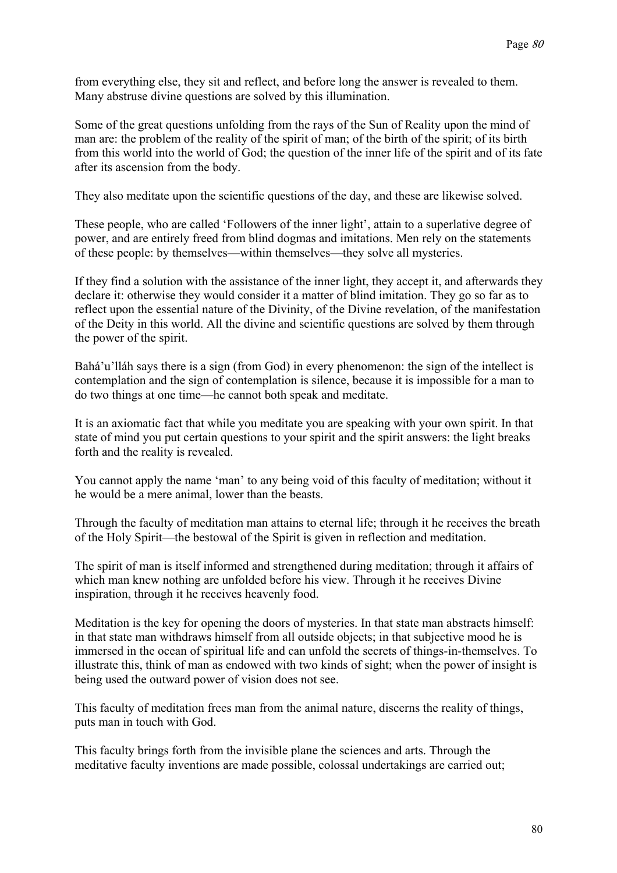from everything else, they sit and reflect, and before long the answer is revealed to them. Many abstruse divine questions are solved by this illumination.

Some of the great questions unfolding from the rays of the Sun of Reality upon the mind of man are: the problem of the reality of the spirit of man; of the birth of the spirit; of its birth from this world into the world of God; the question of the inner life of the spirit and of its fate after its ascension from the body.

They also meditate upon the scientific questions of the day, and these are likewise solved.

These people, who are called 'Followers of the inner light', attain to a superlative degree of power, and are entirely freed from blind dogmas and imitations. Men rely on the statements of these people: by themselves—within themselves—they solve all mysteries.

If they find a solution with the assistance of the inner light, they accept it, and afterwards they declare it: otherwise they would consider it a matter of blind imitation. They go so far as to reflect upon the essential nature of the Divinity, of the Divine revelation, of the manifestation of the Deity in this world. All the divine and scientific questions are solved by them through the power of the spirit.

Bahá'u'lláh says there is a sign (from God) in every phenomenon: the sign of the intellect is contemplation and the sign of contemplation is silence, because it is impossible for a man to do two things at one time—he cannot both speak and meditate.

It is an axiomatic fact that while you meditate you are speaking with your own spirit. In that state of mind you put certain questions to your spirit and the spirit answers: the light breaks forth and the reality is revealed.

You cannot apply the name 'man' to any being void of this faculty of meditation; without it he would be a mere animal, lower than the beasts.

Through the faculty of meditation man attains to eternal life; through it he receives the breath of the Holy Spirit—the bestowal of the Spirit is given in reflection and meditation.

The spirit of man is itself informed and strengthened during meditation; through it affairs of which man knew nothing are unfolded before his view. Through it he receives Divine inspiration, through it he receives heavenly food.

Meditation is the key for opening the doors of mysteries. In that state man abstracts himself: in that state man withdraws himself from all outside objects; in that subjective mood he is immersed in the ocean of spiritual life and can unfold the secrets of things-in-themselves. To illustrate this, think of man as endowed with two kinds of sight; when the power of insight is being used the outward power of vision does not see.

This faculty of meditation frees man from the animal nature, discerns the reality of things, puts man in touch with God.

This faculty brings forth from the invisible plane the sciences and arts. Through the meditative faculty inventions are made possible, colossal undertakings are carried out;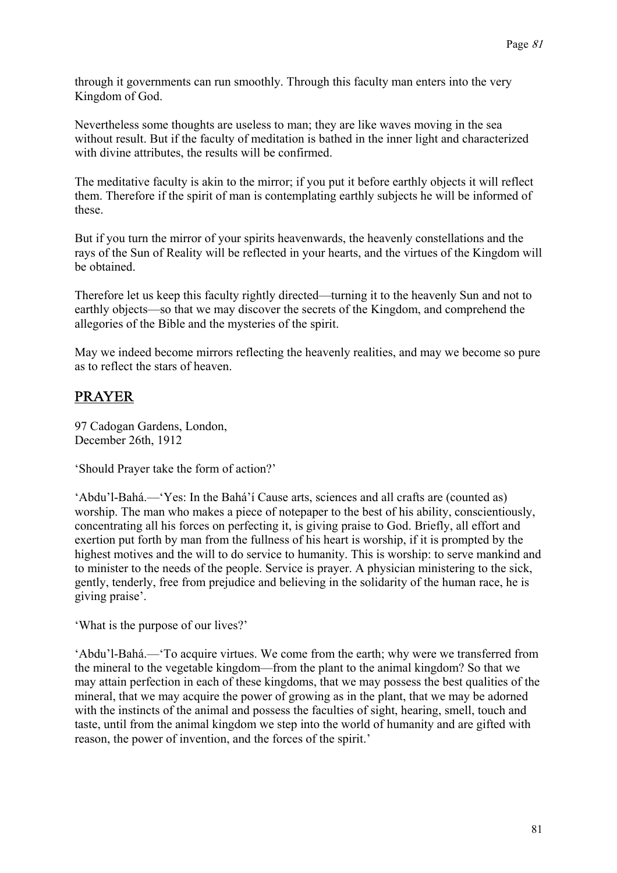through it governments can run smoothly. Through this faculty man enters into the very Kingdom of God.

Nevertheless some thoughts are useless to man; they are like waves moving in the sea without result. But if the faculty of meditation is bathed in the inner light and characterized with divine attributes, the results will be confirmed.

The meditative faculty is akin to the mirror; if you put it before earthly objects it will reflect them. Therefore if the spirit of man is contemplating earthly subjects he will be informed of these.

But if you turn the mirror of your spirits heavenwards, the heavenly constellations and the rays of the Sun of Reality will be reflected in your hearts, and the virtues of the Kingdom will be obtained.

Therefore let us keep this faculty rightly directed—turning it to the heavenly Sun and not to earthly objects—so that we may discover the secrets of the Kingdom, and comprehend the allegories of the Bible and the mysteries of the spirit.

May we indeed become mirrors reflecting the heavenly realities, and may we become so pure as to reflect the stars of heaven.

#### PRAYER

97 Cadogan Gardens, London, December 26th, 1912

'Should Prayer take the form of action?'

'Abdu'l-Bahá.—'Yes: In the Bahá'í Cause arts, sciences and all crafts are (counted as) worship. The man who makes a piece of notepaper to the best of his ability, conscientiously, concentrating all his forces on perfecting it, is giving praise to God. Briefly, all effort and exertion put forth by man from the fullness of his heart is worship, if it is prompted by the highest motives and the will to do service to humanity. This is worship: to serve mankind and to minister to the needs of the people. Service is prayer. A physician ministering to the sick, gently, tenderly, free from prejudice and believing in the solidarity of the human race, he is giving praise'.

'What is the purpose of our lives?'

'Abdu'l-Bahá.—'To acquire virtues. We come from the earth; why were we transferred from the mineral to the vegetable kingdom—from the plant to the animal kingdom? So that we may attain perfection in each of these kingdoms, that we may possess the best qualities of the mineral, that we may acquire the power of growing as in the plant, that we may be adorned with the instincts of the animal and possess the faculties of sight, hearing, smell, touch and taste, until from the animal kingdom we step into the world of humanity and are gifted with reason, the power of invention, and the forces of the spirit.'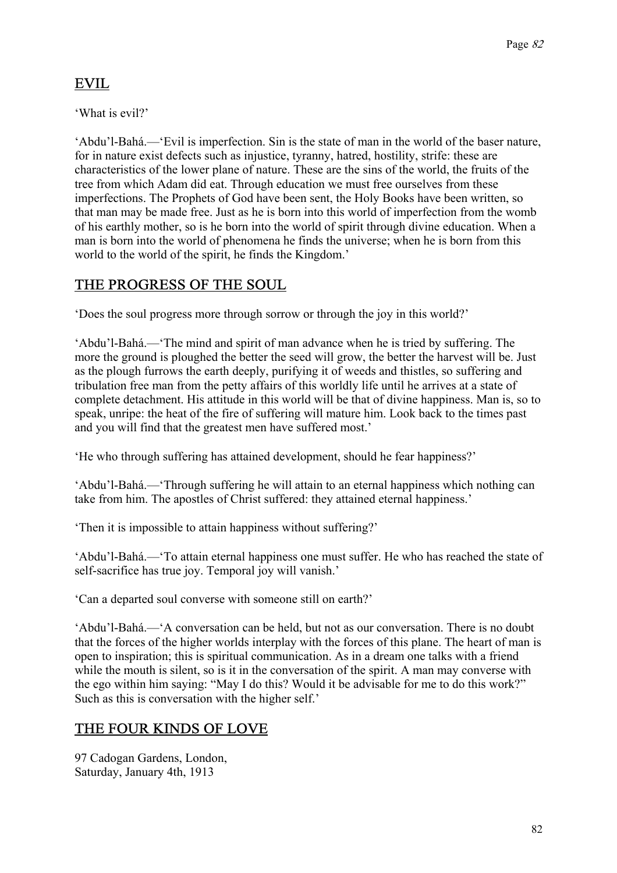# EVIL

'What is evil?'

'Abdu'l-Bahá.—'Evil is imperfection. Sin is the state of man in the world of the baser nature, for in nature exist defects such as injustice, tyranny, hatred, hostility, strife: these are characteristics of the lower plane of nature. These are the sins of the world, the fruits of the tree from which Adam did eat. Through education we must free ourselves from these imperfections. The Prophets of God have been sent, the Holy Books have been written, so that man may be made free. Just as he is born into this world of imperfection from the womb of his earthly mother, so is he born into the world of spirit through divine education. When a man is born into the world of phenomena he finds the universe; when he is born from this world to the world of the spirit, he finds the Kingdom.'

## THE PROGRESS OF THE SOUL

'Does the soul progress more through sorrow or through the joy in this world?'

'Abdu'l-Bahá.—'The mind and spirit of man advance when he is tried by suffering. The more the ground is ploughed the better the seed will grow, the better the harvest will be. Just as the plough furrows the earth deeply, purifying it of weeds and thistles, so suffering and tribulation free man from the petty affairs of this worldly life until he arrives at a state of complete detachment. His attitude in this world will be that of divine happiness. Man is, so to speak, unripe: the heat of the fire of suffering will mature him. Look back to the times past and you will find that the greatest men have suffered most.'

'He who through suffering has attained development, should he fear happiness?'

'Abdu'l-Bahá.—'Through suffering he will attain to an eternal happiness which nothing can take from him. The apostles of Christ suffered: they attained eternal happiness.'

'Then it is impossible to attain happiness without suffering?'

'Abdu'l-Bahá.—'To attain eternal happiness one must suffer. He who has reached the state of self-sacrifice has true joy. Temporal joy will vanish.'

'Can a departed soul converse with someone still on earth?'

'Abdu'l-Bahá.—'A conversation can be held, but not as our conversation. There is no doubt that the forces of the higher worlds interplay with the forces of this plane. The heart of man is open to inspiration; this is spiritual communication. As in a dream one talks with a friend while the mouth is silent, so is it in the conversation of the spirit. A man may converse with the ego within him saying: "May I do this? Would it be advisable for me to do this work?" Such as this is conversation with the higher self.'

# THE FOUR KINDS OF LOVE

97 Cadogan Gardens, London, Saturday, January 4th, 1913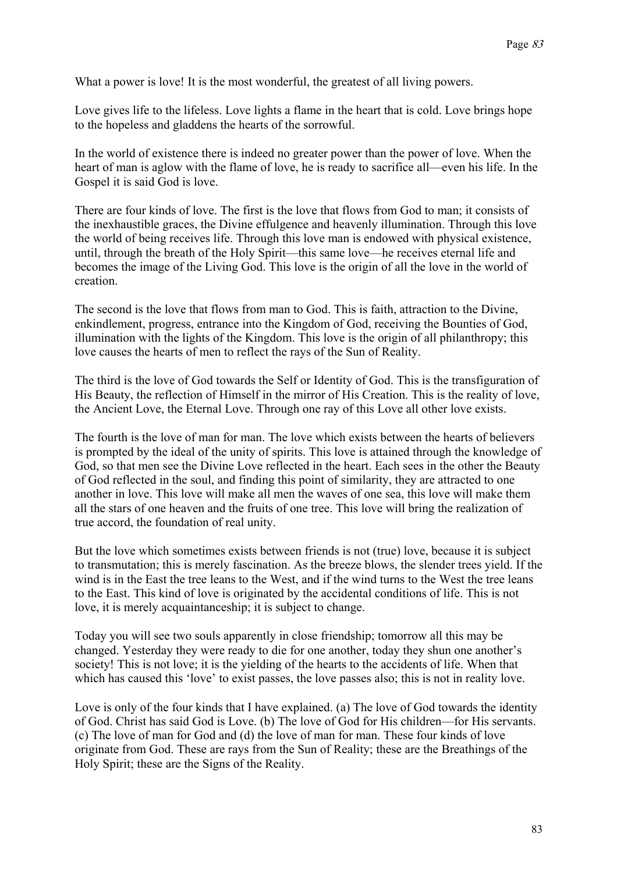What a power is love! It is the most wonderful, the greatest of all living powers.

Love gives life to the lifeless. Love lights a flame in the heart that is cold. Love brings hope to the hopeless and gladdens the hearts of the sorrowful.

In the world of existence there is indeed no greater power than the power of love. When the heart of man is aglow with the flame of love, he is ready to sacrifice all—even his life. In the Gospel it is said God is love.

There are four kinds of love. The first is the love that flows from God to man; it consists of the inexhaustible graces, the Divine effulgence and heavenly illumination. Through this love the world of being receives life. Through this love man is endowed with physical existence, until, through the breath of the Holy Spirit—this same love—he receives eternal life and becomes the image of the Living God. This love is the origin of all the love in the world of creation.

The second is the love that flows from man to God. This is faith, attraction to the Divine, enkindlement, progress, entrance into the Kingdom of God, receiving the Bounties of God, illumination with the lights of the Kingdom. This love is the origin of all philanthropy; this love causes the hearts of men to reflect the rays of the Sun of Reality.

The third is the love of God towards the Self or Identity of God. This is the transfiguration of His Beauty, the reflection of Himself in the mirror of His Creation. This is the reality of love, the Ancient Love, the Eternal Love. Through one ray of this Love all other love exists.

The fourth is the love of man for man. The love which exists between the hearts of believers is prompted by the ideal of the unity of spirits. This love is attained through the knowledge of God, so that men see the Divine Love reflected in the heart. Each sees in the other the Beauty of God reflected in the soul, and finding this point of similarity, they are attracted to one another in love. This love will make all men the waves of one sea, this love will make them all the stars of one heaven and the fruits of one tree. This love will bring the realization of true accord, the foundation of real unity.

But the love which sometimes exists between friends is not (true) love, because it is subject to transmutation; this is merely fascination. As the breeze blows, the slender trees yield. If the wind is in the East the tree leans to the West, and if the wind turns to the West the tree leans to the East. This kind of love is originated by the accidental conditions of life. This is not love, it is merely acquaintanceship; it is subject to change.

Today you will see two souls apparently in close friendship; tomorrow all this may be changed. Yesterday they were ready to die for one another, today they shun one another's society! This is not love; it is the yielding of the hearts to the accidents of life. When that which has caused this 'love' to exist passes, the love passes also; this is not in reality love.

Love is only of the four kinds that I have explained. (a) The love of God towards the identity of God. Christ has said God is Love. (b) The love of God for His children—for His servants. (c) The love of man for God and (d) the love of man for man. These four kinds of love originate from God. These are rays from the Sun of Reality; these are the Breathings of the Holy Spirit; these are the Signs of the Reality.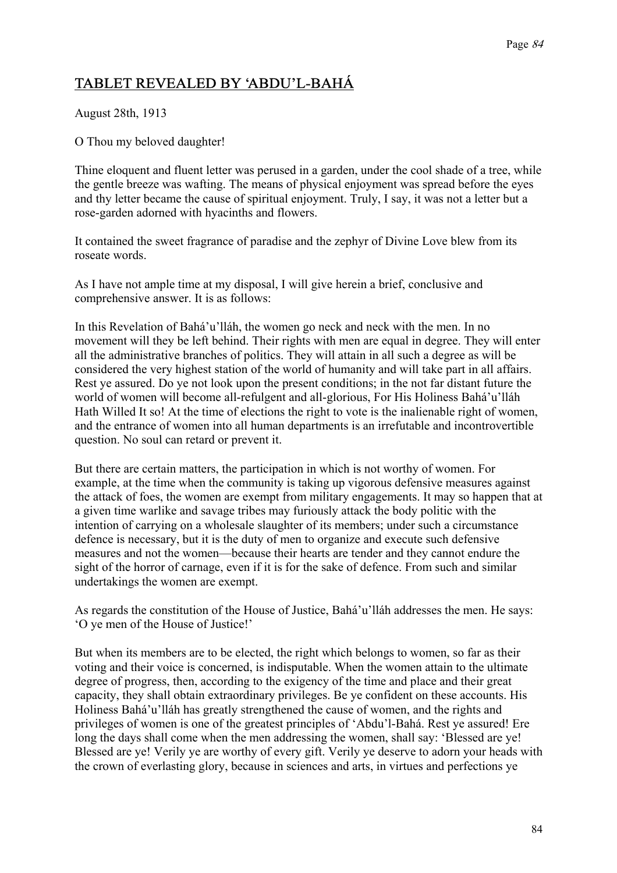## TABLET REVEALED BY 'ABDU'L-BAHÁ

August 28th, 1913

O Thou my beloved daughter!

Thine eloquent and fluent letter was perused in a garden, under the cool shade of a tree, while the gentle breeze was wafting. The means of physical enjoyment was spread before the eyes and thy letter became the cause of spiritual enjoyment. Truly, I say, it was not a letter but a rose-garden adorned with hyacinths and flowers.

It contained the sweet fragrance of paradise and the zephyr of Divine Love blew from its roseate words.

As I have not ample time at my disposal, I will give herein a brief, conclusive and comprehensive answer. It is as follows:

In this Revelation of Bahá'u'lláh, the women go neck and neck with the men. In no movement will they be left behind. Their rights with men are equal in degree. They will enter all the administrative branches of politics. They will attain in all such a degree as will be considered the very highest station of the world of humanity and will take part in all affairs. Rest ye assured. Do ye not look upon the present conditions; in the not far distant future the world of women will become all-refulgent and all-glorious, For His Holiness Bahá'u'lláh Hath Willed It so! At the time of elections the right to vote is the inalienable right of women, and the entrance of women into all human departments is an irrefutable and incontrovertible question. No soul can retard or prevent it.

But there are certain matters, the participation in which is not worthy of women. For example, at the time when the community is taking up vigorous defensive measures against the attack of foes, the women are exempt from military engagements. It may so happen that at a given time warlike and savage tribes may furiously attack the body politic with the intention of carrying on a wholesale slaughter of its members; under such a circumstance defence is necessary, but it is the duty of men to organize and execute such defensive measures and not the women—because their hearts are tender and they cannot endure the sight of the horror of carnage, even if it is for the sake of defence. From such and similar undertakings the women are exempt.

As regards the constitution of the House of Justice, Bahá'u'lláh addresses the men. He says: 'O ye men of the House of Justice!'

But when its members are to be elected, the right which belongs to women, so far as their voting and their voice is concerned, is indisputable. When the women attain to the ultimate degree of progress, then, according to the exigency of the time and place and their great capacity, they shall obtain extraordinary privileges. Be ye confident on these accounts. His Holiness Bahá'u'lláh has greatly strengthened the cause of women, and the rights and privileges of women is one of the greatest principles of 'Abdu'l-Bahá. Rest ye assured! Ere long the days shall come when the men addressing the women, shall say: 'Blessed are ye! Blessed are ye! Verily ye are worthy of every gift. Verily ye deserve to adorn your heads with the crown of everlasting glory, because in sciences and arts, in virtues and perfections ye